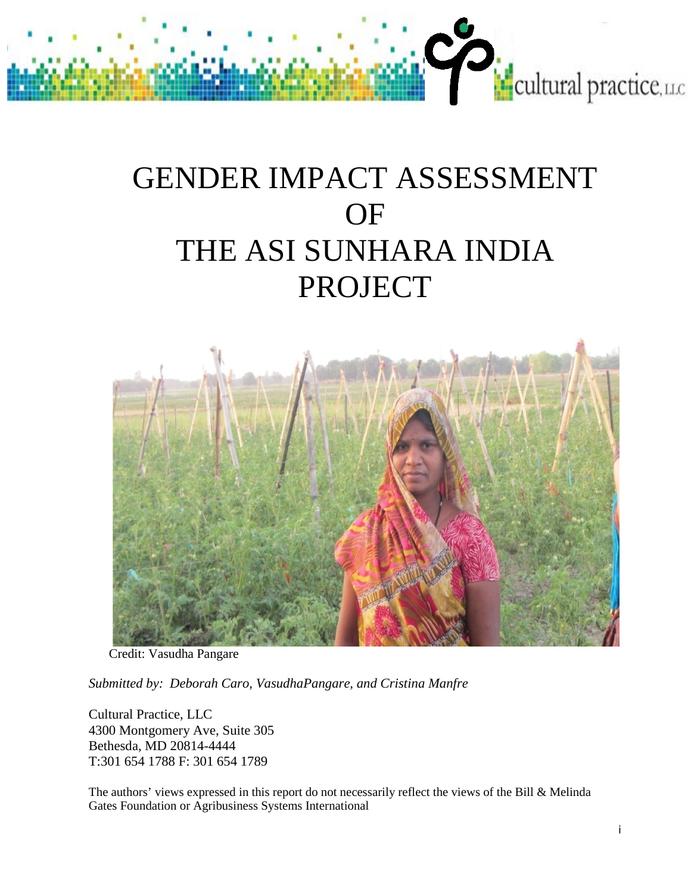# GENDER IMPACT ASSESSMENT OF THE ASI SUNHARA INDIA PROJECT

cultural practice, LLC



Credit: Vasudha Pangare

*Submitted by: Deborah Caro, VasudhaPangare, and Cristina Manfre*

Cultural Practice, LLC 4300 Montgomery Ave, Suite 305 Bethesda, MD 20814-4444 T:301 654 1788 F: 301 654 1789

The authors' views expressed in this report do not necessarily reflect the views of the Bill & Melinda Gates Foundation or Agribusiness Systems International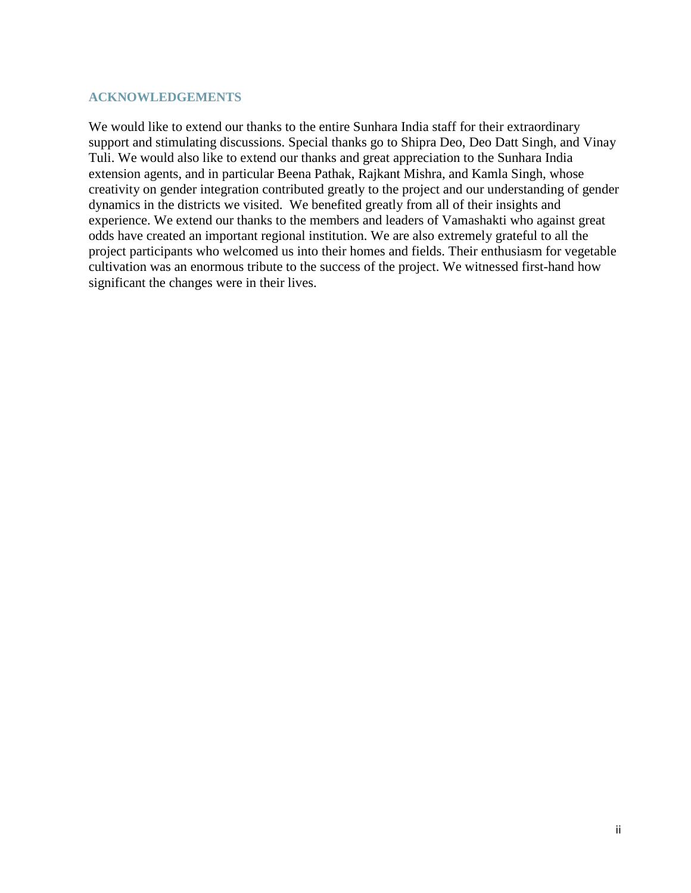#### <span id="page-1-0"></span>**ACKNOWLEDGEMENTS**

We would like to extend our thanks to the entire Sunhara India staff for their extraordinary support and stimulating discussions. Special thanks go to Shipra Deo, Deo Datt Singh, and Vinay Tuli. We would also like to extend our thanks and great appreciation to the Sunhara India extension agents, and in particular Beena Pathak, Rajkant Mishra, and Kamla Singh, whose creativity on gender integration contributed greatly to the project and our understanding of gender dynamics in the districts we visited. We benefited greatly from all of their insights and experience. We extend our thanks to the members and leaders of Vamashakti who against great odds have created an important regional institution. We are also extremely grateful to all the project participants who welcomed us into their homes and fields. Their enthusiasm for vegetable cultivation was an enormous tribute to the success of the project. We witnessed first-hand how significant the changes were in their lives.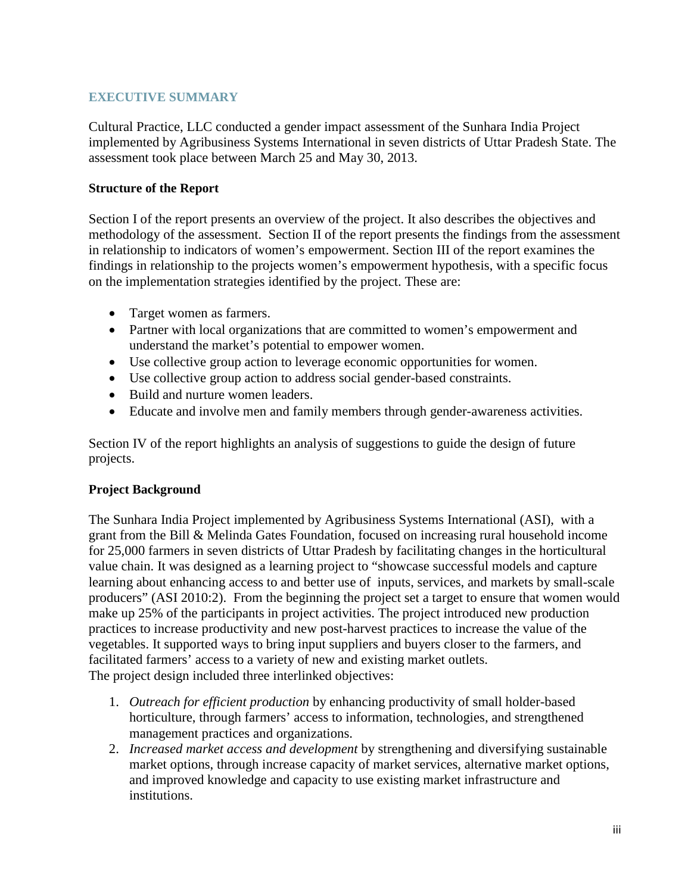# <span id="page-2-0"></span>**EXECUTIVE SUMMARY**

Cultural Practice, LLC conducted a gender impact assessment of the Sunhara India Project implemented by Agribusiness Systems International in seven districts of Uttar Pradesh State. The assessment took place between March 25 and May 30, 2013.

# **Structure of the Report**

Section I of the report presents an overview of the project. It also describes the objectives and methodology of the assessment. Section II of the report presents the findings from the assessment in relationship to indicators of women's empowerment. Section III of the report examines the findings in relationship to the projects women's empowerment hypothesis, with a specific focus on the implementation strategies identified by the project. These are:

- Target women as farmers.
- Partner with local organizations that are committed to women's empowerment and understand the market's potential to empower women.
- Use collective group action to leverage economic opportunities for women.
- Use collective group action to address social gender-based constraints.
- Build and nurture women leaders.
- Educate and involve men and family members through gender-awareness activities.

Section IV of the report highlights an analysis of suggestions to guide the design of future projects.

# **Project Background**

The Sunhara India Project implemented by Agribusiness Systems International (ASI), with a grant from the Bill & Melinda Gates Foundation, focused on increasing rural household income for 25,000 farmers in seven districts of Uttar Pradesh by facilitating changes in the horticultural value chain. It was designed as a learning project to "showcase successful models and capture learning about enhancing access to and better use of inputs, services, and markets by small-scale producers" (ASI 2010:2). From the beginning the project set a target to ensure that women would make up 25% of the participants in project activities. The project introduced new production practices to increase productivity and new post-harvest practices to increase the value of the vegetables. It supported ways to bring input suppliers and buyers closer to the farmers, and facilitated farmers' access to a variety of new and existing market outlets. The project design included three interlinked objectives:

- 1. *Outreach for efficient production* by enhancing productivity of small holder-based horticulture, through farmers' access to information, technologies, and strengthened management practices and organizations.
- 2. *Increased market access and development* by strengthening and diversifying sustainable market options, through increase capacity of market services, alternative market options, and improved knowledge and capacity to use existing market infrastructure and institutions.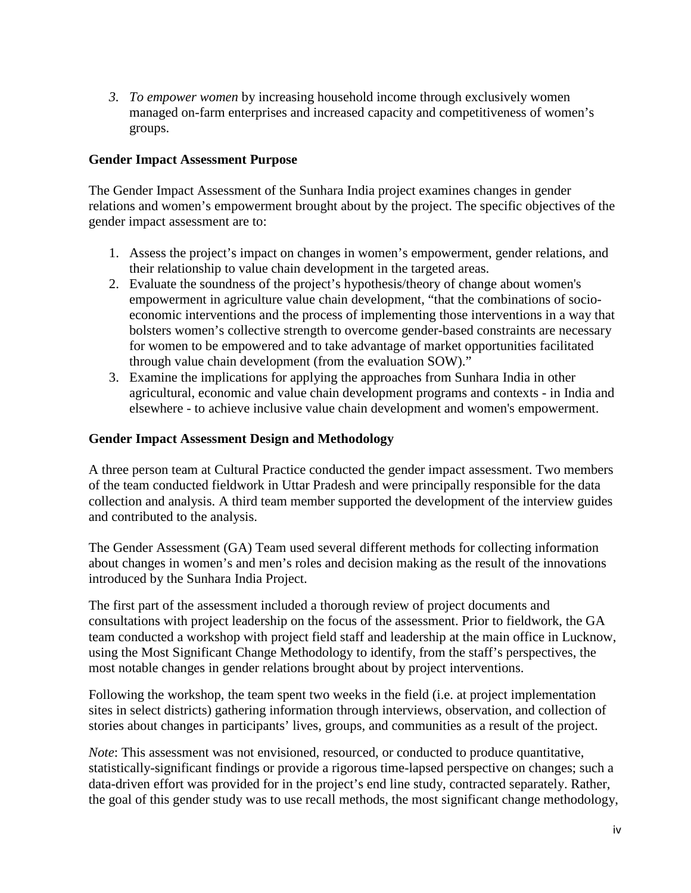*3. To empower women* by increasing household income through exclusively women managed on-farm enterprises and increased capacity and competitiveness of women's groups.

# **Gender Impact Assessment Purpose**

The Gender Impact Assessment of the Sunhara India project examines changes in gender relations and women's empowerment brought about by the project. The specific objectives of the gender impact assessment are to:

- 1. Assess the project's impact on changes in women's empowerment, gender relations, and their relationship to value chain development in the targeted areas.
- 2. Evaluate the soundness of the project's hypothesis/theory of change about women's empowerment in agriculture value chain development, "that the combinations of socioeconomic interventions and the process of implementing those interventions in a way that bolsters women's collective strength to overcome gender-based constraints are necessary for women to be empowered and to take advantage of market opportunities facilitated through value chain development (from the evaluation SOW)."
- 3. Examine the implications for applying the approaches from Sunhara India in other agricultural, economic and value chain development programs and contexts - in India and elsewhere - to achieve inclusive value chain development and women's empowerment.

## **Gender Impact Assessment Design and Methodology**

A three person team at Cultural Practice conducted the gender impact assessment. Two members of the team conducted fieldwork in Uttar Pradesh and were principally responsible for the data collection and analysis. A third team member supported the development of the interview guides and contributed to the analysis.

The Gender Assessment (GA) Team used several different methods for collecting information about changes in women's and men's roles and decision making as the result of the innovations introduced by the Sunhara India Project.

The first part of the assessment included a thorough review of project documents and consultations with project leadership on the focus of the assessment. Prior to fieldwork, the GA team conducted a workshop with project field staff and leadership at the main office in Lucknow, using the Most Significant Change Methodology to identify, from the staff's perspectives, the most notable changes in gender relations brought about by project interventions.

Following the workshop, the team spent two weeks in the field (i.e. at project implementation sites in select districts) gathering information through interviews, observation, and collection of stories about changes in participants' lives, groups, and communities as a result of the project.

*Note*: This assessment was not envisioned, resourced, or conducted to produce quantitative, statistically-significant findings or provide a rigorous time-lapsed perspective on changes; such a data-driven effort was provided for in the project's end line study, contracted separately. Rather, the goal of this gender study was to use recall methods, the most significant change methodology,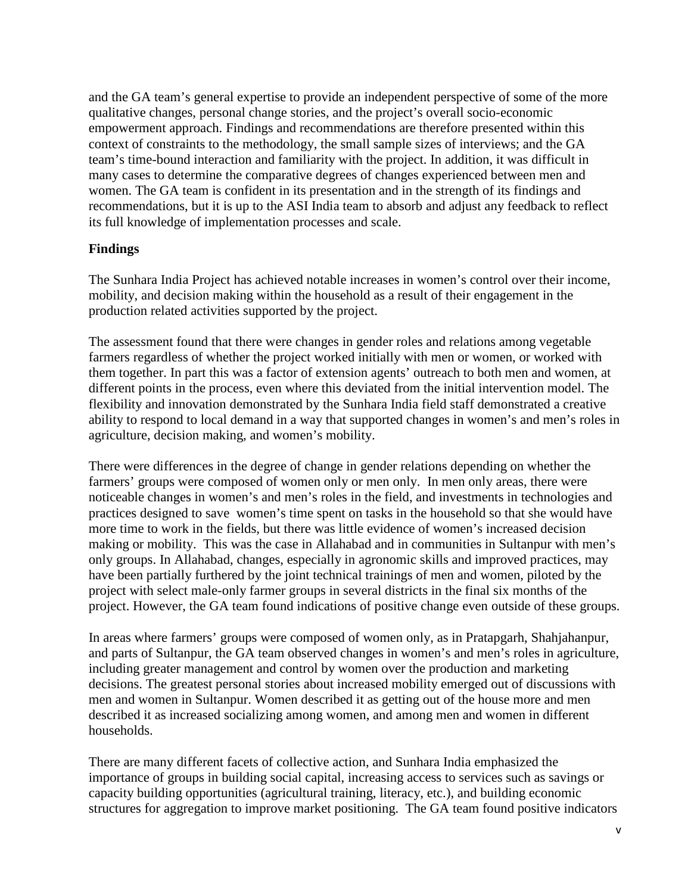and the GA team's general expertise to provide an independent perspective of some of the more qualitative changes, personal change stories, and the project's overall socio-economic empowerment approach. Findings and recommendations are therefore presented within this context of constraints to the methodology, the small sample sizes of interviews; and the GA team's time-bound interaction and familiarity with the project. In addition, it was difficult in many cases to determine the comparative degrees of changes experienced between men and women. The GA team is confident in its presentation and in the strength of its findings and recommendations, but it is up to the ASI India team to absorb and adjust any feedback to reflect its full knowledge of implementation processes and scale.

# **Findings**

The Sunhara India Project has achieved notable increases in women's control over their income, mobility, and decision making within the household as a result of their engagement in the production related activities supported by the project.

The assessment found that there were changes in gender roles and relations among vegetable farmers regardless of whether the project worked initially with men or women, or worked with them together. In part this was a factor of extension agents' outreach to both men and women, at different points in the process, even where this deviated from the initial intervention model. The flexibility and innovation demonstrated by the Sunhara India field staff demonstrated a creative ability to respond to local demand in a way that supported changes in women's and men's roles in agriculture, decision making, and women's mobility.

There were differences in the degree of change in gender relations depending on whether the farmers' groups were composed of women only or men only. In men only areas, there were noticeable changes in women's and men's roles in the field, and investments in technologies and practices designed to save women's time spent on tasks in the household so that she would have more time to work in the fields, but there was little evidence of women's increased decision making or mobility. This was the case in Allahabad and in communities in Sultanpur with men's only groups. In Allahabad, changes, especially in agronomic skills and improved practices, may have been partially furthered by the joint technical trainings of men and women, piloted by the project with select male-only farmer groups in several districts in the final six months of the project. However, the GA team found indications of positive change even outside of these groups.

In areas where farmers' groups were composed of women only, as in Pratapgarh, Shahjahanpur, and parts of Sultanpur, the GA team observed changes in women's and men's roles in agriculture, including greater management and control by women over the production and marketing decisions. The greatest personal stories about increased mobility emerged out of discussions with men and women in Sultanpur. Women described it as getting out of the house more and men described it as increased socializing among women, and among men and women in different households.

There are many different facets of collective action, and Sunhara India emphasized the importance of groups in building social capital, increasing access to services such as savings or capacity building opportunities (agricultural training, literacy, etc.), and building economic structures for aggregation to improve market positioning. The GA team found positive indicators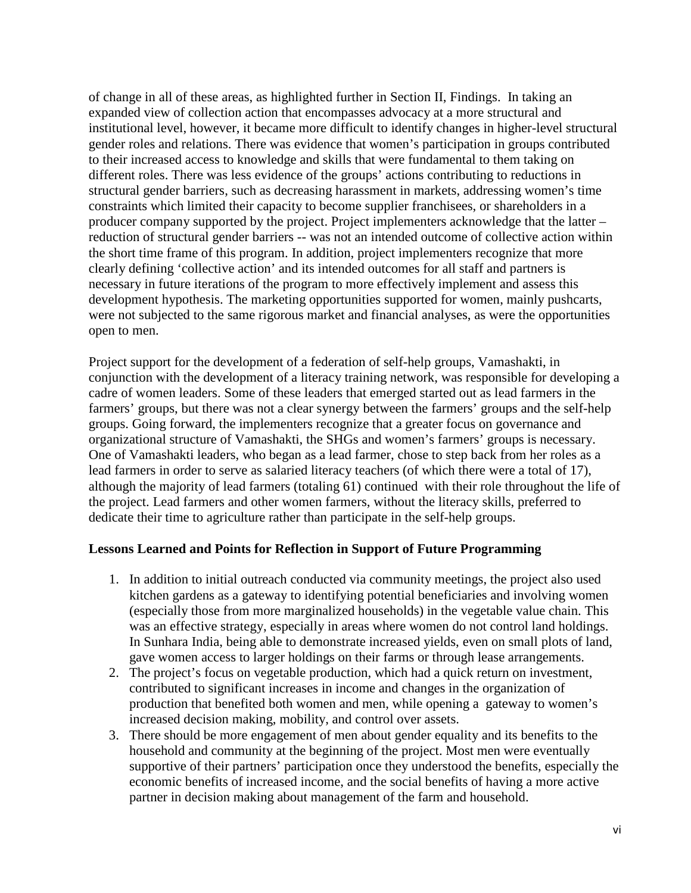of change in all of these areas, as highlighted further in Section II, Findings. In taking an expanded view of collection action that encompasses advocacy at a more structural and institutional level, however, it became more difficult to identify changes in higher-level structural gender roles and relations. There was evidence that women's participation in groups contributed to their increased access to knowledge and skills that were fundamental to them taking on different roles. There was less evidence of the groups' actions contributing to reductions in structural gender barriers, such as decreasing harassment in markets, addressing women's time constraints which limited their capacity to become supplier franchisees, or shareholders in a producer company supported by the project. Project implementers acknowledge that the latter – reduction of structural gender barriers -- was not an intended outcome of collective action within the short time frame of this program. In addition, project implementers recognize that more clearly defining 'collective action' and its intended outcomes for all staff and partners is necessary in future iterations of the program to more effectively implement and assess this development hypothesis. The marketing opportunities supported for women, mainly pushcarts, were not subjected to the same rigorous market and financial analyses, as were the opportunities open to men.

Project support for the development of a federation of self-help groups, Vamashakti, in conjunction with the development of a literacy training network, was responsible for developing a cadre of women leaders. Some of these leaders that emerged started out as lead farmers in the farmers' groups, but there was not a clear synergy between the farmers' groups and the self-help groups. Going forward, the implementers recognize that a greater focus on governance and organizational structure of Vamashakti, the SHGs and women's farmers' groups is necessary. One of Vamashakti leaders, who began as a lead farmer, chose to step back from her roles as a lead farmers in order to serve as salaried literacy teachers (of which there were a total of 17), although the majority of lead farmers (totaling 61) continued with their role throughout the life of the project. Lead farmers and other women farmers, without the literacy skills, preferred to dedicate their time to agriculture rather than participate in the self-help groups.

## **Lessons Learned and Points for Reflection in Support of Future Programming**

- 1. In addition to initial outreach conducted via community meetings, the project also used kitchen gardens as a gateway to identifying potential beneficiaries and involving women (especially those from more marginalized households) in the vegetable value chain. This was an effective strategy, especially in areas where women do not control land holdings. In Sunhara India, being able to demonstrate increased yields, even on small plots of land, gave women access to larger holdings on their farms or through lease arrangements.
- 2. The project's focus on vegetable production, which had a quick return on investment, contributed to significant increases in income and changes in the organization of production that benefited both women and men, while opening a gateway to women's increased decision making, mobility, and control over assets.
- 3. There should be more engagement of men about gender equality and its benefits to the household and community at the beginning of the project. Most men were eventually supportive of their partners' participation once they understood the benefits, especially the economic benefits of increased income, and the social benefits of having a more active partner in decision making about management of the farm and household.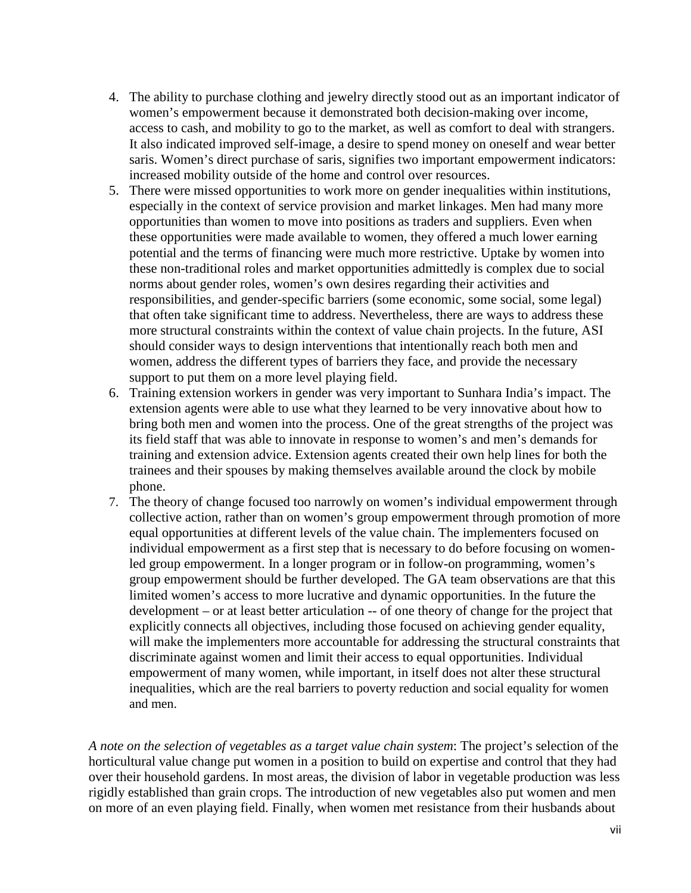- 4. The ability to purchase clothing and jewelry directly stood out as an important indicator of women's empowerment because it demonstrated both decision-making over income, access to cash, and mobility to go to the market, as well as comfort to deal with strangers. It also indicated improved self-image, a desire to spend money on oneself and wear better saris. Women's direct purchase of saris, signifies two important empowerment indicators: increased mobility outside of the home and control over resources.
- 5. There were missed opportunities to work more on gender inequalities within institutions, especially in the context of service provision and market linkages. Men had many more opportunities than women to move into positions as traders and suppliers. Even when these opportunities were made available to women, they offered a much lower earning potential and the terms of financing were much more restrictive. Uptake by women into these non-traditional roles and market opportunities admittedly is complex due to social norms about gender roles, women's own desires regarding their activities and responsibilities, and gender-specific barriers (some economic, some social, some legal) that often take significant time to address. Nevertheless, there are ways to address these more structural constraints within the context of value chain projects. In the future, ASI should consider ways to design interventions that intentionally reach both men and women, address the different types of barriers they face, and provide the necessary support to put them on a more level playing field.
- 6. Training extension workers in gender was very important to Sunhara India's impact. The extension agents were able to use what they learned to be very innovative about how to bring both men and women into the process. One of the great strengths of the project was its field staff that was able to innovate in response to women's and men's demands for training and extension advice. Extension agents created their own help lines for both the trainees and their spouses by making themselves available around the clock by mobile phone.
- 7. The theory of change focused too narrowly on women's individual empowerment through collective action, rather than on women's group empowerment through promotion of more equal opportunities at different levels of the value chain. The implementers focused on individual empowerment as a first step that is necessary to do before focusing on womenled group empowerment. In a longer program or in follow-on programming, women's group empowerment should be further developed. The GA team observations are that this limited women's access to more lucrative and dynamic opportunities. In the future the development – or at least better articulation -- of one theory of change for the project that explicitly connects all objectives, including those focused on achieving gender equality, will make the implementers more accountable for addressing the structural constraints that discriminate against women and limit their access to equal opportunities. Individual empowerment of many women, while important, in itself does not alter these structural inequalities, which are the real barriers to poverty reduction and social equality for women and men.

*A note on the selection of vegetables as a target value chain system*: The project's selection of the horticultural value change put women in a position to build on expertise and control that they had over their household gardens. In most areas, the division of labor in vegetable production was less rigidly established than grain crops. The introduction of new vegetables also put women and men on more of an even playing field. Finally, when women met resistance from their husbands about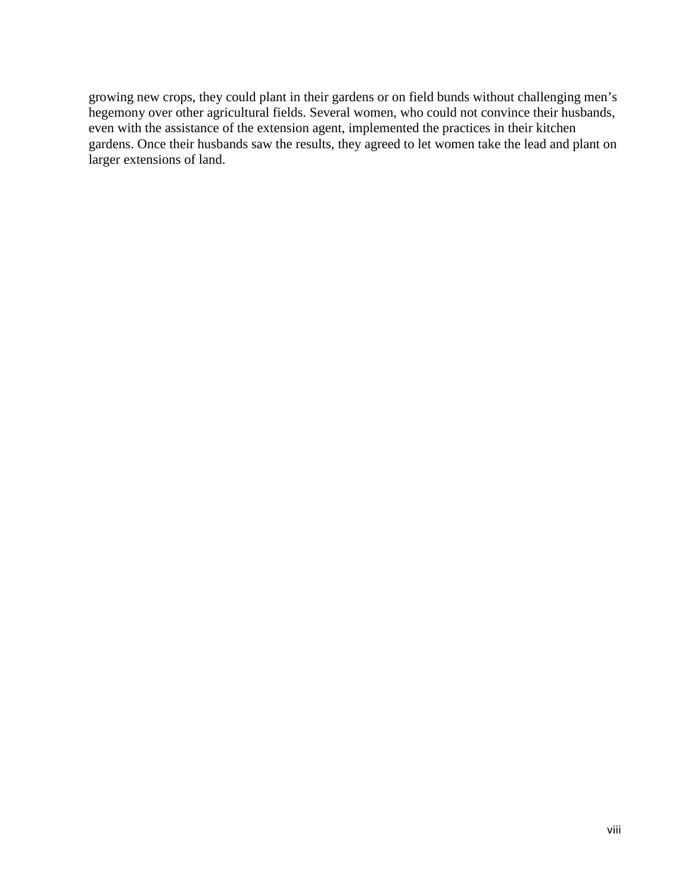growing new crops, they could plant in their gardens or on field bunds without challenging men's hegemony over other agricultural fields. Several women, who could not convince their husbands, even with the assistance of the extension agent, implemented the practices in their kitchen gardens. Once their husbands saw the results, they agreed to let women take the lead and plant on larger extensions of land.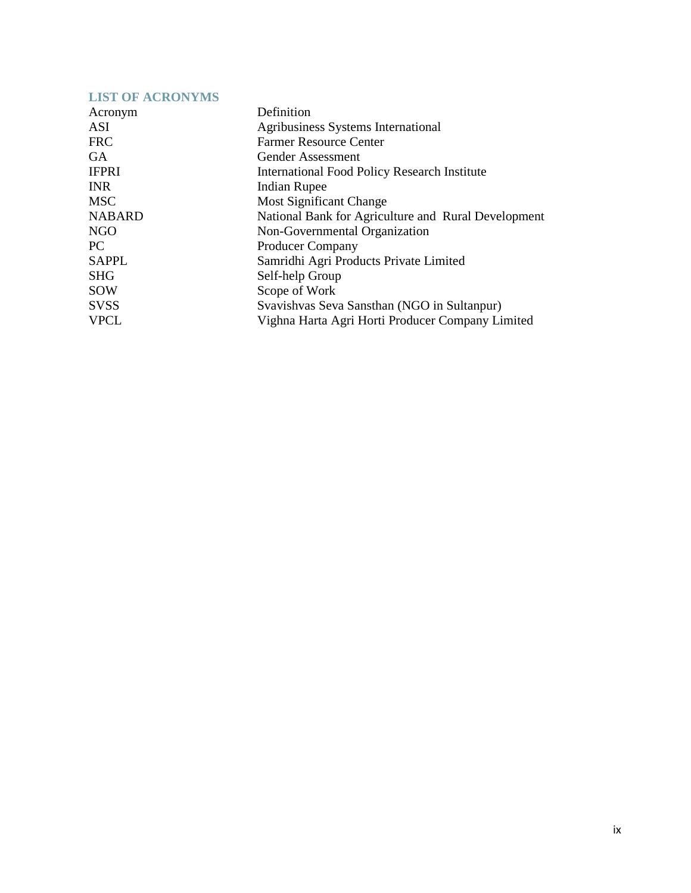<span id="page-8-0"></span>

| <b>LIST OF ACRONYMS</b> |                                                     |
|-------------------------|-----------------------------------------------------|
| Acronym                 | Definition                                          |
| ASI                     | Agribusiness Systems International                  |
| <b>FRC</b>              | <b>Farmer Resource Center</b>                       |
| <b>GA</b>               | Gender Assessment                                   |
| <b>IFPRI</b>            | <b>International Food Policy Research Institute</b> |
| <b>INR</b>              | <b>Indian Rupee</b>                                 |
| <b>MSC</b>              | <b>Most Significant Change</b>                      |
| <b>NABARD</b>           | National Bank for Agriculture and Rural Development |
| <b>NGO</b>              | Non-Governmental Organization                       |
| PC                      | Producer Company                                    |
| <b>SAPPL</b>            | Samridhi Agri Products Private Limited              |
| <b>SHG</b>              | Self-help Group                                     |
| <b>SOW</b>              | Scope of Work                                       |
| <b>SVSS</b>             | Svavishvas Seva Sansthan (NGO in Sultanpur)         |
| <b>VPCL</b>             | Vighna Harta Agri Horti Producer Company Limited    |
|                         |                                                     |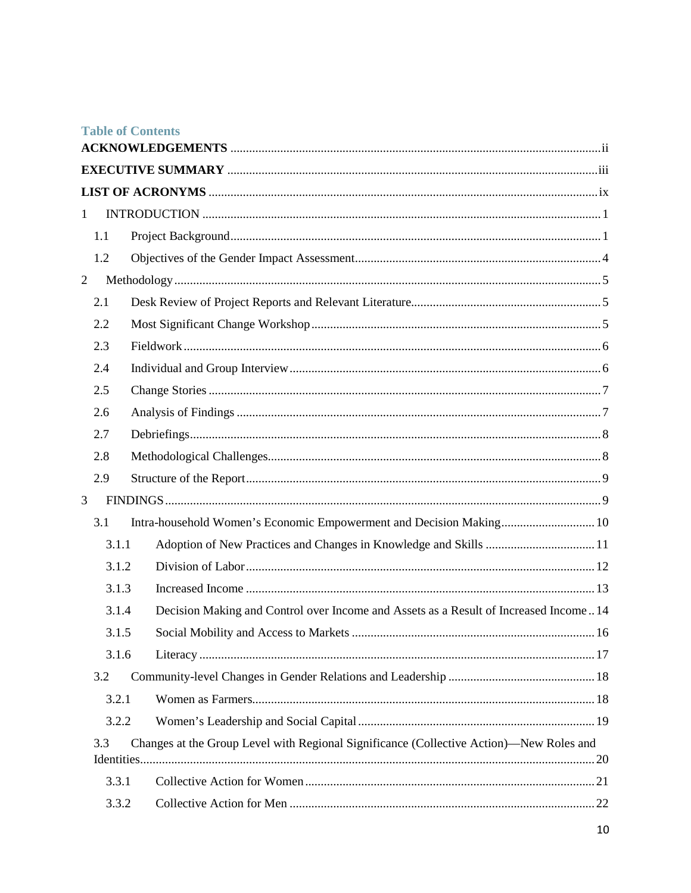|                |       | <b>Table of Contents</b>                                                                |  |
|----------------|-------|-----------------------------------------------------------------------------------------|--|
|                |       |                                                                                         |  |
|                |       |                                                                                         |  |
| $\mathbf{1}$   |       |                                                                                         |  |
|                | 1.1   |                                                                                         |  |
|                | 1.2   |                                                                                         |  |
| $\overline{2}$ |       |                                                                                         |  |
|                | 2.1   |                                                                                         |  |
|                | 2.2   |                                                                                         |  |
|                | 2.3   |                                                                                         |  |
|                | 2.4   |                                                                                         |  |
|                | 2.5   |                                                                                         |  |
|                | 2.6   |                                                                                         |  |
|                | 2.7   |                                                                                         |  |
|                | 2.8   |                                                                                         |  |
|                | 2.9   |                                                                                         |  |
| 3              |       |                                                                                         |  |
|                | 3.1   | Intra-household Women's Economic Empowerment and Decision Making 10                     |  |
|                | 3.1.1 |                                                                                         |  |
|                | 3.1.2 |                                                                                         |  |
|                | 3.1.3 |                                                                                         |  |
|                | 3.1.4 | Decision Making and Control over Income and Assets as a Result of Increased Income 14   |  |
|                | 3.1.5 |                                                                                         |  |
|                | 3.1.6 |                                                                                         |  |
|                | 3.2   |                                                                                         |  |
|                | 3.2.1 |                                                                                         |  |
|                | 3.2.2 |                                                                                         |  |
|                | 3.3   | Changes at the Group Level with Regional Significance (Collective Action)—New Roles and |  |
|                |       |                                                                                         |  |
|                | 3.3.1 |                                                                                         |  |
|                | 3.3.2 |                                                                                         |  |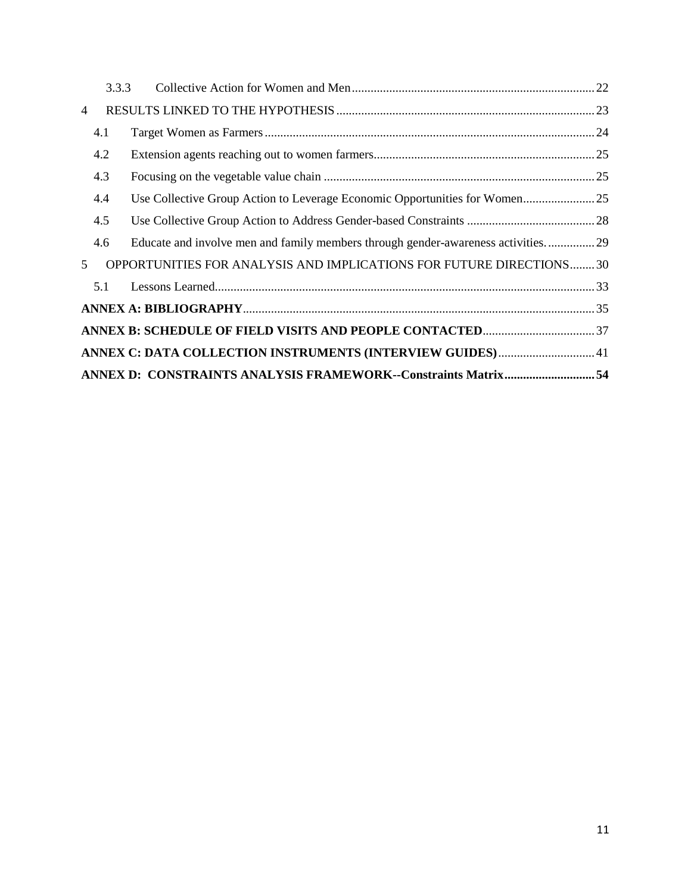|                | 3.3.3 |                                                                                  |  |
|----------------|-------|----------------------------------------------------------------------------------|--|
| $\overline{4}$ |       |                                                                                  |  |
|                | 4.1   |                                                                                  |  |
|                | 4.2   |                                                                                  |  |
|                | 4.3   |                                                                                  |  |
|                | 4.4   | Use Collective Group Action to Leverage Economic Opportunities for Women25       |  |
|                | 4.5   |                                                                                  |  |
|                | 4.6   | Educate and involve men and family members through gender-awareness activities29 |  |
| 5              |       | OPPORTUNITIES FOR ANALYSIS AND IMPLICATIONS FOR FUTURE DIRECTIONS30              |  |
|                | 5.1   |                                                                                  |  |
|                |       |                                                                                  |  |
|                |       |                                                                                  |  |
|                |       | ANNEX C: DATA COLLECTION INSTRUMENTS (INTERVIEW GUIDES) 41                       |  |
|                |       | ANNEX D: CONSTRAINTS ANALYSIS FRAMEWORK--Constraints Matrix 54                   |  |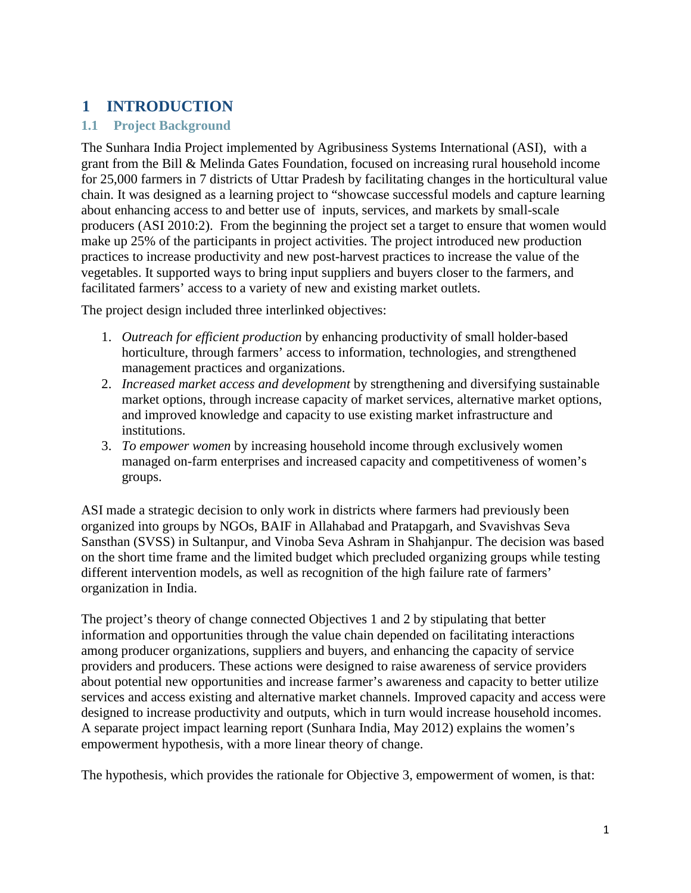# <span id="page-11-0"></span>**1 INTRODUCTION**

# <span id="page-11-1"></span>**1.1 Project Background**

The Sunhara India Project implemented by Agribusiness Systems International (ASI), with a grant from the Bill & Melinda Gates Foundation, focused on increasing rural household income for 25,000 farmers in 7 districts of Uttar Pradesh by facilitating changes in the horticultural value chain. It was designed as a learning project to "showcase successful models and capture learning about enhancing access to and better use of inputs, services, and markets by small-scale producers (ASI 2010:2). From the beginning the project set a target to ensure that women would make up 25% of the participants in project activities. The project introduced new production practices to increase productivity and new post-harvest practices to increase the value of the vegetables. It supported ways to bring input suppliers and buyers closer to the farmers, and facilitated farmers' access to a variety of new and existing market outlets.

The project design included three interlinked objectives:

- 1. *Outreach for efficient production* by enhancing productivity of small holder-based horticulture, through farmers' access to information, technologies, and strengthened management practices and organizations.
- 2. *Increased market access and development* by strengthening and diversifying sustainable market options, through increase capacity of market services, alternative market options, and improved knowledge and capacity to use existing market infrastructure and institutions.
- 3. *To empower women* by increasing household income through exclusively women managed on-farm enterprises and increased capacity and competitiveness of women's groups.

ASI made a strategic decision to only work in districts where farmers had previously been organized into groups by NGOs, BAIF in Allahabad and Pratapgarh, and Svavishvas Seva Sansthan (SVSS) in Sultanpur, and Vinoba Seva Ashram in Shahjanpur. The decision was based on the short time frame and the limited budget which precluded organizing groups while testing different intervention models, as well as recognition of the high failure rate of farmers' organization in India.

The project's theory of change connected Objectives 1 and 2 by stipulating that better information and opportunities through the value chain depended on facilitating interactions among producer organizations, suppliers and buyers, and enhancing the capacity of service providers and producers. These actions were designed to raise awareness of service providers about potential new opportunities and increase farmer's awareness and capacity to better utilize services and access existing and alternative market channels. Improved capacity and access were designed to increase productivity and outputs, which in turn would increase household incomes. A separate project impact learning report (Sunhara India, May 2012) explains the women's empowerment hypothesis, with a more linear theory of change.

The hypothesis, which provides the rationale for Objective 3, empowerment of women, is that: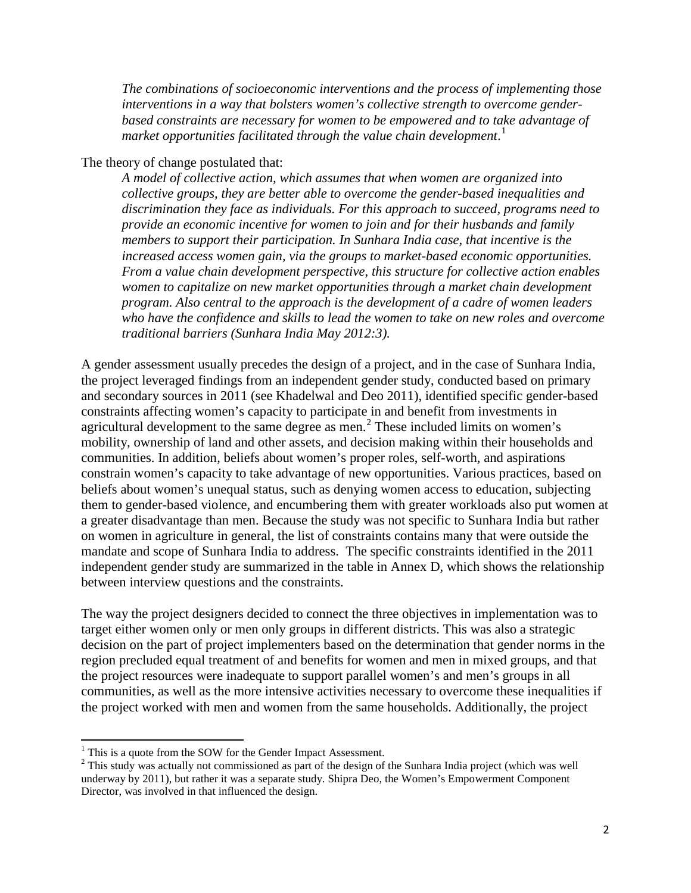*The combinations of socioeconomic interventions and the process of implementing those interventions in a way that bolsters women's collective strength to overcome genderbased constraints are necessary for women to be empowered and to take advantage of market opportunities facilitated through the value chain development*. [1](#page-12-0)

The theory of change postulated that:

*A model of collective action, which assumes that when women are organized into collective groups, they are better able to overcome the gender-based inequalities and discrimination they face as individuals. For this approach to succeed, programs need to provide an economic incentive for women to join and for their husbands and family members to support their participation. In Sunhara India case, that incentive is the increased access women gain, via the groups to market-based economic opportunities. From a value chain development perspective, this structure for collective action enables women to capitalize on new market opportunities through a market chain development program. Also central to the approach is the development of a cadre of women leaders who have the confidence and skills to lead the women to take on new roles and overcome traditional barriers (Sunhara India May 2012:3).*

A gender assessment usually precedes the design of a project, and in the case of Sunhara India, the project leveraged findings from an independent gender study, conducted based on primary and secondary sources in 2011 (see Khadelwal and Deo 2011), identified specific gender-based constraints affecting women's capacity to participate in and benefit from investments in agricultural development to the same degree as men. $<sup>2</sup>$  $<sup>2</sup>$  $<sup>2</sup>$  These included limits on women's</sup> mobility, ownership of land and other assets, and decision making within their households and communities. In addition, beliefs about women's proper roles, self-worth, and aspirations constrain women's capacity to take advantage of new opportunities. Various practices, based on beliefs about women's unequal status, such as denying women access to education, subjecting them to gender-based violence, and encumbering them with greater workloads also put women at a greater disadvantage than men. Because the study was not specific to Sunhara India but rather on women in agriculture in general, the list of constraints contains many that were outside the mandate and scope of Sunhara India to address. The specific constraints identified in the 2011 independent gender study are summarized in the table in Annex D, which shows the relationship between interview questions and the constraints.

The way the project designers decided to connect the three objectives in implementation was to target either women only or men only groups in different districts. This was also a strategic decision on the part of project implementers based on the determination that gender norms in the region precluded equal treatment of and benefits for women and men in mixed groups, and that the project resources were inadequate to support parallel women's and men's groups in all communities, as well as the more intensive activities necessary to overcome these inequalities if the project worked with men and women from the same households. Additionally, the project

<span id="page-12-0"></span><sup>&</sup>lt;sup>1</sup> This is a quote from the SOW for the Gender Impact Assessment.

<span id="page-12-1"></span><sup>&</sup>lt;sup>2</sup> This study was actually not commissioned as part of the design of the Sunhara India project (which was well underway by 2011), but rather it was a separate study. Shipra Deo, the Women's Empowerment Component Director, was involved in that influenced the design.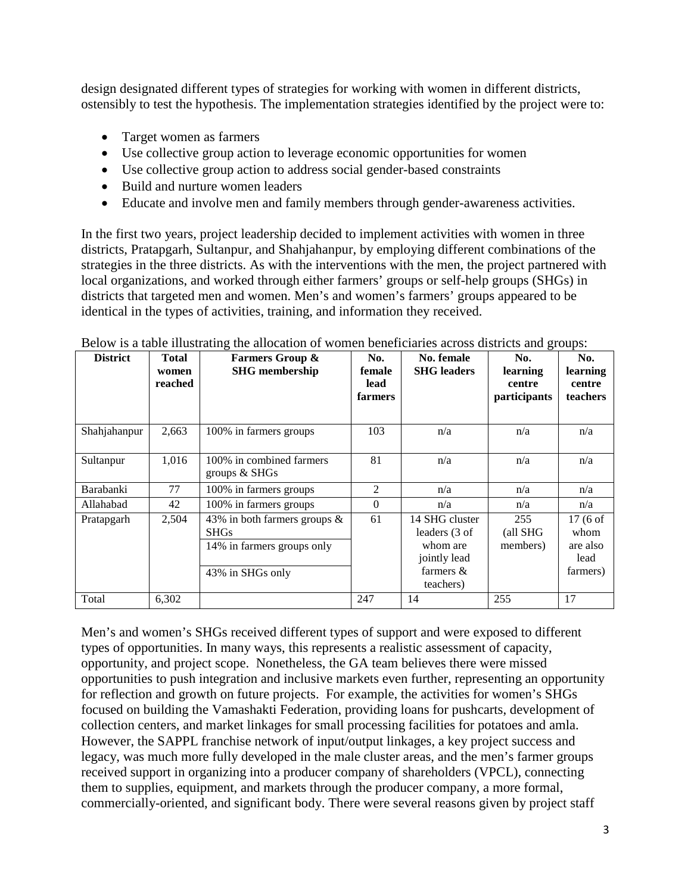design designated different types of strategies for working with women in different districts, ostensibly to test the hypothesis. The implementation strategies identified by the project were to:

- Target women as farmers
- Use collective group action to leverage economic opportunities for women
- Use collective group action to address social gender-based constraints
- Build and nurture women leaders
- Educate and involve men and family members through gender-awareness activities.

In the first two years, project leadership decided to implement activities with women in three districts, Pratapgarh, Sultanpur, and Shahjahanpur, by employing different combinations of the strategies in the three districts. As with the interventions with the men, the project partnered with local organizations, and worked through either farmers' groups or self-help groups (SHGs) in districts that targeted men and women. Men's and women's farmers' groups appeared to be identical in the types of activities, training, and information they received.

| <b>District</b>  | <b>Total</b><br>women<br>reached | <b>Farmers Group &amp;</b><br><b>SHG</b> membership                                              | No.<br>female<br>lead<br>farmers | No. female<br><b>SHG</b> leaders                                                         | No.<br>learning<br>centre<br>participants | No.<br>learning<br>centre<br>teachers                      |
|------------------|----------------------------------|--------------------------------------------------------------------------------------------------|----------------------------------|------------------------------------------------------------------------------------------|-------------------------------------------|------------------------------------------------------------|
| Shahjahanpur     | 2,663                            | 100% in farmers groups                                                                           | 103                              | n/a                                                                                      | n/a                                       | n/a                                                        |
| Sultanpur        | 1,016                            | 100% in combined farmers<br>groups $&$ SHGs                                                      | 81                               | n/a                                                                                      | n/a                                       | n/a                                                        |
| <b>Barabanki</b> | 77                               | 100% in farmers groups                                                                           | $\overline{2}$                   | n/a                                                                                      | n/a                                       | n/a                                                        |
| Allahabad        | 42                               | 100% in farmers groups                                                                           | $\theta$                         | n/a                                                                                      | n/a                                       | n/a                                                        |
| Pratapgarh       | 2,504                            | 43% in both farmers groups $\&$<br><b>SHGs</b><br>14% in farmers groups only<br>43% in SHGs only | 61                               | 14 SHG cluster<br>leaders (3 of<br>whom are<br>jointly lead<br>farmers $\&$<br>teachers) | 255<br>(all SHG<br>members)               | $17(6 \text{ of }$<br>whom<br>are also<br>lead<br>farmers) |
| Total            | 6,302                            |                                                                                                  | 247                              | 14                                                                                       | 255                                       | 17                                                         |

Below is a table illustrating the allocation of women beneficiaries across districts and groups:

Men's and women's SHGs received different types of support and were exposed to different types of opportunities. In many ways, this represents a realistic assessment of capacity, opportunity, and project scope. Nonetheless, the GA team believes there were missed opportunities to push integration and inclusive markets even further, representing an opportunity for reflection and growth on future projects. For example, the activities for women's SHGs focused on building the Vamashakti Federation, providing loans for pushcarts, development of collection centers, and market linkages for small processing facilities for potatoes and amla. However, the SAPPL franchise network of input/output linkages, a key project success and legacy, was much more fully developed in the male cluster areas, and the men's farmer groups received support in organizing into a producer company of shareholders (VPCL), connecting them to supplies, equipment, and markets through the producer company, a more formal, commercially-oriented, and significant body. There were several reasons given by project staff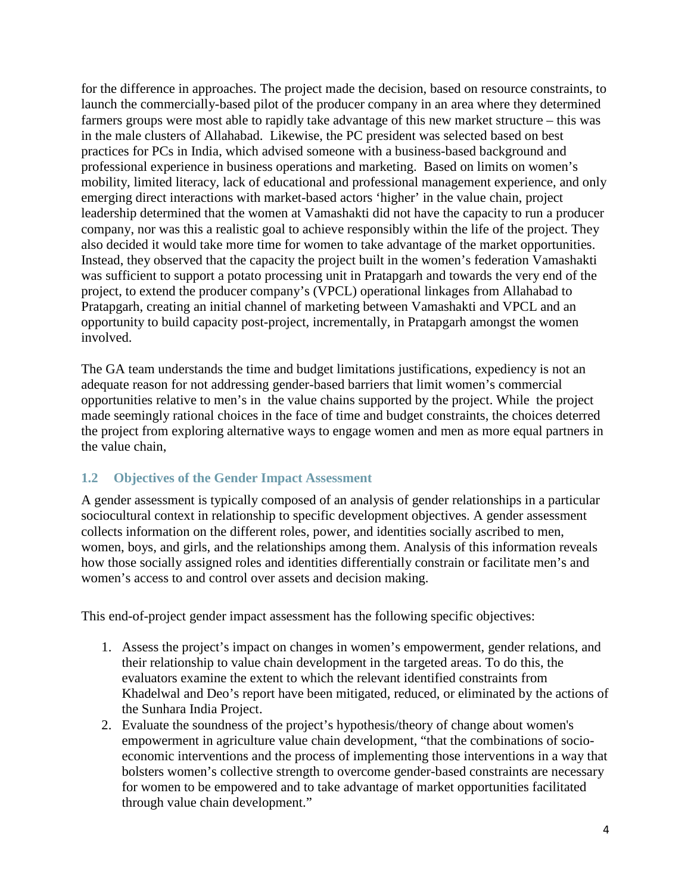for the difference in approaches. The project made the decision, based on resource constraints, to launch the commercially-based pilot of the producer company in an area where they determined farmers groups were most able to rapidly take advantage of this new market structure – this was in the male clusters of Allahabad. Likewise, the PC president was selected based on best practices for PCs in India, which advised someone with a business-based background and professional experience in business operations and marketing. Based on limits on women's mobility, limited literacy, lack of educational and professional management experience, and only emerging direct interactions with market-based actors 'higher' in the value chain, project leadership determined that the women at Vamashakti did not have the capacity to run a producer company, nor was this a realistic goal to achieve responsibly within the life of the project. They also decided it would take more time for women to take advantage of the market opportunities. Instead, they observed that the capacity the project built in the women's federation Vamashakti was sufficient to support a potato processing unit in Pratapgarh and towards the very end of the project, to extend the producer company's (VPCL) operational linkages from Allahabad to Pratapgarh, creating an initial channel of marketing between Vamashakti and VPCL and an opportunity to build capacity post-project, incrementally, in Pratapgarh amongst the women involved.

The GA team understands the time and budget limitations justifications, expediency is not an adequate reason for not addressing gender-based barriers that limit women's commercial opportunities relative to men's in the value chains supported by the project. While the project made seemingly rational choices in the face of time and budget constraints, the choices deterred the project from exploring alternative ways to engage women and men as more equal partners in the value chain,

# <span id="page-14-0"></span>**1.2 Objectives of the Gender Impact Assessment**

A gender assessment is typically composed of an analysis of gender relationships in a particular sociocultural context in relationship to specific development objectives. A gender assessment collects information on the different roles, power, and identities socially ascribed to men, women, boys, and girls, and the relationships among them. Analysis of this information reveals how those socially assigned roles and identities differentially constrain or facilitate men's and women's access to and control over assets and decision making.

This end-of-project gender impact assessment has the following specific objectives:

- 1. Assess the project's impact on changes in women's empowerment, gender relations, and their relationship to value chain development in the targeted areas. To do this, the evaluators examine the extent to which the relevant identified constraints from Khadelwal and Deo's report have been mitigated, reduced, or eliminated by the actions of the Sunhara India Project.
- 2. Evaluate the soundness of the project's hypothesis/theory of change about women's empowerment in agriculture value chain development, "that the combinations of socioeconomic interventions and the process of implementing those interventions in a way that bolsters women's collective strength to overcome gender-based constraints are necessary for women to be empowered and to take advantage of market opportunities facilitated through value chain development."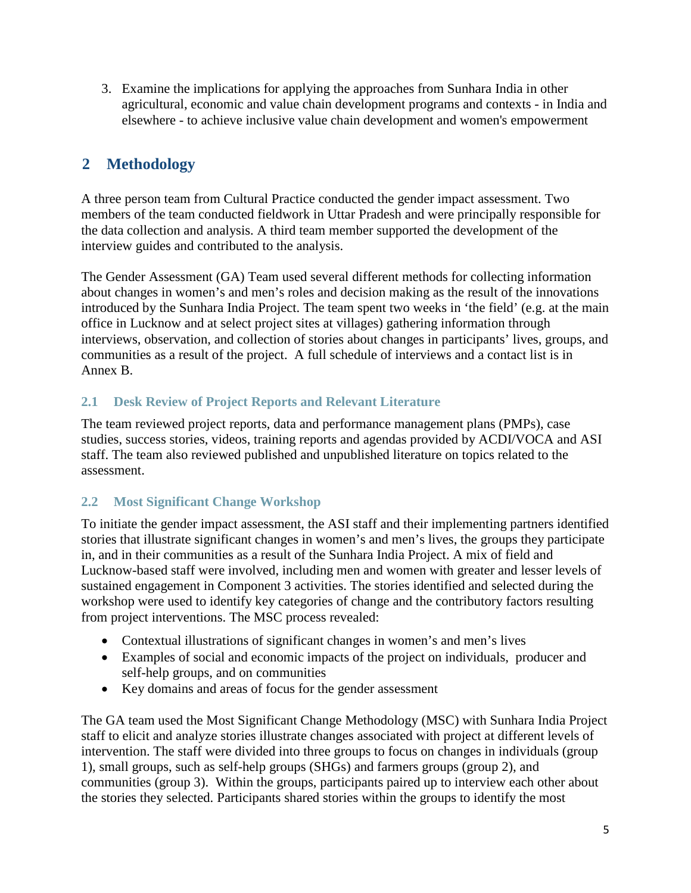3. Examine the implications for applying the approaches from Sunhara India in other agricultural, economic and value chain development programs and contexts - in India and elsewhere - to achieve inclusive value chain development and women's empowerment

# <span id="page-15-0"></span>**2 Methodology**

A three person team from Cultural Practice conducted the gender impact assessment. Two members of the team conducted fieldwork in Uttar Pradesh and were principally responsible for the data collection and analysis. A third team member supported the development of the interview guides and contributed to the analysis.

The Gender Assessment (GA) Team used several different methods for collecting information about changes in women's and men's roles and decision making as the result of the innovations introduced by the Sunhara India Project. The team spent two weeks in 'the field' (e.g. at the main office in Lucknow and at select project sites at villages) gathering information through interviews, observation, and collection of stories about changes in participants' lives, groups, and communities as a result of the project. A full schedule of interviews and a contact list is in Annex B.

# <span id="page-15-1"></span>**2.1 Desk Review of Project Reports and Relevant Literature**

The team reviewed project reports, data and performance management plans (PMPs), case studies, success stories, videos, training reports and agendas provided by ACDI/VOCA and ASI staff. The team also reviewed published and unpublished literature on topics related to the assessment.

# <span id="page-15-2"></span>**2.2 Most Significant Change Workshop**

To initiate the gender impact assessment, the ASI staff and their implementing partners identified stories that illustrate significant changes in women's and men's lives, the groups they participate in, and in their communities as a result of the Sunhara India Project. A mix of field and Lucknow-based staff were involved, including men and women with greater and lesser levels of sustained engagement in Component 3 activities. The stories identified and selected during the workshop were used to identify key categories of change and the contributory factors resulting from project interventions. The MSC process revealed:

- Contextual illustrations of significant changes in women's and men's lives
- Examples of social and economic impacts of the project on individuals, producer and self-help groups, and on communities
- Key domains and areas of focus for the gender assessment

The GA team used the Most Significant Change Methodology (MSC) with Sunhara India Project staff to elicit and analyze stories illustrate changes associated with project at different levels of intervention. The staff were divided into three groups to focus on changes in individuals (group 1), small groups, such as self-help groups (SHGs) and farmers groups (group 2), and communities (group 3). Within the groups, participants paired up to interview each other about the stories they selected. Participants shared stories within the groups to identify the most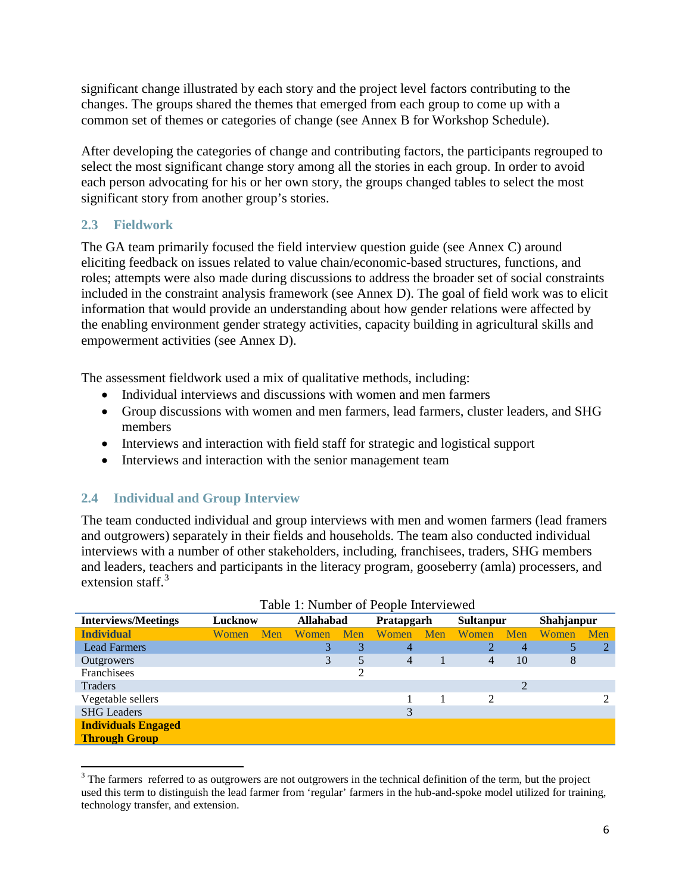significant change illustrated by each story and the project level factors contributing to the changes. The groups shared the themes that emerged from each group to come up with a common set of themes or categories of change (see Annex B for Workshop Schedule).

After developing the categories of change and contributing factors, the participants regrouped to select the most significant change story among all the stories in each group. In order to avoid each person advocating for his or her own story, the groups changed tables to select the most significant story from another group's stories.

# <span id="page-16-0"></span>**2.3 Fieldwork**

The GA team primarily focused the field interview question guide (see Annex C) around eliciting feedback on issues related to value chain/economic-based structures, functions, and roles; attempts were also made during discussions to address the broader set of social constraints included in the constraint analysis framework (see Annex D). The goal of field work was to elicit information that would provide an understanding about how gender relations were affected by the enabling environment gender strategy activities, capacity building in agricultural skills and empowerment activities (see Annex D).

The assessment fieldwork used a mix of qualitative methods, including:

- Individual interviews and discussions with women and men farmers
- Group discussions with women and men farmers, lead farmers, cluster leaders, and SHG members
- Interviews and interaction with field staff for strategic and logistical support
- Interviews and interaction with the senior management team

# <span id="page-16-1"></span>**2.4 Individual and Group Interview**

The team conducted individual and group interviews with men and women farmers (lead framers and outgrowers) separately in their fields and households. The team also conducted individual interviews with a number of other stakeholders, including, franchisees, traders, SHG members and leaders, teachers and participants in the literacy program, gooseberry (amla) processers, and extension staff. $3$ 

|                            | Table 1. INHING OF FCOPIC HILL VIUWED |     |                  |            |              |     |                  |                |            |     |
|----------------------------|---------------------------------------|-----|------------------|------------|--------------|-----|------------------|----------------|------------|-----|
| <b>Interviews/Meetings</b> | Lucknow                               |     | <b>Allahabad</b> | Pratapgarh |              |     | <b>Sultanpur</b> |                | Shahjanpur |     |
| <b>Individual</b>          | Women                                 | Men | Women            | Men        | <b>Women</b> | Men | <b>Women</b>     | Men            | Women      | Men |
| <b>Lead Farmers</b>        |                                       |     | 3                | 3          | 4            |     | 2                | $\overline{4}$ |            | 2   |
| Outgrowers                 |                                       |     | 3                | 5          | 4            |     | 4                | 10             | 8          |     |
| Franchisees                |                                       |     |                  |            |              |     |                  |                |            |     |
| Traders                    |                                       |     |                  |            |              |     |                  | 2              |            |     |
| Vegetable sellers          |                                       |     |                  |            |              |     | $\mathfrak{D}$   |                |            |     |
| <b>SHG</b> Leaders         |                                       |     |                  |            | 3            |     |                  |                |            |     |
| <b>Individuals Engaged</b> |                                       |     |                  |            |              |     |                  |                |            |     |
| <b>Through Group</b>       |                                       |     |                  |            |              |     |                  |                |            |     |

| Table 1: Number of People Interviewed |  |  |  |  |
|---------------------------------------|--|--|--|--|
|---------------------------------------|--|--|--|--|

<span id="page-16-2"></span><sup>&</sup>lt;sup>3</sup> The farmers referred to as outgrowers are not outgrowers in the technical definition of the term, but the project used this term to distinguish the lead farmer from 'regular' farmers in the hub-and-spoke model utilized for training, technology transfer, and extension.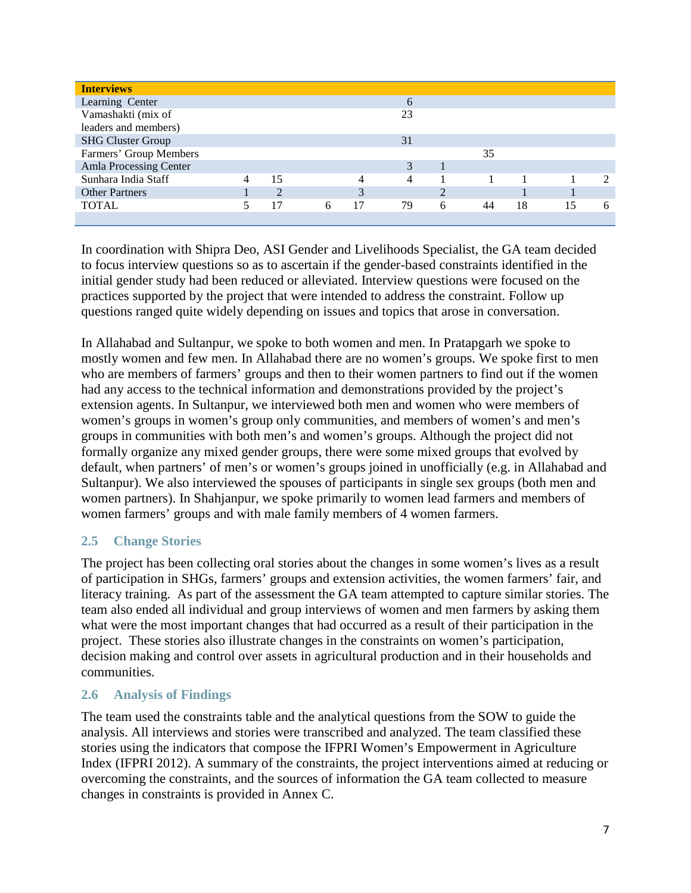| <b>Interviews</b>        |                |   |    |    |           |    |    |    |   |
|--------------------------|----------------|---|----|----|-----------|----|----|----|---|
| Learning Center          |                |   |    | 6  |           |    |    |    |   |
| Vamashakti (mix of       |                |   |    | 23 |           |    |    |    |   |
| leaders and members)     |                |   |    |    |           |    |    |    |   |
| <b>SHG Cluster Group</b> |                |   |    | 31 |           |    |    |    |   |
| Farmers' Group Members   |                |   |    |    |           | 35 |    |    |   |
| Amla Processing Center   |                |   |    | 3  |           |    |    |    |   |
| Sunhara India Staff      | 15             |   |    | 4  |           |    |    |    |   |
| <b>Other Partners</b>    | $\mathfrak{D}$ |   |    |    | $\bigcap$ |    |    |    |   |
| <b>TOTAL</b>             | 17             | 6 | 17 | 79 | 6         | 44 | 18 | 15 | 6 |
|                          |                |   |    |    |           |    |    |    |   |

In coordination with Shipra Deo, ASI Gender and Livelihoods Specialist, the GA team decided to focus interview questions so as to ascertain if the gender-based constraints identified in the initial gender study had been reduced or alleviated. Interview questions were focused on the practices supported by the project that were intended to address the constraint. Follow up questions ranged quite widely depending on issues and topics that arose in conversation.

In Allahabad and Sultanpur, we spoke to both women and men. In Pratapgarh we spoke to mostly women and few men. In Allahabad there are no women's groups. We spoke first to men who are members of farmers' groups and then to their women partners to find out if the women had any access to the technical information and demonstrations provided by the project's extension agents. In Sultanpur, we interviewed both men and women who were members of women's groups in women's group only communities, and members of women's and men's groups in communities with both men's and women's groups. Although the project did not formally organize any mixed gender groups, there were some mixed groups that evolved by default, when partners' of men's or women's groups joined in unofficially (e.g. in Allahabad and Sultanpur). We also interviewed the spouses of participants in single sex groups (both men and women partners). In Shahjanpur, we spoke primarily to women lead farmers and members of women farmers' groups and with male family members of 4 women farmers.

# <span id="page-17-0"></span>**2.5 Change Stories**

The project has been collecting oral stories about the changes in some women's lives as a result of participation in SHGs, farmers' groups and extension activities, the women farmers' fair, and literacy training. As part of the assessment the GA team attempted to capture similar stories. The team also ended all individual and group interviews of women and men farmers by asking them what were the most important changes that had occurred as a result of their participation in the project. These stories also illustrate changes in the constraints on women's participation, decision making and control over assets in agricultural production and in their households and communities.

# <span id="page-17-1"></span>**2.6 Analysis of Findings**

The team used the constraints table and the analytical questions from the SOW to guide the analysis. All interviews and stories were transcribed and analyzed. The team classified these stories using the indicators that compose the IFPRI Women's Empowerment in Agriculture Index (IFPRI 2012). A summary of the constraints, the project interventions aimed at reducing or overcoming the constraints, and the sources of information the GA team collected to measure changes in constraints is provided in Annex C.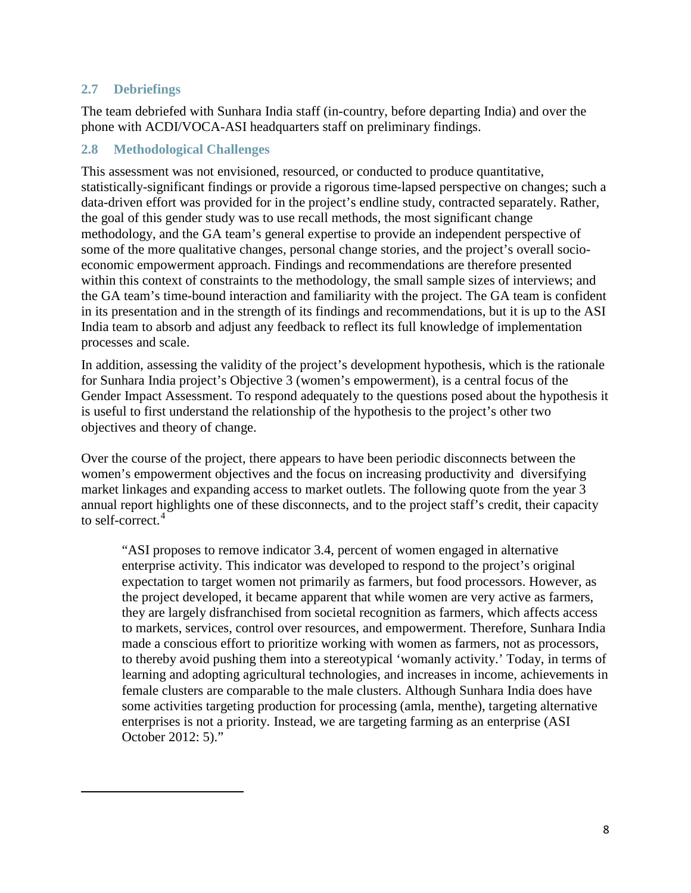# <span id="page-18-0"></span>**2.7 Debriefings**

<span id="page-18-2"></span>l

The team debriefed with Sunhara India staff (in-country, before departing India) and over the phone with ACDI/VOCA-ASI headquarters staff on preliminary findings.

# <span id="page-18-1"></span>**2.8 Methodological Challenges**

This assessment was not envisioned, resourced, or conducted to produce quantitative, statistically-significant findings or provide a rigorous time-lapsed perspective on changes; such a data-driven effort was provided for in the project's endline study, contracted separately. Rather, the goal of this gender study was to use recall methods, the most significant change methodology, and the GA team's general expertise to provide an independent perspective of some of the more qualitative changes, personal change stories, and the project's overall socioeconomic empowerment approach. Findings and recommendations are therefore presented within this context of constraints to the methodology, the small sample sizes of interviews; and the GA team's time-bound interaction and familiarity with the project. The GA team is confident in its presentation and in the strength of its findings and recommendations, but it is up to the ASI India team to absorb and adjust any feedback to reflect its full knowledge of implementation processes and scale.

In addition, assessing the validity of the project's development hypothesis, which is the rationale for Sunhara India project's Objective 3 (women's empowerment), is a central focus of the Gender Impact Assessment. To respond adequately to the questions posed about the hypothesis it is useful to first understand the relationship of the hypothesis to the project's other two objectives and theory of change.

Over the course of the project, there appears to have been periodic disconnects between the women's empowerment objectives and the focus on increasing productivity and diversifying market linkages and expanding access to market outlets. The following quote from the year 3 annual report highlights one of these disconnects, and to the project staff's credit, their capacity to self-correct. [4](#page-18-2)

"ASI proposes to remove indicator 3.4, percent of women engaged in alternative enterprise activity. This indicator was developed to respond to the project's original expectation to target women not primarily as farmers, but food processors. However, as the project developed, it became apparent that while women are very active as farmers, they are largely disfranchised from societal recognition as farmers, which affects access to markets, services, control over resources, and empowerment. Therefore, Sunhara India made a conscious effort to prioritize working with women as farmers, not as processors, to thereby avoid pushing them into a stereotypical 'womanly activity.' Today, in terms of learning and adopting agricultural technologies, and increases in income, achievements in female clusters are comparable to the male clusters. Although Sunhara India does have some activities targeting production for processing (amla, menthe), targeting alternative enterprises is not a priority. Instead, we are targeting farming as an enterprise (ASI October 2012: 5)."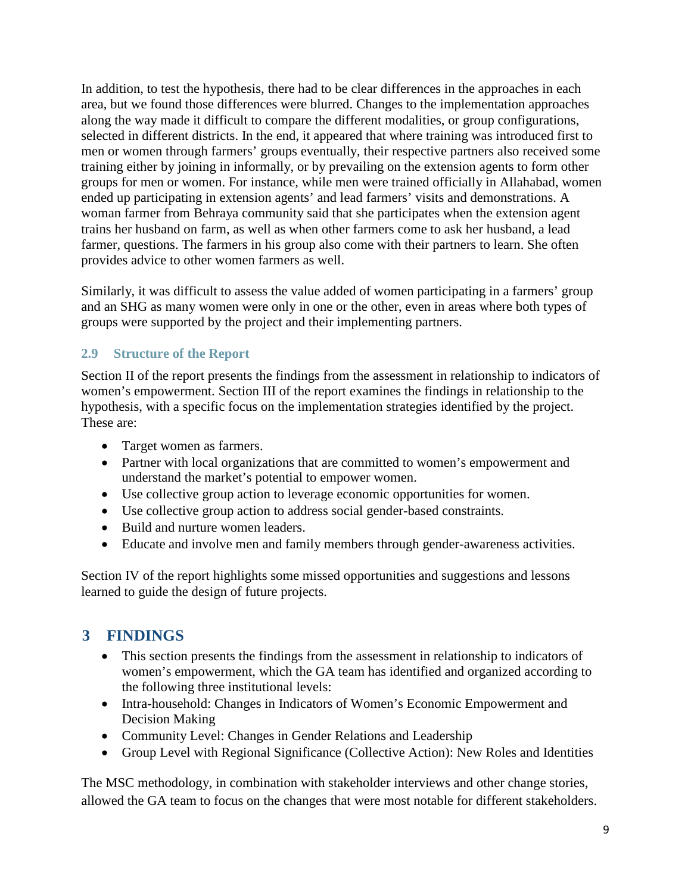In addition, to test the hypothesis, there had to be clear differences in the approaches in each area, but we found those differences were blurred. Changes to the implementation approaches along the way made it difficult to compare the different modalities, or group configurations, selected in different districts. In the end, it appeared that where training was introduced first to men or women through farmers' groups eventually, their respective partners also received some training either by joining in informally, or by prevailing on the extension agents to form other groups for men or women. For instance, while men were trained officially in Allahabad, women ended up participating in extension agents' and lead farmers' visits and demonstrations. A woman farmer from Behraya community said that she participates when the extension agent trains her husband on farm, as well as when other farmers come to ask her husband, a lead farmer, questions. The farmers in his group also come with their partners to learn. She often provides advice to other women farmers as well.

Similarly, it was difficult to assess the value added of women participating in a farmers' group and an SHG as many women were only in one or the other, even in areas where both types of groups were supported by the project and their implementing partners.

# <span id="page-19-0"></span>**2.9 Structure of the Report**

Section II of the report presents the findings from the assessment in relationship to indicators of women's empowerment. Section III of the report examines the findings in relationship to the hypothesis, with a specific focus on the implementation strategies identified by the project. These are:

- Target women as farmers.
- Partner with local organizations that are committed to women's empowerment and understand the market's potential to empower women.
- Use collective group action to leverage economic opportunities for women.
- Use collective group action to address social gender-based constraints.
- Build and nurture women leaders.
- Educate and involve men and family members through gender-awareness activities.

Section IV of the report highlights some missed opportunities and suggestions and lessons learned to guide the design of future projects.

# <span id="page-19-1"></span>**3 FINDINGS**

- This section presents the findings from the assessment in relationship to indicators of women's empowerment, which the GA team has identified and organized according to the following three institutional levels:
- Intra-household: Changes in Indicators of Women's Economic Empowerment and Decision Making
- Community Level: Changes in Gender Relations and Leadership
- Group Level with Regional Significance (Collective Action): New Roles and Identities

The MSC methodology, in combination with stakeholder interviews and other change stories, allowed the GA team to focus on the changes that were most notable for different stakeholders.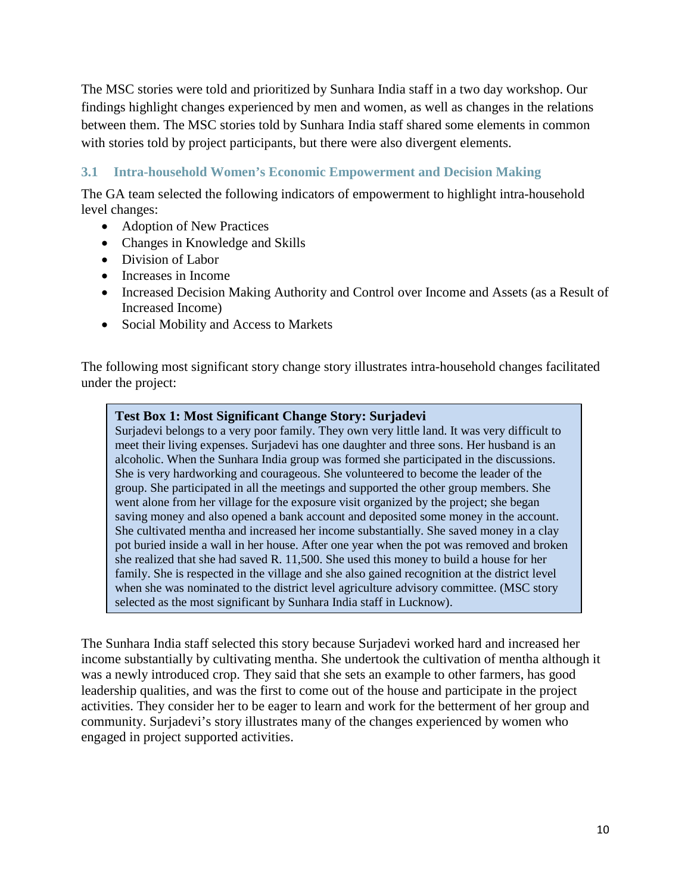The MSC stories were told and prioritized by Sunhara India staff in a two day workshop. Our findings highlight changes experienced by men and women, as well as changes in the relations between them. The MSC stories told by Sunhara India staff shared some elements in common with stories told by project participants, but there were also divergent elements.

# <span id="page-20-0"></span>**3.1 Intra-household Women's Economic Empowerment and Decision Making**

The GA team selected the following indicators of empowerment to highlight intra-household level changes:

- Adoption of New Practices
- Changes in Knowledge and Skills
- Division of Labor
- Increases in Income
- Increased Decision Making Authority and Control over Income and Assets (as a Result of Increased Income)
- Social Mobility and Access to Markets

The following most significant story change story illustrates intra-household changes facilitated under the project:

# **Test Box 1: Most Significant Change Story: Surjadevi**

Surjadevi belongs to a very poor family. They own very little land. It was very difficult to meet their living expenses. Surjadevi has one daughter and three sons. Her husband is an alcoholic. When the Sunhara India group was formed she participated in the discussions. She is very hardworking and courageous. She volunteered to become the leader of the group. She participated in all the meetings and supported the other group members. She went alone from her village for the exposure visit organized by the project; she began saving money and also opened a bank account and deposited some money in the account. She cultivated mentha and increased her income substantially. She saved money in a clay pot buried inside a wall in her house. After one year when the pot was removed and broken she realized that she had saved R. 11,500. She used this money to build a house for her family. She is respected in the village and she also gained recognition at the district level when she was nominated to the district level agriculture advisory committee. (MSC story selected as the most significant by Sunhara India staff in Lucknow).

The Sunhara India staff selected this story because Surjadevi worked hard and increased her income substantially by cultivating mentha. She undertook the cultivation of mentha although it was a newly introduced crop. They said that she sets an example to other farmers, has good leadership qualities, and was the first to come out of the house and participate in the project activities. They consider her to be eager to learn and work for the betterment of her group and community. Surjadevi's story illustrates many of the changes experienced by women who engaged in project supported activities.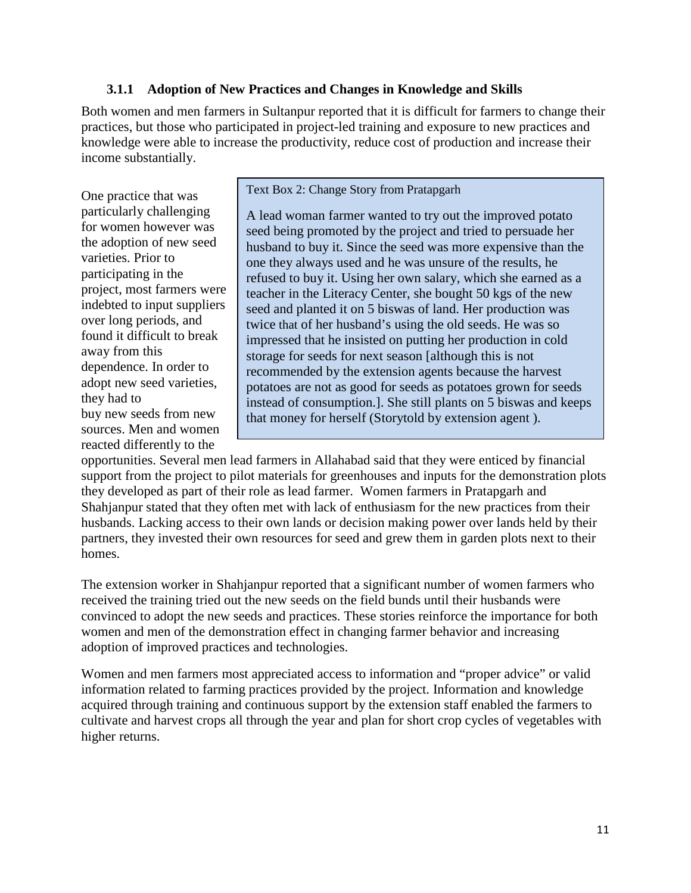# **3.1.1 Adoption of New Practices and Changes in Knowledge and Skills**

<span id="page-21-0"></span>Both women and men farmers in Sultanpur reported that it is difficult for farmers to change their practices, but those who participated in project-led training and exposure to new practices and knowledge were able to increase the productivity, reduce cost of production and increase their income substantially.

One practice that was particularly challenging for women however was the adoption of new seed varieties. Prior to participating in the project, most farmers were indebted to input suppliers over long periods, and found it difficult to break away from this dependence. In order to adopt new seed varieties, they had to buy new seeds from new sources. Men and women reacted differently to the

Text Box 2: Change Story from Pratapgarh

A lead woman farmer wanted to try out the improved potato seed being promoted by the project and tried to persuade her husband to buy it. Since the seed was more expensive than the one they always used and he was unsure of the results, he refused to buy it. Using her own salary, which she earned as a teacher in the Literacy Center, she bought 50 kgs of the new seed and planted it on 5 biswas of land. Her production was twice that of her husband's using the old seeds. He was so impressed that he insisted on putting her production in cold storage for seeds for next season [although this is not recommended by the extension agents because the harvest potatoes are not as good for seeds as potatoes grown for seeds instead of consumption.]. She still plants on 5 biswas and keeps that money for herself (Storytold by extension agent ).

opportunities. Several men lead farmers in Allahabad said that they were enticed by financial support from the project to pilot materials for greenhouses and inputs for the demonstration plots they developed as part of their role as lead farmer. Women farmers in Pratapgarh and Shahjanpur stated that they often met with lack of enthusiasm for the new practices from their husbands. Lacking access to their own lands or decision making power over lands held by their partners, they invested their own resources for seed and grew them in garden plots next to their homes.

The extension worker in Shahjanpur reported that a significant number of women farmers who received the training tried out the new seeds on the field bunds until their husbands were convinced to adopt the new seeds and practices. These stories reinforce the importance for both women and men of the demonstration effect in changing farmer behavior and increasing adoption of improved practices and technologies.

Women and men farmers most appreciated access to information and "proper advice" or valid information related to farming practices provided by the project. Information and knowledge acquired through training and continuous support by the extension staff enabled the farmers to cultivate and harvest crops all through the year and plan for short crop cycles of vegetables with higher returns.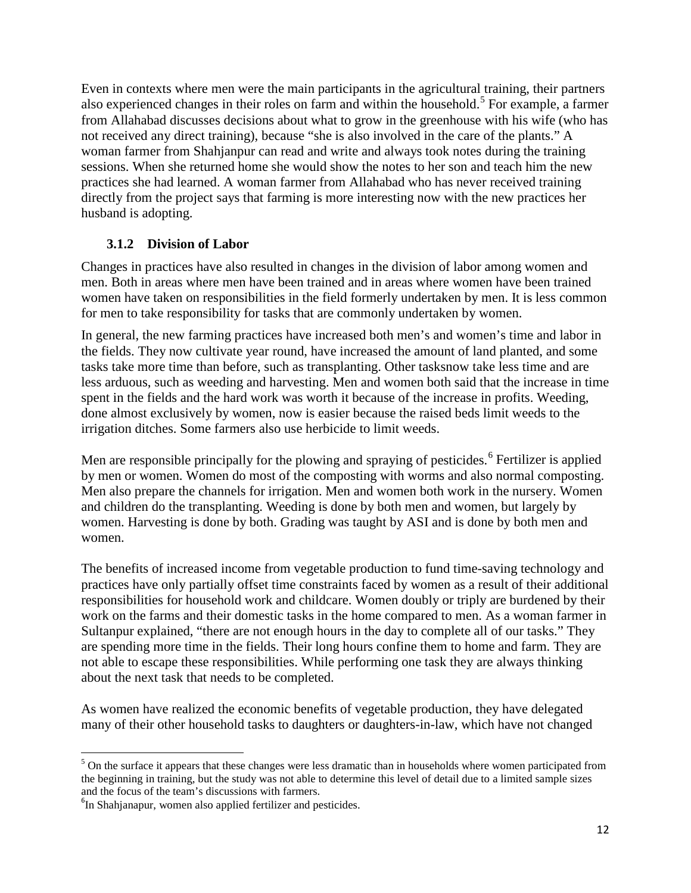Even in contexts where men were the main participants in the agricultural training, their partners also experienced changes in their roles on farm and within the household.<sup>[5](#page-22-1)</sup> For example, a farmer from Allahabad discusses decisions about what to grow in the greenhouse with his wife (who has not received any direct training), because "she is also involved in the care of the plants." A woman farmer from Shahjanpur can read and write and always took notes during the training sessions. When she returned home she would show the notes to her son and teach him the new practices she had learned. A woman farmer from Allahabad who has never received training directly from the project says that farming is more interesting now with the new practices her husband is adopting.

# **3.1.2 Division of Labor**

<span id="page-22-0"></span>Changes in practices have also resulted in changes in the division of labor among women and men. Both in areas where men have been trained and in areas where women have been trained women have taken on responsibilities in the field formerly undertaken by men. It is less common for men to take responsibility for tasks that are commonly undertaken by women.

In general, the new farming practices have increased both men's and women's time and labor in the fields. They now cultivate year round, have increased the amount of land planted, and some tasks take more time than before, such as transplanting. Other tasksnow take less time and are less arduous, such as weeding and harvesting. Men and women both said that the increase in time spent in the fields and the hard work was worth it because of the increase in profits. Weeding, done almost exclusively by women, now is easier because the raised beds limit weeds to the irrigation ditches. Some farmers also use herbicide to limit weeds.

Men are responsible principally for the plowing and spraying of pesticides.<sup>[6](#page-22-2)</sup> Fertilizer is applied by men or women. Women do most of the composting with worms and also normal composting. Men also prepare the channels for irrigation. Men and women both work in the nursery. Women and children do the transplanting. Weeding is done by both men and women, but largely by women. Harvesting is done by both. Grading was taught by ASI and is done by both men and women.

The benefits of increased income from vegetable production to fund time-saving technology and practices have only partially offset time constraints faced by women as a result of their additional responsibilities for household work and childcare. Women doubly or triply are burdened by their work on the farms and their domestic tasks in the home compared to men. As a woman farmer in Sultanpur explained, "there are not enough hours in the day to complete all of our tasks." They are spending more time in the fields. Their long hours confine them to home and farm. They are not able to escape these responsibilities. While performing one task they are always thinking about the next task that needs to be completed.

As women have realized the economic benefits of vegetable production, they have delegated many of their other household tasks to daughters or daughters-in-law, which have not changed

<span id="page-22-1"></span> $<sup>5</sup>$  On the surface it appears that these changes were less dramatic than in households where women participated from</sup> the beginning in training, but the study was not able to determine this level of detail due to a limited sample sizes and the focus of the team's discussions with farmers.

<span id="page-22-2"></span><sup>&</sup>lt;sup>6</sup>In Shahjanapur, women also applied fertilizer and pesticides.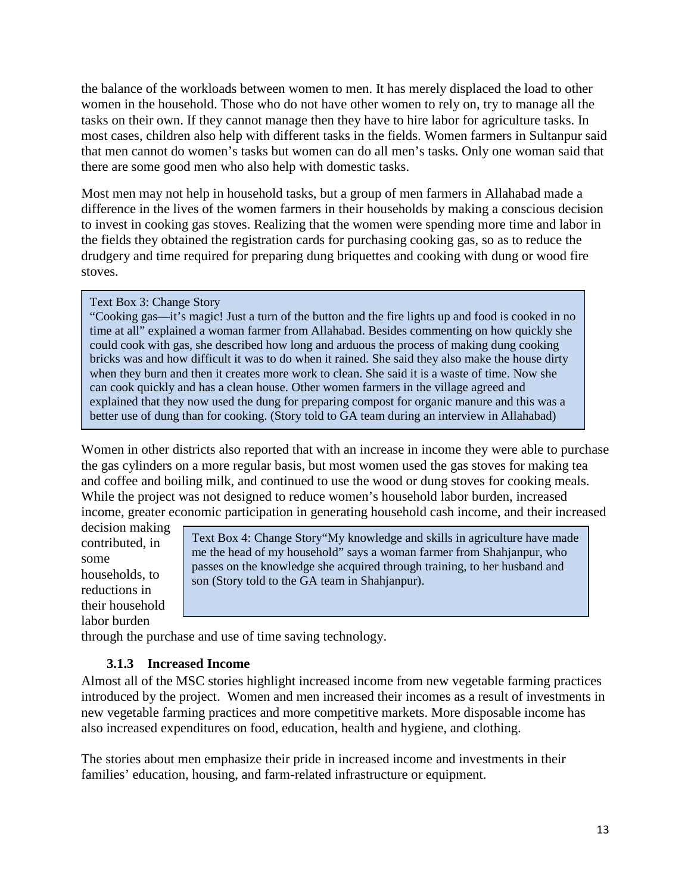the balance of the workloads between women to men. It has merely displaced the load to other women in the household. Those who do not have other women to rely on, try to manage all the tasks on their own. If they cannot manage then they have to hire labor for agriculture tasks. In most cases, children also help with different tasks in the fields. Women farmers in Sultanpur said that men cannot do women's tasks but women can do all men's tasks. Only one woman said that there are some good men who also help with domestic tasks.

Most men may not help in household tasks, but a group of men farmers in Allahabad made a difference in the lives of the women farmers in their households by making a conscious decision to invest in cooking gas stoves. Realizing that the women were spending more time and labor in the fields they obtained the registration cards for purchasing cooking gas, so as to reduce the drudgery and time required for preparing dung briquettes and cooking with dung or wood fire stoves.

## Text Box 3: Change Story

"Cooking gas—it's magic! Just a turn of the button and the fire lights up and food is cooked in no time at all" explained a woman farmer from Allahabad. Besides commenting on how quickly she could cook with gas, she described how long and arduous the process of making dung cooking bricks was and how difficult it was to do when it rained. She said they also make the house dirty when they burn and then it creates more work to clean. She said it is a waste of time. Now she can cook quickly and has a clean house. Other women farmers in the village agreed and explained that they now used the dung for preparing compost for organic manure and this was a better use of dung than for cooking. (Story told to GA team during an interview in Allahabad)

Women in other districts also reported that with an increase in income they were able to purchase the gas cylinders on a more regular basis, but most women used the gas stoves for making tea and coffee and boiling milk, and continued to use the wood or dung stoves for cooking meals. While the project was not designed to reduce women's household labor burden, increased income, greater economic participation in generating household cash income, and their increased

decision making contributed, in some households, to reductions in their household labor burden

Text Box 4: Change Story"My knowledge and skills in agriculture have made me the head of my household" says a woman farmer from Shahjanpur, who passes on the knowledge she acquired through training, to her husband and son (Story told to the GA team in Shahjanpur).

<span id="page-23-0"></span>through the purchase and use of time saving technology.

# **3.1.3 Increased Income**

Almost all of the MSC stories highlight increased income from new vegetable farming practices introduced by the project. Women and men increased their incomes as a result of investments in new vegetable farming practices and more competitive markets. More disposable income has also increased expenditures on food, education, health and hygiene, and clothing.

The stories about men emphasize their pride in increased income and investments in their families' education, housing, and farm-related infrastructure or equipment.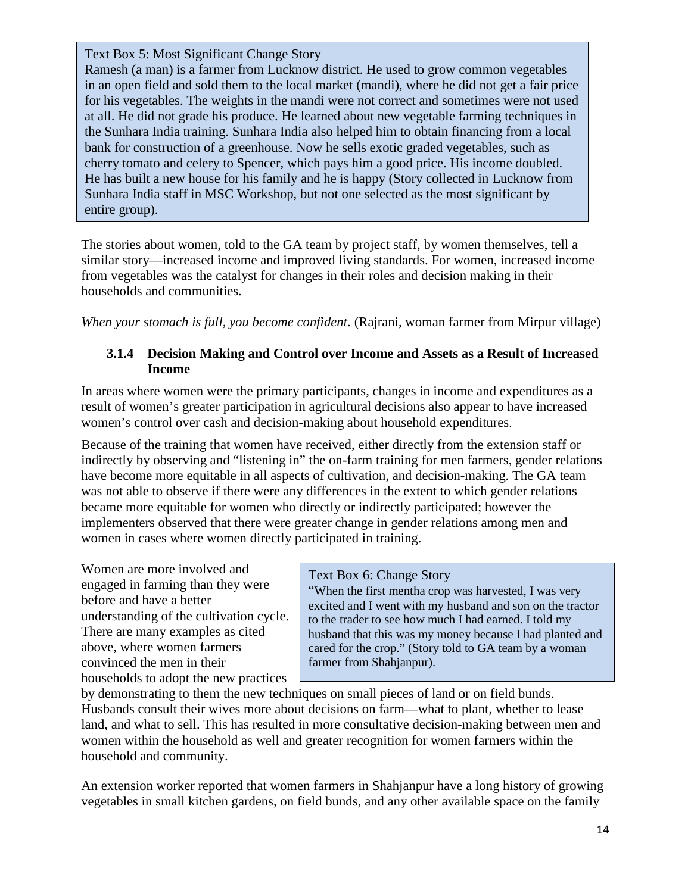Text Box 5: Most Significant Change Story

Ramesh (a man) is a farmer from Lucknow district. He used to grow common vegetables in an open field and sold them to the local market (mandi), where he did not get a fair price for his vegetables. The weights in the mandi were not correct and sometimes were not used at all. He did not grade his produce. He learned about new vegetable farming techniques in the Sunhara India training. Sunhara India also helped him to obtain financing from a local bank for construction of a greenhouse. Now he sells exotic graded vegetables, such as cherry tomato and celery to Spencer, which pays him a good price. His income doubled. He has built a new house for his family and he is happy (Story collected in Lucknow from Sunhara India staff in MSC Workshop, but not one selected as the most significant by entire group).

The stories about women, told to the GA team by project staff, by women themselves, tell a similar story—increased income and improved living standards. For women, increased income from vegetables was the catalyst for changes in their roles and decision making in their households and communities.

*When your stomach is full, you become confident*. (Rajrani, woman farmer from Mirpur village)

# <span id="page-24-0"></span>**3.1.4 Decision Making and Control over Income and Assets as a Result of Increased Income**

In areas where women were the primary participants, changes in income and expenditures as a result of women's greater participation in agricultural decisions also appear to have increased women's control over cash and decision-making about household expenditures.

Because of the training that women have received, either directly from the extension staff or indirectly by observing and "listening in" the on-farm training for men farmers, gender relations have become more equitable in all aspects of cultivation, and decision-making. The GA team was not able to observe if there were any differences in the extent to which gender relations became more equitable for women who directly or indirectly participated; however the implementers observed that there were greater change in gender relations among men and women in cases where women directly participated in training.

Women are more involved and engaged in farming than they were before and have a better understanding of the cultivation cycle. There are many examples as cited above, where women farmers convinced the men in their households to adopt the new practices

## Text Box 6: Change Story

"When the first mentha crop was harvested, I was very excited and I went with my husband and son on the tractor to the trader to see how much I had earned. I told my husband that this was my money because I had planted and cared for the crop." (Story told to GA team by a woman farmer from Shahjanpur).

by demonstrating to them the new techniques on small pieces of land or on field bunds. Husbands consult their wives more about decisions on farm—what to plant, whether to lease land, and what to sell. This has resulted in more consultative decision-making between men and women within the household as well and greater recognition for women farmers within the household and community.

An extension worker reported that women farmers in Shahjanpur have a long history of growing vegetables in small kitchen gardens, on field bunds, and any other available space on the family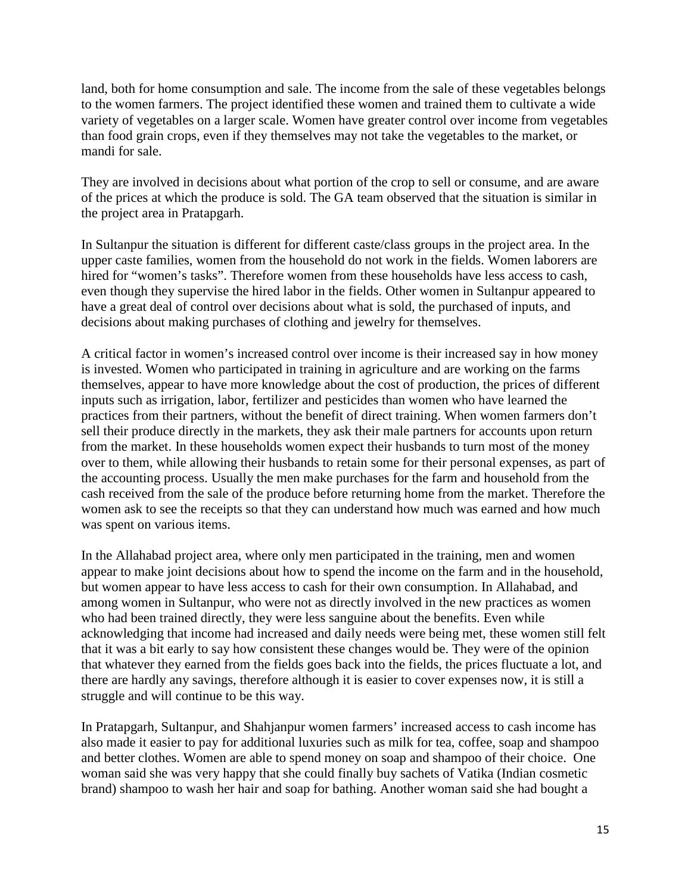land, both for home consumption and sale. The income from the sale of these vegetables belongs to the women farmers. The project identified these women and trained them to cultivate a wide variety of vegetables on a larger scale. Women have greater control over income from vegetables than food grain crops, even if they themselves may not take the vegetables to the market, or mandi for sale.

They are involved in decisions about what portion of the crop to sell or consume, and are aware of the prices at which the produce is sold. The GA team observed that the situation is similar in the project area in Pratapgarh.

In Sultanpur the situation is different for different caste/class groups in the project area. In the upper caste families, women from the household do not work in the fields. Women laborers are hired for "women's tasks". Therefore women from these households have less access to cash, even though they supervise the hired labor in the fields. Other women in Sultanpur appeared to have a great deal of control over decisions about what is sold, the purchased of inputs, and decisions about making purchases of clothing and jewelry for themselves.

A critical factor in women's increased control over income is their increased say in how money is invested. Women who participated in training in agriculture and are working on the farms themselves, appear to have more knowledge about the cost of production, the prices of different inputs such as irrigation, labor, fertilizer and pesticides than women who have learned the practices from their partners, without the benefit of direct training. When women farmers don't sell their produce directly in the markets, they ask their male partners for accounts upon return from the market. In these households women expect their husbands to turn most of the money over to them, while allowing their husbands to retain some for their personal expenses, as part of the accounting process. Usually the men make purchases for the farm and household from the cash received from the sale of the produce before returning home from the market. Therefore the women ask to see the receipts so that they can understand how much was earned and how much was spent on various items.

In the Allahabad project area, where only men participated in the training, men and women appear to make joint decisions about how to spend the income on the farm and in the household, but women appear to have less access to cash for their own consumption. In Allahabad, and among women in Sultanpur, who were not as directly involved in the new practices as women who had been trained directly, they were less sanguine about the benefits. Even while acknowledging that income had increased and daily needs were being met, these women still felt that it was a bit early to say how consistent these changes would be. They were of the opinion that whatever they earned from the fields goes back into the fields, the prices fluctuate a lot, and there are hardly any savings, therefore although it is easier to cover expenses now, it is still a struggle and will continue to be this way.

In Pratapgarh, Sultanpur, and Shahjanpur women farmers' increased access to cash income has also made it easier to pay for additional luxuries such as milk for tea, coffee, soap and shampoo and better clothes. Women are able to spend money on soap and shampoo of their choice. One woman said she was very happy that she could finally buy sachets of Vatika (Indian cosmetic brand) shampoo to wash her hair and soap for bathing. Another woman said she had bought a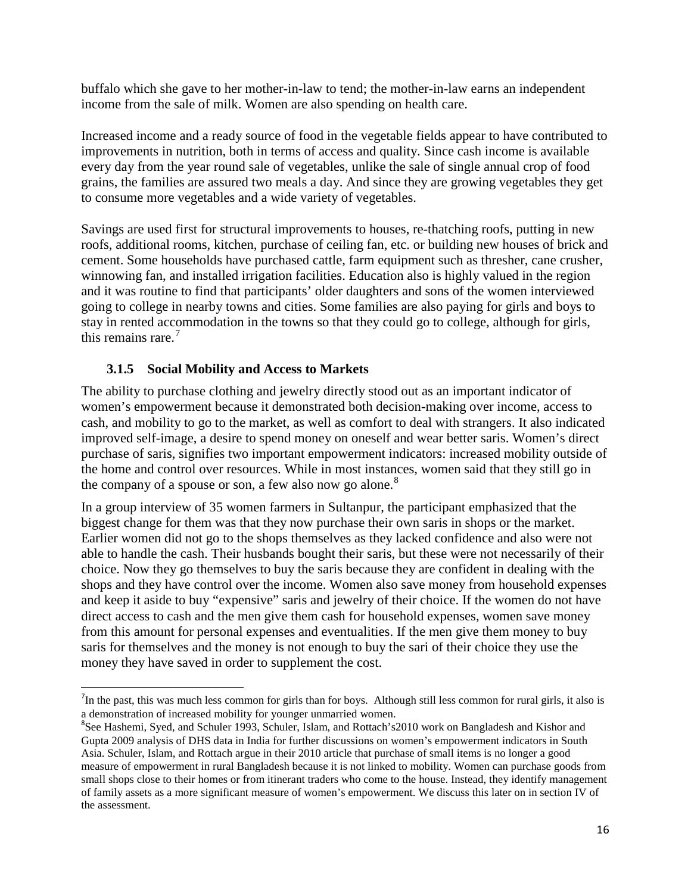buffalo which she gave to her mother-in-law to tend; the mother-in-law earns an independent income from the sale of milk. Women are also spending on health care.

Increased income and a ready source of food in the vegetable fields appear to have contributed to improvements in nutrition, both in terms of access and quality. Since cash income is available every day from the year round sale of vegetables, unlike the sale of single annual crop of food grains, the families are assured two meals a day. And since they are growing vegetables they get to consume more vegetables and a wide variety of vegetables.

Savings are used first for structural improvements to houses, re-thatching roofs, putting in new roofs, additional rooms, kitchen, purchase of ceiling fan, etc. or building new houses of brick and cement. Some households have purchased cattle, farm equipment such as thresher, cane crusher, winnowing fan, and installed irrigation facilities. Education also is highly valued in the region and it was routine to find that participants' older daughters and sons of the women interviewed going to college in nearby towns and cities. Some families are also paying for girls and boys to stay in rented accommodation in the towns so that they could go to college, although for girls, this remains rare.<sup>[7](#page-26-1)</sup>

# **3.1.5 Social Mobility and Access to Markets**

<span id="page-26-0"></span>The ability to purchase clothing and jewelry directly stood out as an important indicator of women's empowerment because it demonstrated both decision-making over income, access to cash, and mobility to go to the market, as well as comfort to deal with strangers. It also indicated improved self-image, a desire to spend money on oneself and wear better saris. Women's direct purchase of saris, signifies two important empowerment indicators: increased mobility outside of the home and control over resources. While in most instances, women said that they still go in the company of a spouse or son, a few also now go alone.<sup>[8](#page-26-2)</sup>

In a group interview of 35 women farmers in Sultanpur, the participant emphasized that the biggest change for them was that they now purchase their own saris in shops or the market. Earlier women did not go to the shops themselves as they lacked confidence and also were not able to handle the cash. Their husbands bought their saris, but these were not necessarily of their choice. Now they go themselves to buy the saris because they are confident in dealing with the shops and they have control over the income. Women also save money from household expenses and keep it aside to buy "expensive" saris and jewelry of their choice. If the women do not have direct access to cash and the men give them cash for household expenses, women save money from this amount for personal expenses and eventualities. If the men give them money to buy saris for themselves and the money is not enough to buy the sari of their choice they use the money they have saved in order to supplement the cost.

<span id="page-26-1"></span><sup>-&</sup>lt;br>7 In the past, this was much less common for girls than for boys. Although still less common for rural girls, it also is a demonstration of increased mobility for younger unmarried women.

<span id="page-26-2"></span><sup>&</sup>lt;sup>8</sup>See Hashemi, Syed, and Schuler 1993, Schuler, Islam, and Rottach's 2010 work on Bangladesh and Kishor and Gupta 2009 analysis of DHS data in India for further discussions on women's empowerment indicators in South Asia. Schuler, Islam, and Rottach argue in their 2010 article that purchase of small items is no longer a good measure of empowerment in rural Bangladesh because it is not linked to mobility. Women can purchase goods from small shops close to their homes or from itinerant traders who come to the house. Instead, they identify management of family assets as a more significant measure of women's empowerment. We discuss this later on in section IV of the assessment.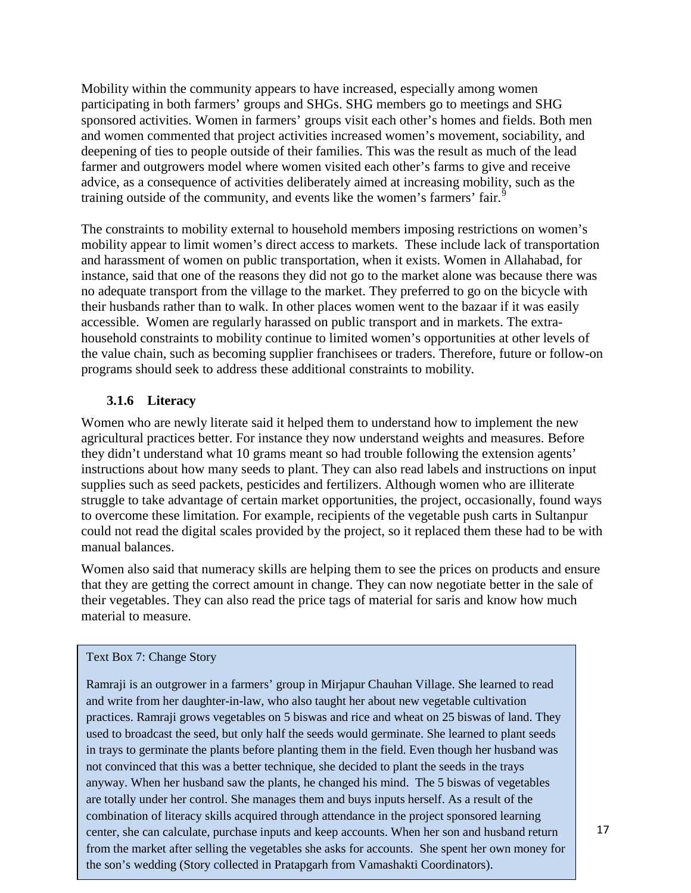Mobility within the community appears to have increased, especially among women participating in both farmers' groups and SHGs. SHG members go to meetings and SHG sponsored activities. Women in farmers' groups visit each other's homes and fields. Both men and women commented that project activities increased women's movement, sociability, and deepening of ties to people outside of their families. This was the result as much of the lead farmer and outgrowers model where women visited each other's farms to give and receive advice, as a consequence of activities deliberately aimed at increasing mobility, such as the training outside of the community, and events like the women's farmers' fair.<sup>[9](#page-27-1)</sup>

The constraints to mobility external to household members imposing restrictions on women's mobility appear to limit women's direct access to markets. These include lack of transportation and harassment of women on public transportation, when it exists. Women in Allahabad, for instance, said that one of the reasons they did not go to the market alone was because there was no adequate transport from the village to the market. They preferred to go on the bicycle with their husbands rather than to walk. In other places women went to the bazaar if it was easily accessible. Women are regularly harassed on public transport and in markets. The extrahousehold constraints to mobility continue to limited women's opportunities at other levels of the value chain, such as becoming supplier franchisees or traders. Therefore, future or follow-on programs should seek to address these additional constraints to mobility.

# **3.1.6 Literacy**

<span id="page-27-0"></span>Women who are newly literate said it helped them to understand how to implement the new agricultural practices better. For instance they now understand weights and measures. Before they didn't understand what 10 grams meant so had trouble following the extension agents' instructions about how many seeds to plant. They can also read labels and instructions on input supplies such as seed packets, pesticides and fertilizers. Although women who are illiterate struggle to take advantage of certain market opportunities, the project, occasionally, found ways to overcome these limitation. For example, recipients of the vegetable push carts in Sultanpur could not read the digital scales provided by the project, so it replaced them these had to be with manual balances.

Women also said that numeracy skills are helping them to see the prices on products and ensure that they are getting the correct amount in change. They can now negotiate better in the sale of their vegetables. They can also read the price tags of material for saris and know how much material to measure.

#### Text Box 7: Change Story

<span id="page-27-1"></span>Ramraji is an outgrower in a farmers' group in Mirjapur Chauhan Village. She learned to read and write from her daughter-in-law, who also taught her about new vegetable cultivation practices. Ramraji grows vegetables on 5 biswas and rice and wheat on 25 biswas of land. They used to broadcast the seed, but only half the seeds would germinate. She learned to plant seeds in trays to germinate the plants before planting them in the field. Even though her husband was not convinced that this was a better technique, she decided to plant the seeds in the trays anyway. When her husband saw the plants, he changed his mind. The 5 biswas of vegetables are totally under her control. She manages them and buys inputs herself. As a result of the combination of literacy skills acquired through attendance in the project sponsored learning center, she can calculate, purchase inputs and keep accounts. When her son and husband return from the market after selling the vegetables she asks for accounts. She spent her own money for the son's wedding (Story collected in Pratapgarh from Vamashakti Coordinators).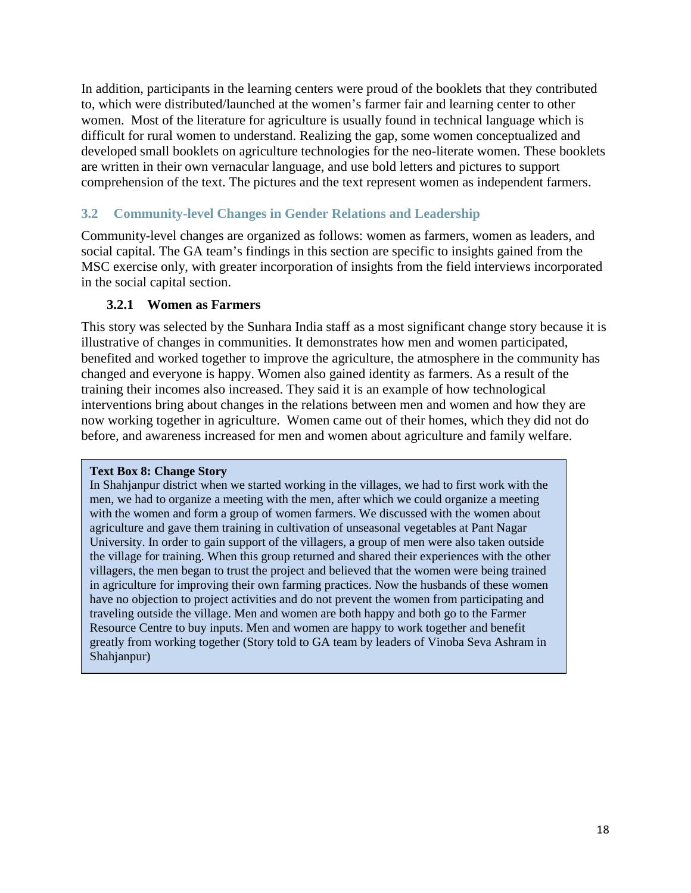In addition, participants in the learning centers were proud of the booklets that they contributed to, which were distributed/launched at the women's farmer fair and learning center to other women. Most of the literature for agriculture is usually found in technical language which is difficult for rural women to understand. Realizing the gap, some women conceptualized and developed small booklets on agriculture technologies for the neo-literate women. These booklets are written in their own vernacular language, and use bold letters and pictures to support comprehension of the text. The pictures and the text represent women as independent farmers.

# <span id="page-28-0"></span>**3.2 Community-level Changes in Gender Relations and Leadership**

Community-level changes are organized as follows: women as farmers, women as leaders, and social capital. The GA team's findings in this section are specific to insights gained from the MSC exercise only, with greater incorporation of insights from the field interviews incorporated in the social capital section.

# **3.2.1 Women as Farmers**

<span id="page-28-1"></span>This story was selected by the Sunhara India staff as a most significant change story because it is illustrative of changes in communities. It demonstrates how men and women participated, benefited and worked together to improve the agriculture, the atmosphere in the community has changed and everyone is happy. Women also gained identity as farmers. As a result of the training their incomes also increased. They said it is an example of how technological interventions bring about changes in the relations between men and women and how they are now working together in agriculture. Women came out of their homes, which they did not do before, and awareness increased for men and women about agriculture and family welfare.

#### **Text Box 8: Change Story**

In Shahjanpur district when we started working in the villages, we had to first work with the men, we had to organize a meeting with the men, after which we could organize a meeting with the women and form a group of women farmers. We discussed with the women about agriculture and gave them training in cultivation of unseasonal vegetables at Pant Nagar University. In order to gain support of the villagers, a group of men were also taken outside the village for training. When this group returned and shared their experiences with the other villagers, the men began to trust the project and believed that the women were being trained in agriculture for improving their own farming practices. Now the husbands of these women have no objection to project activities and do not prevent the women from participating and traveling outside the village. Men and women are both happy and both go to the Farmer Resource Centre to buy inputs. Men and women are happy to work together and benefit greatly from working together (Story told to GA team by leaders of Vinoba Seva Ashram in Shahjanpur)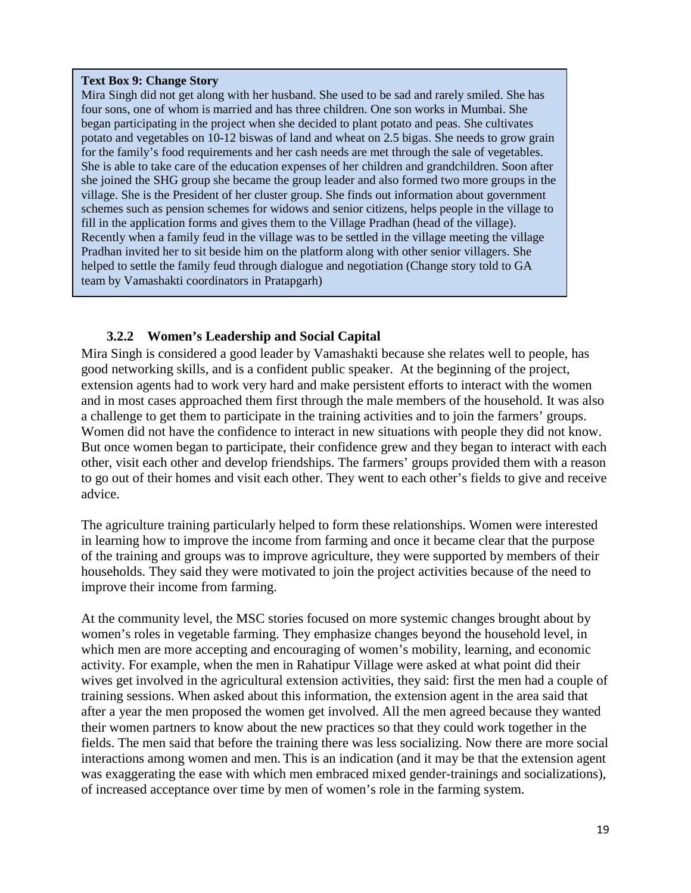#### **Text Box 9: Change Story**

Mira Singh did not get along with her husband. She used to be sad and rarely smiled. She has four sons, one of whom is married and has three children. One son works in Mumbai. She began participating in the project when she decided to plant potato and peas. She cultivates potato and vegetables on 10-12 biswas of land and wheat on 2.5 bigas. She needs to grow grain for the family's food requirements and her cash needs are met through the sale of vegetables. She is able to take care of the education expenses of her children and grandchildren. Soon after she joined the SHG group she became the group leader and also formed two more groups in the village. She is the President of her cluster group. She finds out information about government schemes such as pension schemes for widows and senior citizens, helps people in the village to fill in the application forms and gives them to the Village Pradhan (head of the village). Recently when a family feud in the village was to be settled in the village meeting the village Pradhan invited her to sit beside him on the platform along with other senior villagers. She helped to settle the family feud through dialogue and negotiation (Change story told to GA team by Vamashakti coordinators in Pratapgarh)

# <span id="page-29-0"></span>**3.2.2 Women's Leadership and Social Capital**

Mira Singh is considered a good leader by Vamashakti because she relates well to people, has good networking skills, and is a confident public speaker. At the beginning of the project, extension agents had to work very hard and make persistent efforts to interact with the women and in most cases approached them first through the male members of the household. It was also a challenge to get them to participate in the training activities and to join the farmers' groups. Women did not have the confidence to interact in new situations with people they did not know. But once women began to participate, their confidence grew and they began to interact with each other, visit each other and develop friendships. The farmers' groups provided them with a reason to go out of their homes and visit each other. They went to each other's fields to give and receive advice.

The agriculture training particularly helped to form these relationships. Women were interested in learning how to improve the income from farming and once it became clear that the purpose of the training and groups was to improve agriculture, they were supported by members of their households. They said they were motivated to join the project activities because of the need to improve their income from farming.

At the community level, the MSC stories focused on more systemic changes brought about by women's roles in vegetable farming. They emphasize changes beyond the household level, in which men are more accepting and encouraging of women's mobility, learning, and economic activity. For example, when the men in Rahatipur Village were asked at what point did their wives get involved in the agricultural extension activities, they said: first the men had a couple of training sessions. When asked about this information, the extension agent in the area said that after a year the men proposed the women get involved. All the men agreed because they wanted their women partners to know about the new practices so that they could work together in the fields. The men said that before the training there was less socializing. Now there are more social interactions among women and men. This is an indication (and it may be that the extension agent was exaggerating the ease with which men embraced mixed gender-trainings and socializations), of increased acceptance over time by men of women's role in the farming system.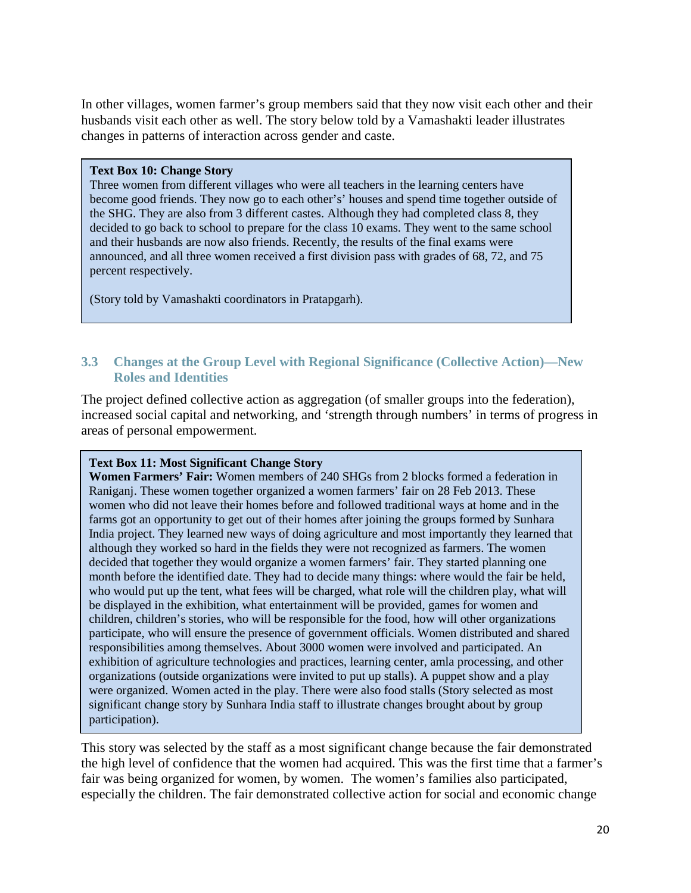In other villages, women farmer's group members said that they now visit each other and their husbands visit each other as well. The story below told by a Vamashakti leader illustrates changes in patterns of interaction across gender and caste.

#### **Text Box 10: Change Story**

Three women from different villages who were all teachers in the learning centers have become good friends. They now go to each other's' houses and spend time together outside of the SHG. They are also from 3 different castes. Although they had completed class 8, they decided to go back to school to prepare for the class 10 exams. They went to the same school and their husbands are now also friends. Recently, the results of the final exams were announced, and all three women received a first division pass with grades of 68, 72, and 75 percent respectively.

(Story told by Vamashakti coordinators in Pratapgarh).

# <span id="page-30-0"></span>**3.3 Changes at the Group Level with Regional Significance (Collective Action)—New Roles and Identities**

The project defined collective action as aggregation (of smaller groups into the federation), increased social capital and networking, and 'strength through numbers' in terms of progress in areas of personal empowerment.

## **Text Box 11: Most Significant Change Story**

**Women Farmers' Fair:** Women members of 240 SHGs from 2 blocks formed a federation in Raniganj. These women together organized a women farmers' fair on 28 Feb 2013. These women who did not leave their homes before and followed traditional ways at home and in the farms got an opportunity to get out of their homes after joining the groups formed by Sunhara India project. They learned new ways of doing agriculture and most importantly they learned that although they worked so hard in the fields they were not recognized as farmers. The women decided that together they would organize a women farmers' fair. They started planning one month before the identified date. They had to decide many things: where would the fair be held, who would put up the tent, what fees will be charged, what role will the children play, what will be displayed in the exhibition, what entertainment will be provided, games for women and children, children's stories, who will be responsible for the food, how will other organizations participate, who will ensure the presence of government officials. Women distributed and shared responsibilities among themselves. About 3000 women were involved and participated. An exhibition of agriculture technologies and practices, learning center, amla processing, and other organizations (outside organizations were invited to put up stalls). A puppet show and a play were organized. Women acted in the play. There were also food stalls (Story selected as most significant change story by Sunhara India staff to illustrate changes brought about by group participation).

This story was selected by the staff as a most significant change because the fair demonstrated the high level of confidence that the women had acquired. This was the first time that a farmer's fair was being organized for women, by women. The women's families also participated, especially the children. The fair demonstrated collective action for social and economic change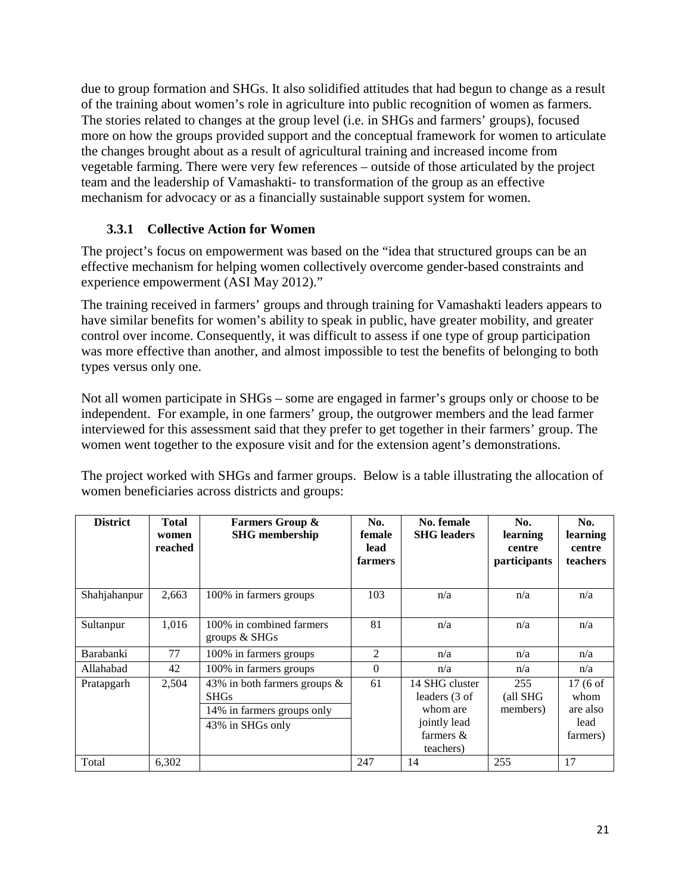due to group formation and SHGs. It also solidified attitudes that had begun to change as a result of the training about women's role in agriculture into public recognition of women as farmers. The stories related to changes at the group level (i.e. in SHGs and farmers' groups), focused more on how the groups provided support and the conceptual framework for women to articulate the changes brought about as a result of agricultural training and increased income from vegetable farming. There were very few references – outside of those articulated by the project team and the leadership of Vamashakti- to transformation of the group as an effective mechanism for advocacy or as a financially sustainable support system for women.

# **3.3.1 Collective Action for Women**

<span id="page-31-0"></span>The project's focus on empowerment was based on the "idea that structured groups can be an effective mechanism for helping women collectively overcome gender-based constraints and experience empowerment (ASI May 2012)."

The training received in farmers' groups and through training for Vamashakti leaders appears to have similar benefits for women's ability to speak in public, have greater mobility, and greater control over income. Consequently, it was difficult to assess if one type of group participation was more effective than another, and almost impossible to test the benefits of belonging to both types versus only one.

Not all women participate in SHGs – some are engaged in farmer's groups only or choose to be independent. For example, in one farmers' group, the outgrower members and the lead farmer interviewed for this assessment said that they prefer to get together in their farmers' group. The women went together to the exposure visit and for the extension agent's demonstrations.

The project worked with SHGs and farmer groups. Below is a table illustrating the allocation of women beneficiaries across districts and groups:

| <b>District</b> | <b>Total</b><br>women<br>reached | <b>Farmers Group &amp;</b><br><b>SHG</b> membership                                           | No.<br>female<br>lead<br>farmers | No. female<br><b>SHG</b> leaders                                                         | No.<br>learning<br>centre<br>participants | No.<br>learning<br>centre<br>teachers            |
|-----------------|----------------------------------|-----------------------------------------------------------------------------------------------|----------------------------------|------------------------------------------------------------------------------------------|-------------------------------------------|--------------------------------------------------|
| Shahjahanpur    | 2,663                            | 100% in farmers groups                                                                        | 103                              | n/a                                                                                      | n/a                                       | n/a                                              |
| Sultanpur       | 1,016                            | 100% in combined farmers<br>groups $&$ SHGs                                                   | 81                               | n/a                                                                                      | n/a                                       | n/a                                              |
| Barabanki       | 77                               | 100% in farmers groups                                                                        | 2                                | n/a                                                                                      | n/a                                       | n/a                                              |
| Allahabad       | 42                               | 100% in farmers groups                                                                        | $\mathbf{0}$                     | n/a                                                                                      | n/a                                       | n/a                                              |
| Pratapgarh      | 2,504                            | 43% in both farmers groups &<br><b>SHGs</b><br>14% in farmers groups only<br>43% in SHGs only | 61                               | 14 SHG cluster<br>leaders (3 of<br>whom are<br>jointly lead<br>farmers $\&$<br>teachers) | 255<br>(all SHG<br>members)               | 17 (6 of<br>whom<br>are also<br>lead<br>farmers) |
| Total           | 6,302                            |                                                                                               | 247                              | 14                                                                                       | 255                                       | 17                                               |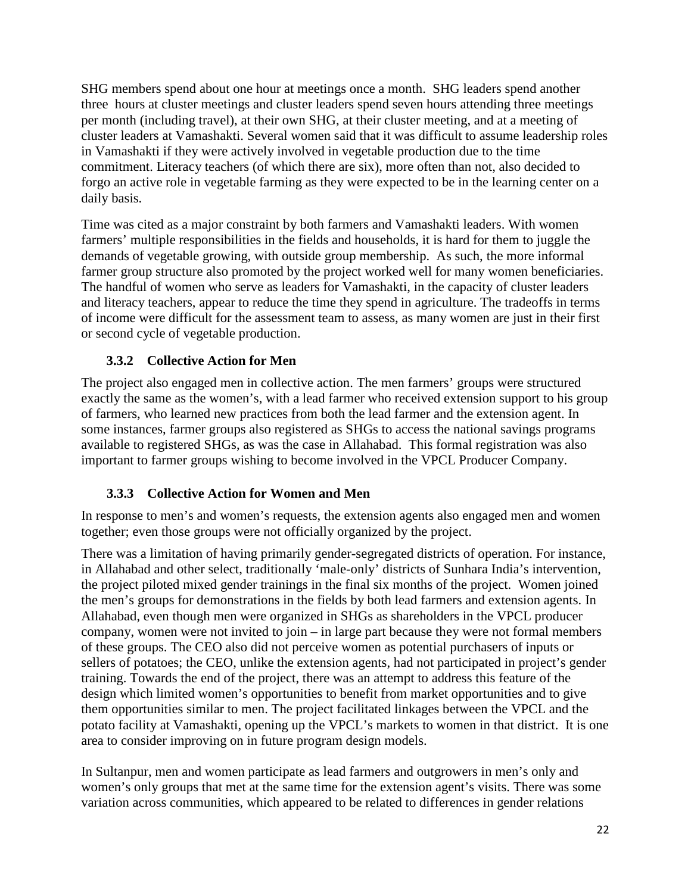SHG members spend about one hour at meetings once a month. SHG leaders spend another three hours at cluster meetings and cluster leaders spend seven hours attending three meetings per month (including travel), at their own SHG, at their cluster meeting, and at a meeting of cluster leaders at Vamashakti. Several women said that it was difficult to assume leadership roles in Vamashakti if they were actively involved in vegetable production due to the time commitment. Literacy teachers (of which there are six), more often than not, also decided to forgo an active role in vegetable farming as they were expected to be in the learning center on a daily basis.

Time was cited as a major constraint by both farmers and Vamashakti leaders. With women farmers' multiple responsibilities in the fields and households, it is hard for them to juggle the demands of vegetable growing, with outside group membership. As such, the more informal farmer group structure also promoted by the project worked well for many women beneficiaries. The handful of women who serve as leaders for Vamashakti, in the capacity of cluster leaders and literacy teachers, appear to reduce the time they spend in agriculture. The tradeoffs in terms of income were difficult for the assessment team to assess, as many women are just in their first or second cycle of vegetable production.

# **3.3.2 Collective Action for Men**

<span id="page-32-0"></span>The project also engaged men in collective action. The men farmers' groups were structured exactly the same as the women's, with a lead farmer who received extension support to his group of farmers, who learned new practices from both the lead farmer and the extension agent. In some instances, farmer groups also registered as SHGs to access the national savings programs available to registered SHGs, as was the case in Allahabad. This formal registration was also important to farmer groups wishing to become involved in the VPCL Producer Company.

# **3.3.3 Collective Action for Women and Men**

<span id="page-32-1"></span>In response to men's and women's requests, the extension agents also engaged men and women together; even those groups were not officially organized by the project.

There was a limitation of having primarily gender-segregated districts of operation. For instance, in Allahabad and other select, traditionally 'male-only' districts of Sunhara India's intervention, the project piloted mixed gender trainings in the final six months of the project. Women joined the men's groups for demonstrations in the fields by both lead farmers and extension agents. In Allahabad, even though men were organized in SHGs as shareholders in the VPCL producer company, women were not invited to join – in large part because they were not formal members of these groups. The CEO also did not perceive women as potential purchasers of inputs or sellers of potatoes; the CEO, unlike the extension agents, had not participated in project's gender training. Towards the end of the project, there was an attempt to address this feature of the design which limited women's opportunities to benefit from market opportunities and to give them opportunities similar to men. The project facilitated linkages between the VPCL and the potato facility at Vamashakti, opening up the VPCL's markets to women in that district. It is one area to consider improving on in future program design models.

In Sultanpur, men and women participate as lead farmers and outgrowers in men's only and women's only groups that met at the same time for the extension agent's visits. There was some variation across communities, which appeared to be related to differences in gender relations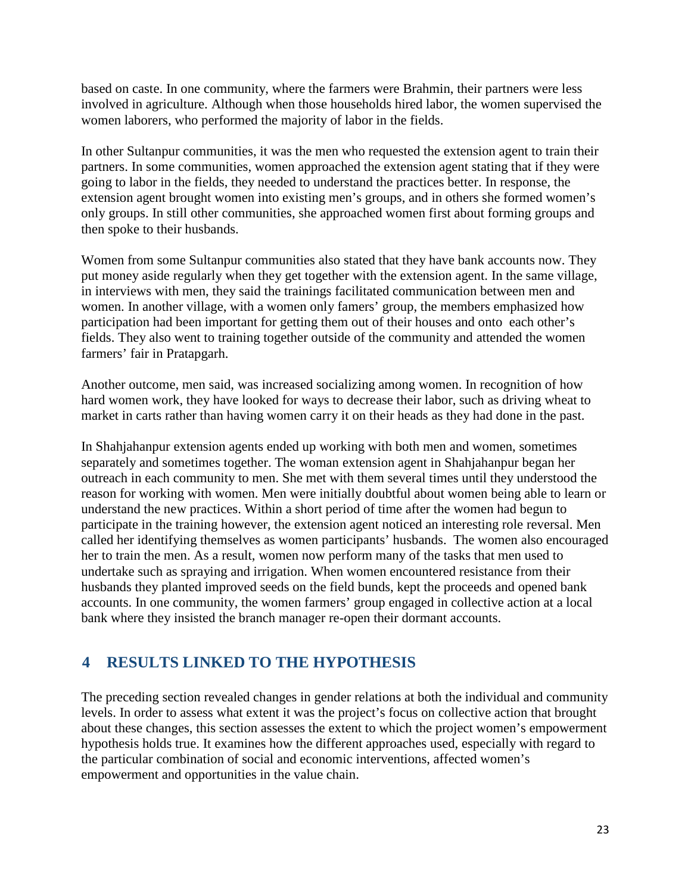based on caste. In one community, where the farmers were Brahmin, their partners were less involved in agriculture. Although when those households hired labor, the women supervised the women laborers, who performed the majority of labor in the fields.

In other Sultanpur communities, it was the men who requested the extension agent to train their partners. In some communities, women approached the extension agent stating that if they were going to labor in the fields, they needed to understand the practices better. In response, the extension agent brought women into existing men's groups, and in others she formed women's only groups. In still other communities, she approached women first about forming groups and then spoke to their husbands.

Women from some Sultanpur communities also stated that they have bank accounts now. They put money aside regularly when they get together with the extension agent. In the same village, in interviews with men, they said the trainings facilitated communication between men and women. In another village, with a women only famers' group, the members emphasized how participation had been important for getting them out of their houses and onto each other's fields. They also went to training together outside of the community and attended the women farmers' fair in Pratapgarh.

Another outcome, men said, was increased socializing among women. In recognition of how hard women work, they have looked for ways to decrease their labor, such as driving wheat to market in carts rather than having women carry it on their heads as they had done in the past.

In Shahjahanpur extension agents ended up working with both men and women, sometimes separately and sometimes together. The woman extension agent in Shahjahanpur began her outreach in each community to men. She met with them several times until they understood the reason for working with women. Men were initially doubtful about women being able to learn or understand the new practices. Within a short period of time after the women had begun to participate in the training however, the extension agent noticed an interesting role reversal. Men called her identifying themselves as women participants' husbands. The women also encouraged her to train the men. As a result, women now perform many of the tasks that men used to undertake such as spraying and irrigation. When women encountered resistance from their husbands they planted improved seeds on the field bunds, kept the proceeds and opened bank accounts. In one community, the women farmers' group engaged in collective action at a local bank where they insisted the branch manager re-open their dormant accounts.

# <span id="page-33-0"></span>**4 RESULTS LINKED TO THE HYPOTHESIS**

The preceding section revealed changes in gender relations at both the individual and community levels. In order to assess what extent it was the project's focus on collective action that brought about these changes, this section assesses the extent to which the project women's empowerment hypothesis holds true. It examines how the different approaches used, especially with regard to the particular combination of social and economic interventions, affected women's empowerment and opportunities in the value chain.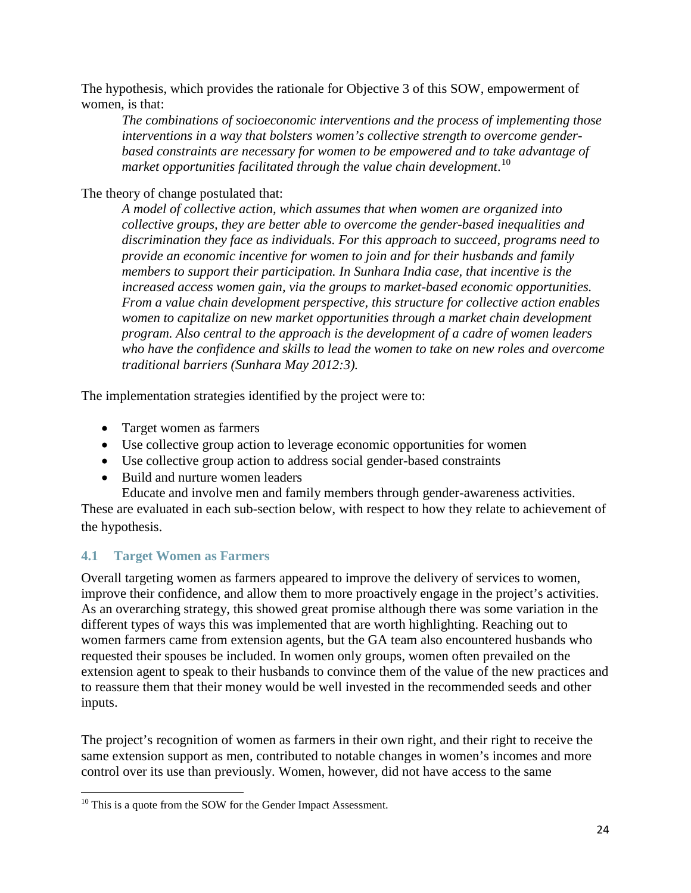The hypothesis, which provides the rationale for Objective 3 of this SOW, empowerment of women, is that:

*The combinations of socioeconomic interventions and the process of implementing those interventions in a way that bolsters women's collective strength to overcome genderbased constraints are necessary for women to be empowered and to take advantage of market opportunities facilitated through the value chain development*. [10](#page-34-1)

The theory of change postulated that:

*A model of collective action, which assumes that when women are organized into collective groups, they are better able to overcome the gender-based inequalities and discrimination they face as individuals. For this approach to succeed, programs need to provide an economic incentive for women to join and for their husbands and family members to support their participation. In Sunhara India case, that incentive is the increased access women gain, via the groups to market-based economic opportunities. From a value chain development perspective, this structure for collective action enables women to capitalize on new market opportunities through a market chain development program. Also central to the approach is the development of a cadre of women leaders who have the confidence and skills to lead the women to take on new roles and overcome traditional barriers (Sunhara May 2012:3).*

The implementation strategies identified by the project were to:

- Target women as farmers
- Use collective group action to leverage economic opportunities for women
- Use collective group action to address social gender-based constraints
- Build and nurture women leaders

Educate and involve men and family members through gender-awareness activities.

These are evaluated in each sub-section below, with respect to how they relate to achievement of the hypothesis.

# <span id="page-34-0"></span>**4.1 Target Women as Farmers**

Overall targeting women as farmers appeared to improve the delivery of services to women, improve their confidence, and allow them to more proactively engage in the project's activities. As an overarching strategy, this showed great promise although there was some variation in the different types of ways this was implemented that are worth highlighting. Reaching out to women farmers came from extension agents, but the GA team also encountered husbands who requested their spouses be included. In women only groups, women often prevailed on the extension agent to speak to their husbands to convince them of the value of the new practices and to reassure them that their money would be well invested in the recommended seeds and other inputs.

The project's recognition of women as farmers in their own right, and their right to receive the same extension support as men, contributed to notable changes in women's incomes and more control over its use than previously. Women, however, did not have access to the same

<span id="page-34-1"></span><sup>&</sup>lt;sup>10</sup> This is a quote from the SOW for the Gender Impact Assessment.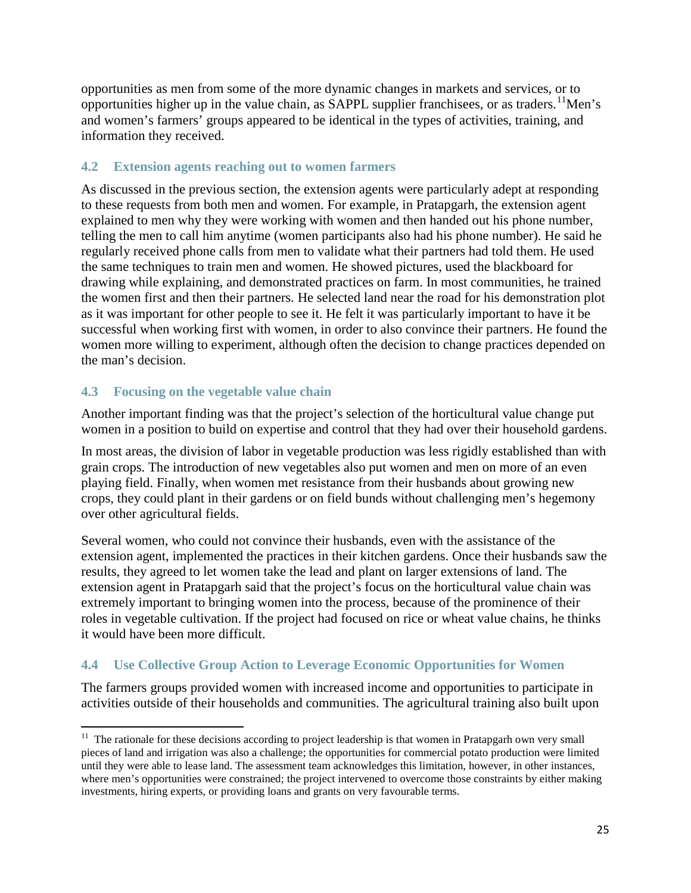opportunities as men from some of the more dynamic changes in markets and services, or to opportunities higher up in the value chain, as SAPPL supplier franchisees, or as traders.<sup>11</sup>Men's and women's farmers' groups appeared to be identical in the types of activities, training, and information they received.

# <span id="page-35-0"></span>**4.2 Extension agents reaching out to women farmers**

As discussed in the previous section, the extension agents were particularly adept at responding to these requests from both men and women. For example, in Pratapgarh, the extension agent explained to men why they were working with women and then handed out his phone number, telling the men to call him anytime (women participants also had his phone number). He said he regularly received phone calls from men to validate what their partners had told them. He used the same techniques to train men and women. He showed pictures, used the blackboard for drawing while explaining, and demonstrated practices on farm. In most communities, he trained the women first and then their partners. He selected land near the road for his demonstration plot as it was important for other people to see it. He felt it was particularly important to have it be successful when working first with women, in order to also convince their partners. He found the women more willing to experiment, although often the decision to change practices depended on the man's decision.

# <span id="page-35-1"></span>**4.3 Focusing on the vegetable value chain**

Another important finding was that the project's selection of the horticultural value change put women in a position to build on expertise and control that they had over their household gardens.

In most areas, the division of labor in vegetable production was less rigidly established than with grain crops. The introduction of new vegetables also put women and men on more of an even playing field. Finally, when women met resistance from their husbands about growing new crops, they could plant in their gardens or on field bunds without challenging men's hegemony over other agricultural fields.

Several women, who could not convince their husbands, even with the assistance of the extension agent, implemented the practices in their kitchen gardens. Once their husbands saw the results, they agreed to let women take the lead and plant on larger extensions of land. The extension agent in Pratapgarh said that the project's focus on the horticultural value chain was extremely important to bringing women into the process, because of the prominence of their roles in vegetable cultivation. If the project had focused on rice or wheat value chains, he thinks it would have been more difficult.

# <span id="page-35-2"></span>**4.4 Use Collective Group Action to Leverage Economic Opportunities for Women**

The farmers groups provided women with increased income and opportunities to participate in activities outside of their households and communities. The agricultural training also built upon

<span id="page-35-3"></span><sup>&</sup>lt;sup>11</sup> The rationale for these decisions according to project leadership is that women in Pratapgarh own very small pieces of land and irrigation was also a challenge; the opportunities for commercial potato production were limited until they were able to lease land. The assessment team acknowledges this limitation, however, in other instances, where men's opportunities were constrained; the project intervened to overcome those constraints by either making investments, hiring experts, or providing loans and grants on very favourable terms.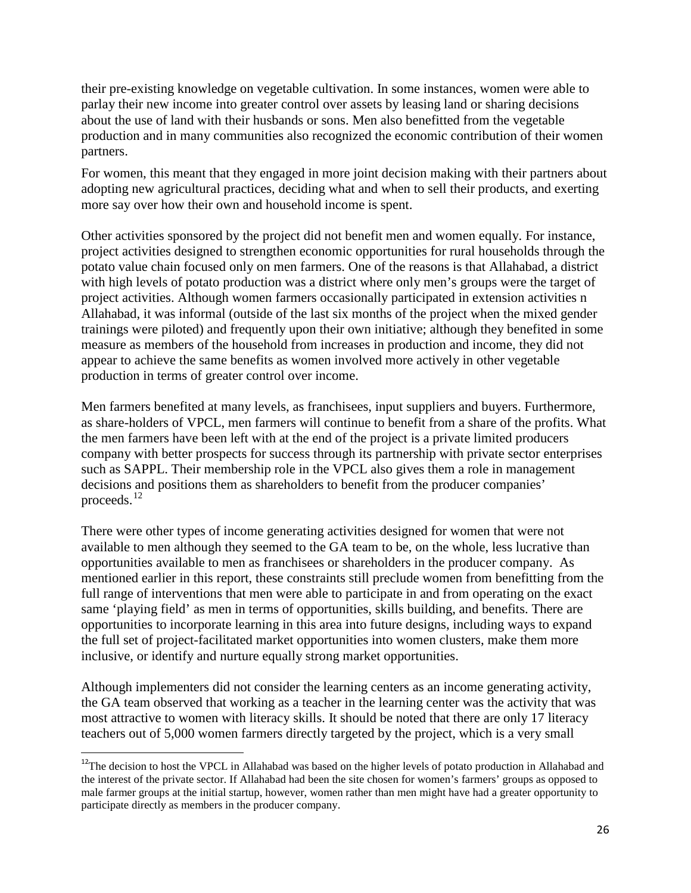their pre-existing knowledge on vegetable cultivation. In some instances, women were able to parlay their new income into greater control over assets by leasing land or sharing decisions about the use of land with their husbands or sons. Men also benefitted from the vegetable production and in many communities also recognized the economic contribution of their women partners.

For women, this meant that they engaged in more joint decision making with their partners about adopting new agricultural practices, deciding what and when to sell their products, and exerting more say over how their own and household income is spent.

Other activities sponsored by the project did not benefit men and women equally. For instance, project activities designed to strengthen economic opportunities for rural households through the potato value chain focused only on men farmers. One of the reasons is that Allahabad, a district with high levels of potato production was a district where only men's groups were the target of project activities. Although women farmers occasionally participated in extension activities n Allahabad, it was informal (outside of the last six months of the project when the mixed gender trainings were piloted) and frequently upon their own initiative; although they benefited in some measure as members of the household from increases in production and income, they did not appear to achieve the same benefits as women involved more actively in other vegetable production in terms of greater control over income.

Men farmers benefited at many levels, as franchisees, input suppliers and buyers. Furthermore, as share-holders of VPCL, men farmers will continue to benefit from a share of the profits. What the men farmers have been left with at the end of the project is a private limited producers company with better prospects for success through its partnership with private sector enterprises such as SAPPL. Their membership role in the VPCL also gives them a role in management decisions and positions them as shareholders to benefit from the producer companies' proceeds. $^{12}$  $^{12}$  $^{12}$ 

There were other types of income generating activities designed for women that were not available to men although they seemed to the GA team to be, on the whole, less lucrative than opportunities available to men as franchisees or shareholders in the producer company. As mentioned earlier in this report, these constraints still preclude women from benefitting from the full range of interventions that men were able to participate in and from operating on the exact same 'playing field' as men in terms of opportunities, skills building, and benefits. There are opportunities to incorporate learning in this area into future designs, including ways to expand the full set of project-facilitated market opportunities into women clusters, make them more inclusive, or identify and nurture equally strong market opportunities.

Although implementers did not consider the learning centers as an income generating activity, the GA team observed that working as a teacher in the learning center was the activity that was most attractive to women with literacy skills. It should be noted that there are only 17 literacy teachers out of 5,000 women farmers directly targeted by the project, which is a very small

<span id="page-36-0"></span><sup>&</sup>lt;sup>12</sup>The decision to host the VPCL in Allahabad was based on the higher levels of potato production in Allahabad and the interest of the private sector. If Allahabad had been the site chosen for women's farmers' groups as opposed to male farmer groups at the initial startup, however, women rather than men might have had a greater opportunity to participate directly as members in the producer company.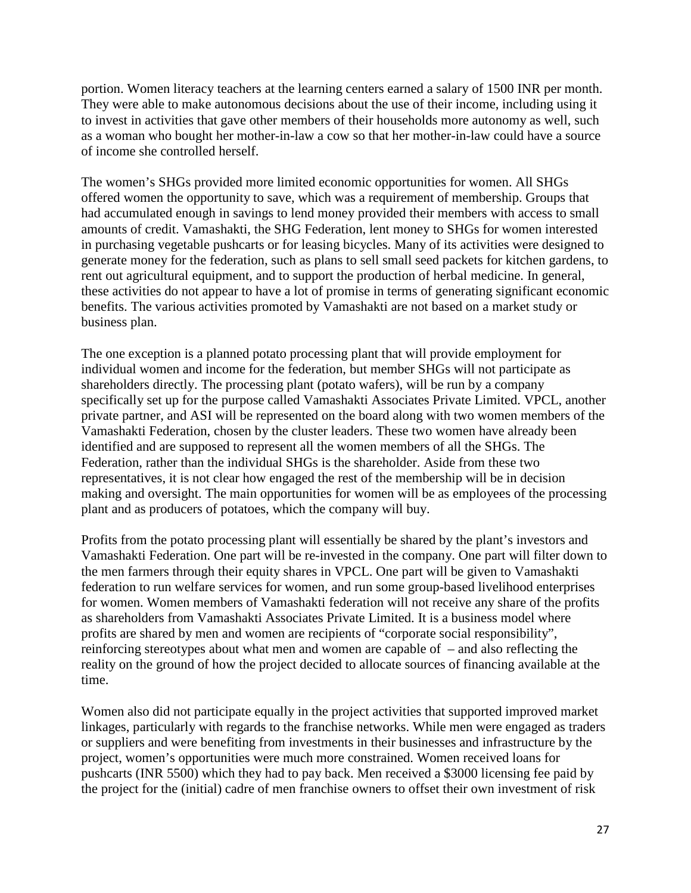portion. Women literacy teachers at the learning centers earned a salary of 1500 INR per month. They were able to make autonomous decisions about the use of their income, including using it to invest in activities that gave other members of their households more autonomy as well, such as a woman who bought her mother-in-law a cow so that her mother-in-law could have a source of income she controlled herself.

The women's SHGs provided more limited economic opportunities for women. All SHGs offered women the opportunity to save, which was a requirement of membership. Groups that had accumulated enough in savings to lend money provided their members with access to small amounts of credit. Vamashakti, the SHG Federation, lent money to SHGs for women interested in purchasing vegetable pushcarts or for leasing bicycles. Many of its activities were designed to generate money for the federation, such as plans to sell small seed packets for kitchen gardens, to rent out agricultural equipment, and to support the production of herbal medicine. In general, these activities do not appear to have a lot of promise in terms of generating significant economic benefits. The various activities promoted by Vamashakti are not based on a market study or business plan.

The one exception is a planned potato processing plant that will provide employment for individual women and income for the federation, but member SHGs will not participate as shareholders directly. The processing plant (potato wafers), will be run by a company specifically set up for the purpose called Vamashakti Associates Private Limited. VPCL, another private partner, and ASI will be represented on the board along with two women members of the Vamashakti Federation, chosen by the cluster leaders. These two women have already been identified and are supposed to represent all the women members of all the SHGs. The Federation, rather than the individual SHGs is the shareholder. Aside from these two representatives, it is not clear how engaged the rest of the membership will be in decision making and oversight. The main opportunities for women will be as employees of the processing plant and as producers of potatoes, which the company will buy.

Profits from the potato processing plant will essentially be shared by the plant's investors and Vamashakti Federation. One part will be re-invested in the company. One part will filter down to the men farmers through their equity shares in VPCL. One part will be given to Vamashakti federation to run welfare services for women, and run some group-based livelihood enterprises for women. Women members of Vamashakti federation will not receive any share of the profits as shareholders from Vamashakti Associates Private Limited. It is a business model where profits are shared by men and women are recipients of "corporate social responsibility", reinforcing stereotypes about what men and women are capable of – and also reflecting the reality on the ground of how the project decided to allocate sources of financing available at the time.

Women also did not participate equally in the project activities that supported improved market linkages, particularly with regards to the franchise networks. While men were engaged as traders or suppliers and were benefiting from investments in their businesses and infrastructure by the project, women's opportunities were much more constrained. Women received loans for pushcarts (INR 5500) which they had to pay back. Men received a \$3000 licensing fee paid by the project for the (initial) cadre of men franchise owners to offset their own investment of risk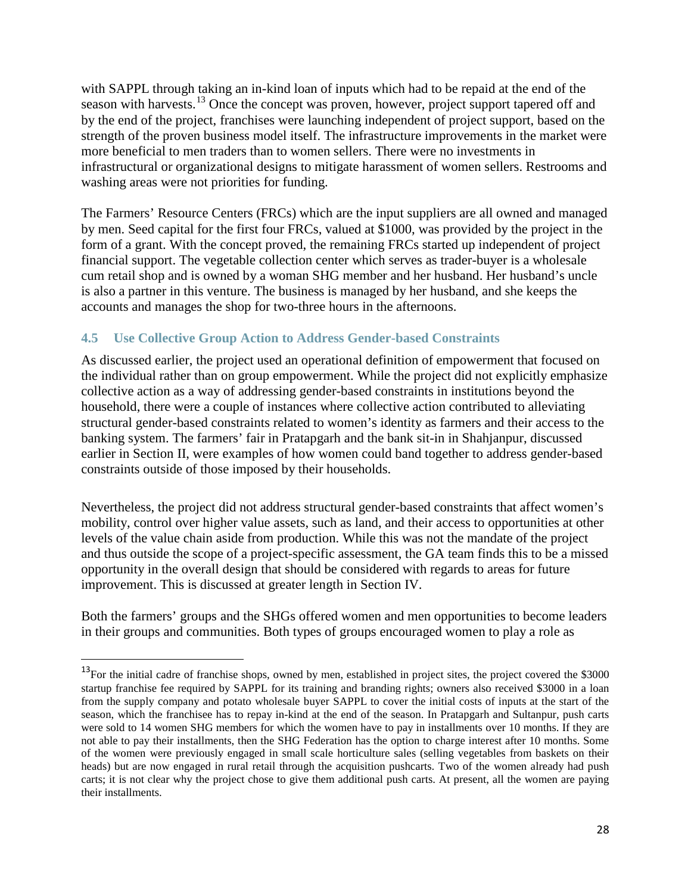with SAPPL through taking an in-kind loan of inputs which had to be repaid at the end of the season with harvests.<sup>[13](#page-38-1)</sup> Once the concept was proven, however, project support tapered off and by the end of the project, franchises were launching independent of project support, based on the strength of the proven business model itself. The infrastructure improvements in the market were more beneficial to men traders than to women sellers. There were no investments in infrastructural or organizational designs to mitigate harassment of women sellers. Restrooms and washing areas were not priorities for funding.

The Farmers' Resource Centers (FRCs) which are the input suppliers are all owned and managed by men. Seed capital for the first four FRCs, valued at \$1000, was provided by the project in the form of a grant. With the concept proved, the remaining FRCs started up independent of project financial support. The vegetable collection center which serves as trader-buyer is a wholesale cum retail shop and is owned by a woman SHG member and her husband. Her husband's uncle is also a partner in this venture. The business is managed by her husband, and she keeps the accounts and manages the shop for two-three hours in the afternoons.

# <span id="page-38-0"></span>**4.5 Use Collective Group Action to Address Gender-based Constraints**

As discussed earlier, the project used an operational definition of empowerment that focused on the individual rather than on group empowerment. While the project did not explicitly emphasize collective action as a way of addressing gender-based constraints in institutions beyond the household, there were a couple of instances where collective action contributed to alleviating structural gender-based constraints related to women's identity as farmers and their access to the banking system. The farmers' fair in Pratapgarh and the bank sit-in in Shahjanpur, discussed earlier in Section II, were examples of how women could band together to address gender-based constraints outside of those imposed by their households.

Nevertheless, the project did not address structural gender-based constraints that affect women's mobility, control over higher value assets, such as land, and their access to opportunities at other levels of the value chain aside from production. While this was not the mandate of the project and thus outside the scope of a project-specific assessment, the GA team finds this to be a missed opportunity in the overall design that should be considered with regards to areas for future improvement. This is discussed at greater length in Section IV.

Both the farmers' groups and the SHGs offered women and men opportunities to become leaders in their groups and communities. Both types of groups encouraged women to play a role as

<span id="page-38-1"></span><sup>&</sup>lt;sup>13</sup>For the initial cadre of franchise shops, owned by men, established in project sites, the project covered the \$3000 startup franchise fee required by SAPPL for its training and branding rights; owners also received \$3000 in a loan from the supply company and potato wholesale buyer SAPPL to cover the initial costs of inputs at the start of the season, which the franchisee has to repay in-kind at the end of the season. In Pratapgarh and Sultanpur, push carts were sold to 14 women SHG members for which the women have to pay in installments over 10 months. If they are not able to pay their installments, then the SHG Federation has the option to charge interest after 10 months. Some of the women were previously engaged in small scale horticulture sales (selling vegetables from baskets on their heads) but are now engaged in rural retail through the acquisition pushcarts. Two of the women already had push carts; it is not clear why the project chose to give them additional push carts. At present, all the women are paying their installments.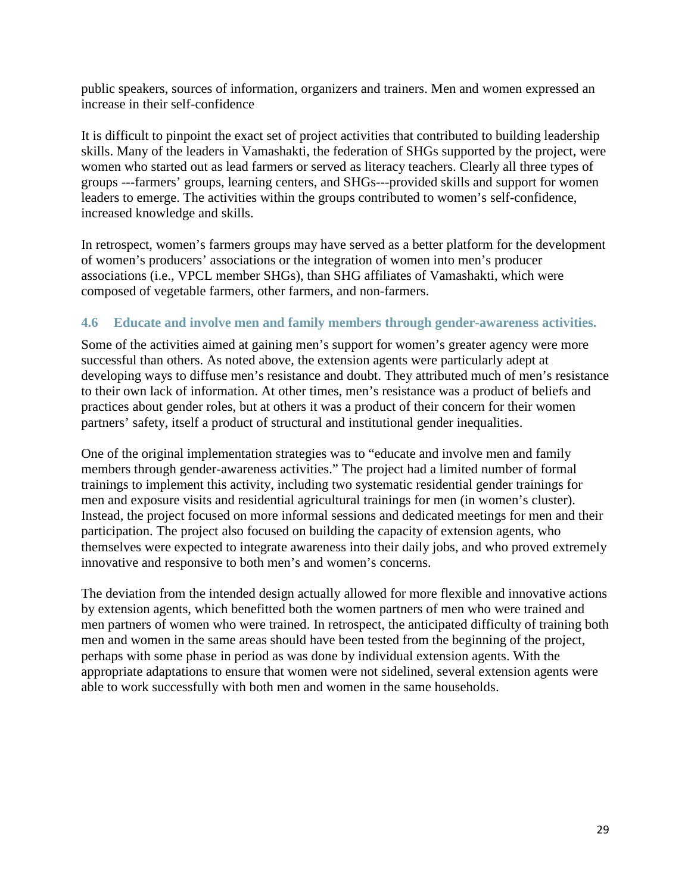public speakers, sources of information, organizers and trainers. Men and women expressed an increase in their self-confidence

It is difficult to pinpoint the exact set of project activities that contributed to building leadership skills. Many of the leaders in Vamashakti, the federation of SHGs supported by the project, were women who started out as lead farmers or served as literacy teachers. Clearly all three types of groups ---farmers' groups, learning centers, and SHGs---provided skills and support for women leaders to emerge. The activities within the groups contributed to women's self-confidence, increased knowledge and skills.

In retrospect, women's farmers groups may have served as a better platform for the development of women's producers' associations or the integration of women into men's producer associations (i.e., VPCL member SHGs), than SHG affiliates of Vamashakti, which were composed of vegetable farmers, other farmers, and non-farmers.

# <span id="page-39-0"></span>**4.6 Educate and involve men and family members through gender-awareness activities.**

Some of the activities aimed at gaining men's support for women's greater agency were more successful than others. As noted above, the extension agents were particularly adept at developing ways to diffuse men's resistance and doubt. They attributed much of men's resistance to their own lack of information. At other times, men's resistance was a product of beliefs and practices about gender roles, but at others it was a product of their concern for their women partners' safety, itself a product of structural and institutional gender inequalities.

One of the original implementation strategies was to "educate and involve men and family members through gender-awareness activities." The project had a limited number of formal trainings to implement this activity, including two systematic residential gender trainings for men and exposure visits and residential agricultural trainings for men (in women's cluster). Instead, the project focused on more informal sessions and dedicated meetings for men and their participation. The project also focused on building the capacity of extension agents, who themselves were expected to integrate awareness into their daily jobs, and who proved extremely innovative and responsive to both men's and women's concerns.

The deviation from the intended design actually allowed for more flexible and innovative actions by extension agents, which benefitted both the women partners of men who were trained and men partners of women who were trained. In retrospect, the anticipated difficulty of training both men and women in the same areas should have been tested from the beginning of the project, perhaps with some phase in period as was done by individual extension agents. With the appropriate adaptations to ensure that women were not sidelined, several extension agents were able to work successfully with both men and women in the same households.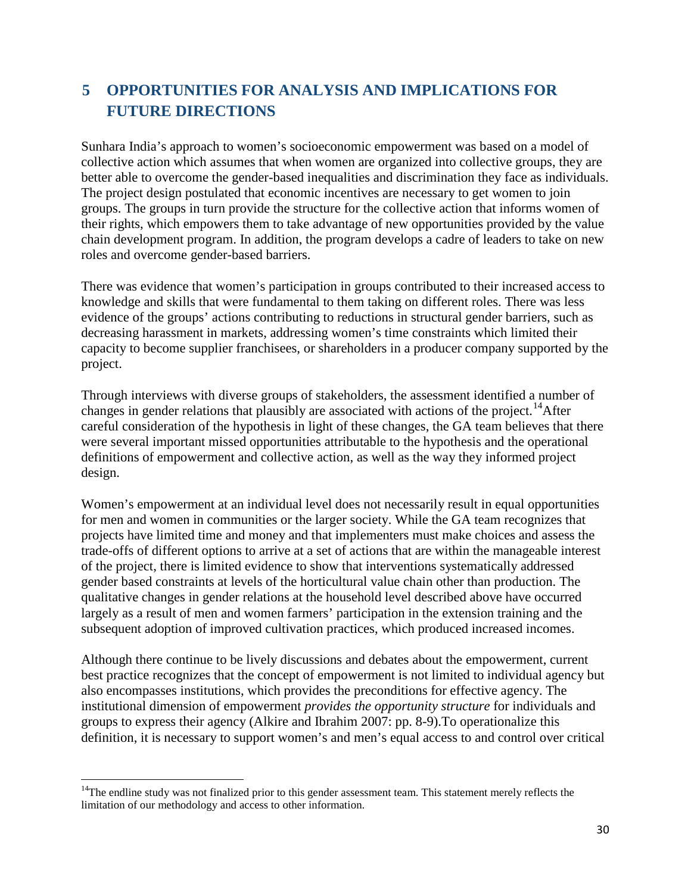# <span id="page-40-0"></span>**5 OPPORTUNITIES FOR ANALYSIS AND IMPLICATIONS FOR FUTURE DIRECTIONS**

Sunhara India's approach to women's socioeconomic empowerment was based on a model of collective action which assumes that when women are organized into collective groups, they are better able to overcome the gender-based inequalities and discrimination they face as individuals. The project design postulated that economic incentives are necessary to get women to join groups. The groups in turn provide the structure for the collective action that informs women of their rights, which empowers them to take advantage of new opportunities provided by the value chain development program. In addition, the program develops a cadre of leaders to take on new roles and overcome gender-based barriers.

There was evidence that women's participation in groups contributed to their increased access to knowledge and skills that were fundamental to them taking on different roles. There was less evidence of the groups' actions contributing to reductions in structural gender barriers, such as decreasing harassment in markets, addressing women's time constraints which limited their capacity to become supplier franchisees, or shareholders in a producer company supported by the project.

Through interviews with diverse groups of stakeholders, the assessment identified a number of changes in gender relations that plausibly are associated with actions of the project.<sup>14</sup>After careful consideration of the hypothesis in light of these changes, the GA team believes that there were several important missed opportunities attributable to the hypothesis and the operational definitions of empowerment and collective action, as well as the way they informed project design.

Women's empowerment at an individual level does not necessarily result in equal opportunities for men and women in communities or the larger society. While the GA team recognizes that projects have limited time and money and that implementers must make choices and assess the trade-offs of different options to arrive at a set of actions that are within the manageable interest of the project, there is limited evidence to show that interventions systematically addressed gender based constraints at levels of the horticultural value chain other than production. The qualitative changes in gender relations at the household level described above have occurred largely as a result of men and women farmers' participation in the extension training and the subsequent adoption of improved cultivation practices, which produced increased incomes.

Although there continue to be lively discussions and debates about the empowerment, current best practice recognizes that the concept of empowerment is not limited to individual agency but also encompasses institutions, which provides the preconditions for effective agency. The institutional dimension of empowerment *provides the opportunity structure* for individuals and groups to express their agency (Alkire and Ibrahim 2007: pp. 8-9).To operationalize this definition, it is necessary to support women's and men's equal access to and control over critical

<span id="page-40-1"></span><sup>&</sup>lt;sup>14</sup>The endline study was not finalized prior to this gender assessment team. This statement merely reflects the limitation of our methodology and access to other information.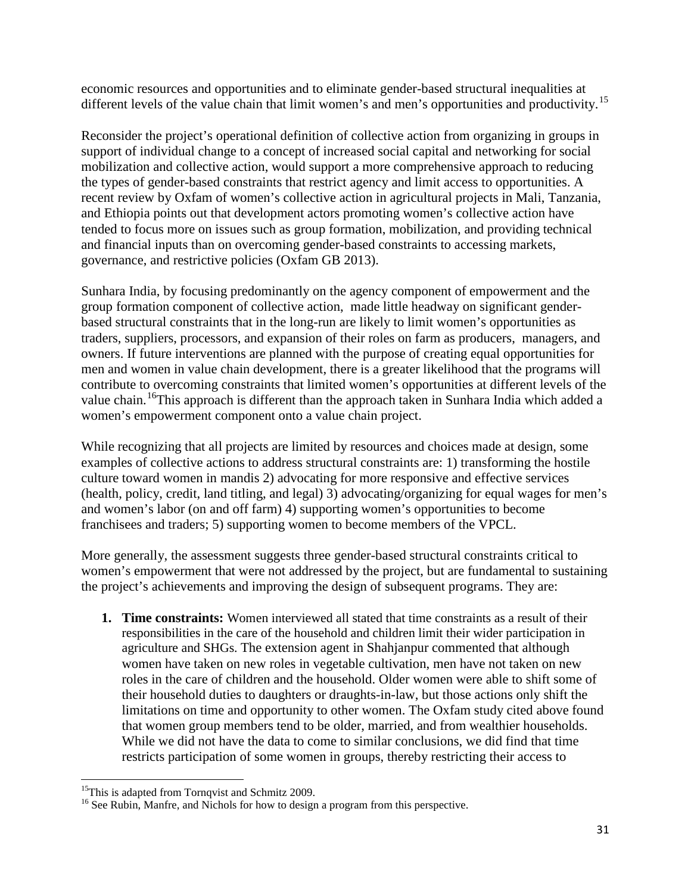economic resources and opportunities and to eliminate gender-based structural inequalities at different levels of the value chain that limit women's and men's opportunities and productivity.<sup>[15](#page-41-0)</sup>

Reconsider the project's operational definition of collective action from organizing in groups in support of individual change to a concept of increased social capital and networking for social mobilization and collective action, would support a more comprehensive approach to reducing the types of gender-based constraints that restrict agency and limit access to opportunities. A recent review by Oxfam of women's collective action in agricultural projects in Mali, Tanzania, and Ethiopia points out that development actors promoting women's collective action have tended to focus more on issues such as group formation, mobilization, and providing technical and financial inputs than on overcoming gender-based constraints to accessing markets, governance, and restrictive policies (Oxfam GB 2013).

Sunhara India, by focusing predominantly on the agency component of empowerment and the group formation component of collective action, made little headway on significant genderbased structural constraints that in the long-run are likely to limit women's opportunities as traders, suppliers, processors, and expansion of their roles on farm as producers, managers, and owners. If future interventions are planned with the purpose of creating equal opportunities for men and women in value chain development, there is a greater likelihood that the programs will contribute to overcoming constraints that limited women's opportunities at different levels of the value chain.<sup>16</sup>This approach is different than the approach taken in Sunhara India which added a women's empowerment component onto a value chain project.

While recognizing that all projects are limited by resources and choices made at design, some examples of collective actions to address structural constraints are: 1) transforming the hostile culture toward women in mandis 2) advocating for more responsive and effective services (health, policy, credit, land titling, and legal) 3) advocating/organizing for equal wages for men's and women's labor (on and off farm) 4) supporting women's opportunities to become franchisees and traders; 5) supporting women to become members of the VPCL.

More generally, the assessment suggests three gender-based structural constraints critical to women's empowerment that were not addressed by the project, but are fundamental to sustaining the project's achievements and improving the design of subsequent programs. They are:

**1. Time constraints:** Women interviewed all stated that time constraints as a result of their responsibilities in the care of the household and children limit their wider participation in agriculture and SHGs. The extension agent in Shahjanpur commented that although women have taken on new roles in vegetable cultivation, men have not taken on new roles in the care of children and the household. Older women were able to shift some of their household duties to daughters or draughts-in-law, but those actions only shift the limitations on time and opportunity to other women. The Oxfam study cited above found that women group members tend to be older, married, and from wealthier households. While we did not have the data to come to similar conclusions, we did find that time restricts participation of some women in groups, thereby restricting their access to

<span id="page-41-0"></span><sup>&</sup>lt;sup>15</sup>This is adapted from Tornqvist and Schmitz 2009.

<span id="page-41-1"></span><sup>&</sup>lt;sup>16</sup> See Rubin, Manfre, and Nichols for how to design a program from this perspective.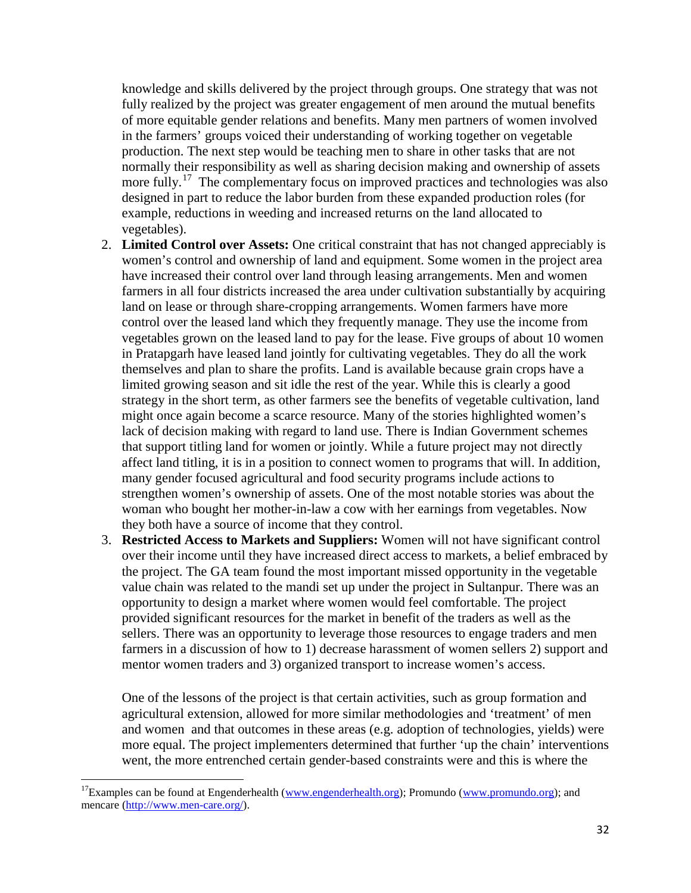knowledge and skills delivered by the project through groups. One strategy that was not fully realized by the project was greater engagement of men around the mutual benefits of more equitable gender relations and benefits. Many men partners of women involved in the farmers' groups voiced their understanding of working together on vegetable production. The next step would be teaching men to share in other tasks that are not normally their responsibility as well as sharing decision making and ownership of assets more fully.<sup>[17](#page-42-0)</sup> The complementary focus on improved practices and technologies was also designed in part to reduce the labor burden from these expanded production roles (for example, reductions in weeding and increased returns on the land allocated to vegetables).

- 2. **Limited Control over Assets:** One critical constraint that has not changed appreciably is women's control and ownership of land and equipment. Some women in the project area have increased their control over land through leasing arrangements. Men and women farmers in all four districts increased the area under cultivation substantially by acquiring land on lease or through share-cropping arrangements. Women farmers have more control over the leased land which they frequently manage. They use the income from vegetables grown on the leased land to pay for the lease. Five groups of about 10 women in Pratapgarh have leased land jointly for cultivating vegetables. They do all the work themselves and plan to share the profits. Land is available because grain crops have a limited growing season and sit idle the rest of the year. While this is clearly a good strategy in the short term, as other farmers see the benefits of vegetable cultivation, land might once again become a scarce resource. Many of the stories highlighted women's lack of decision making with regard to land use. There is Indian Government schemes that support titling land for women or jointly. While a future project may not directly affect land titling, it is in a position to connect women to programs that will. In addition, many gender focused agricultural and food security programs include actions to strengthen women's ownership of assets. One of the most notable stories was about the woman who bought her mother-in-law a cow with her earnings from vegetables. Now they both have a source of income that they control.
- 3. **Restricted Access to Markets and Suppliers:** Women will not have significant control over their income until they have increased direct access to markets, a belief embraced by the project. The GA team found the most important missed opportunity in the vegetable value chain was related to the mandi set up under the project in Sultanpur. There was an opportunity to design a market where women would feel comfortable. The project provided significant resources for the market in benefit of the traders as well as the sellers. There was an opportunity to leverage those resources to engage traders and men farmers in a discussion of how to 1) decrease harassment of women sellers 2) support and mentor women traders and 3) organized transport to increase women's access.

One of the lessons of the project is that certain activities, such as group formation and agricultural extension, allowed for more similar methodologies and 'treatment' of men and women and that outcomes in these areas (e.g. adoption of technologies, yields) were more equal. The project implementers determined that further 'up the chain' interventions went, the more entrenched certain gender-based constraints were and this is where the

<span id="page-42-0"></span><sup>&</sup>lt;sup>17</sup>Examples can be found at Engenderhealth [\(www.engenderhealth.org\)](http://www.engenderhealth.org/); Promundo [\(www.promundo.org\)](http://www.promundo.org/); and mencare [\(http://www.men-care.org/\)](http://www.men-care.org/).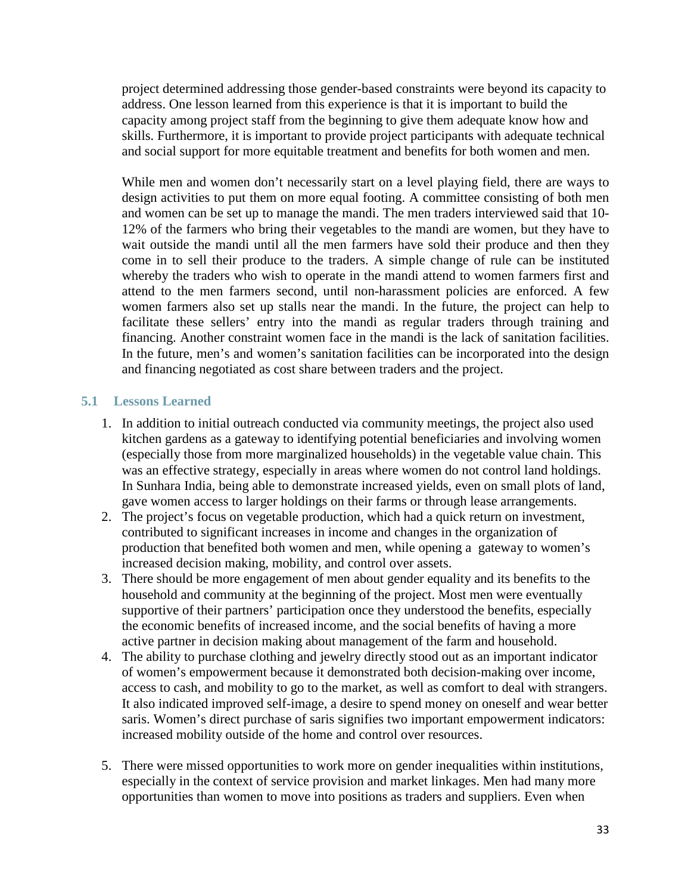project determined addressing those gender-based constraints were beyond its capacity to address. One lesson learned from this experience is that it is important to build the capacity among project staff from the beginning to give them adequate know how and skills. Furthermore, it is important to provide project participants with adequate technical and social support for more equitable treatment and benefits for both women and men.

While men and women don't necessarily start on a level playing field, there are ways to design activities to put them on more equal footing. A committee consisting of both men and women can be set up to manage the mandi. The men traders interviewed said that 10- 12% of the farmers who bring their vegetables to the mandi are women, but they have to wait outside the mandi until all the men farmers have sold their produce and then they come in to sell their produce to the traders. A simple change of rule can be instituted whereby the traders who wish to operate in the mandi attend to women farmers first and attend to the men farmers second, until non-harassment policies are enforced. A few women farmers also set up stalls near the mandi. In the future, the project can help to facilitate these sellers' entry into the mandi as regular traders through training and financing. Another constraint women face in the mandi is the lack of sanitation facilities. In the future, men's and women's sanitation facilities can be incorporated into the design and financing negotiated as cost share between traders and the project.

# <span id="page-43-0"></span>**5.1 Lessons Learned**

- 1. In addition to initial outreach conducted via community meetings, the project also used kitchen gardens as a gateway to identifying potential beneficiaries and involving women (especially those from more marginalized households) in the vegetable value chain. This was an effective strategy, especially in areas where women do not control land holdings. In Sunhara India, being able to demonstrate increased yields, even on small plots of land, gave women access to larger holdings on their farms or through lease arrangements.
- 2. The project's focus on vegetable production, which had a quick return on investment, contributed to significant increases in income and changes in the organization of production that benefited both women and men, while opening a gateway to women's increased decision making, mobility, and control over assets.
- 3. There should be more engagement of men about gender equality and its benefits to the household and community at the beginning of the project. Most men were eventually supportive of their partners' participation once they understood the benefits, especially the economic benefits of increased income, and the social benefits of having a more active partner in decision making about management of the farm and household.
- 4. The ability to purchase clothing and jewelry directly stood out as an important indicator of women's empowerment because it demonstrated both decision-making over income, access to cash, and mobility to go to the market, as well as comfort to deal with strangers. It also indicated improved self-image, a desire to spend money on oneself and wear better saris. Women's direct purchase of saris signifies two important empowerment indicators: increased mobility outside of the home and control over resources.
- 5. There were missed opportunities to work more on gender inequalities within institutions, especially in the context of service provision and market linkages. Men had many more opportunities than women to move into positions as traders and suppliers. Even when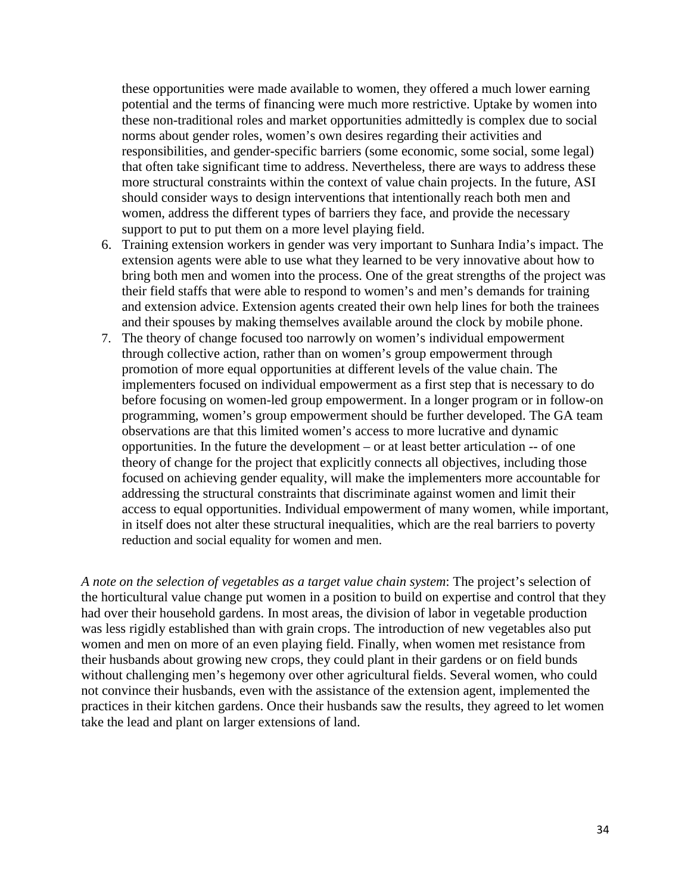these opportunities were made available to women, they offered a much lower earning potential and the terms of financing were much more restrictive. Uptake by women into these non-traditional roles and market opportunities admittedly is complex due to social norms about gender roles, women's own desires regarding their activities and responsibilities, and gender-specific barriers (some economic, some social, some legal) that often take significant time to address. Nevertheless, there are ways to address these more structural constraints within the context of value chain projects. In the future, ASI should consider ways to design interventions that intentionally reach both men and women, address the different types of barriers they face, and provide the necessary support to put to put them on a more level playing field.

- 6. Training extension workers in gender was very important to Sunhara India's impact. The extension agents were able to use what they learned to be very innovative about how to bring both men and women into the process. One of the great strengths of the project was their field staffs that were able to respond to women's and men's demands for training and extension advice. Extension agents created their own help lines for both the trainees and their spouses by making themselves available around the clock by mobile phone.
- 7. The theory of change focused too narrowly on women's individual empowerment through collective action, rather than on women's group empowerment through promotion of more equal opportunities at different levels of the value chain. The implementers focused on individual empowerment as a first step that is necessary to do before focusing on women-led group empowerment. In a longer program or in follow-on programming, women's group empowerment should be further developed. The GA team observations are that this limited women's access to more lucrative and dynamic opportunities. In the future the development – or at least better articulation -- of one theory of change for the project that explicitly connects all objectives, including those focused on achieving gender equality, will make the implementers more accountable for addressing the structural constraints that discriminate against women and limit their access to equal opportunities. Individual empowerment of many women, while important, in itself does not alter these structural inequalities, which are the real barriers to poverty reduction and social equality for women and men.

*A note on the selection of vegetables as a target value chain system*: The project's selection of the horticultural value change put women in a position to build on expertise and control that they had over their household gardens. In most areas, the division of labor in vegetable production was less rigidly established than with grain crops. The introduction of new vegetables also put women and men on more of an even playing field. Finally, when women met resistance from their husbands about growing new crops, they could plant in their gardens or on field bunds without challenging men's hegemony over other agricultural fields. Several women, who could not convince their husbands, even with the assistance of the extension agent, implemented the practices in their kitchen gardens. Once their husbands saw the results, they agreed to let women take the lead and plant on larger extensions of land.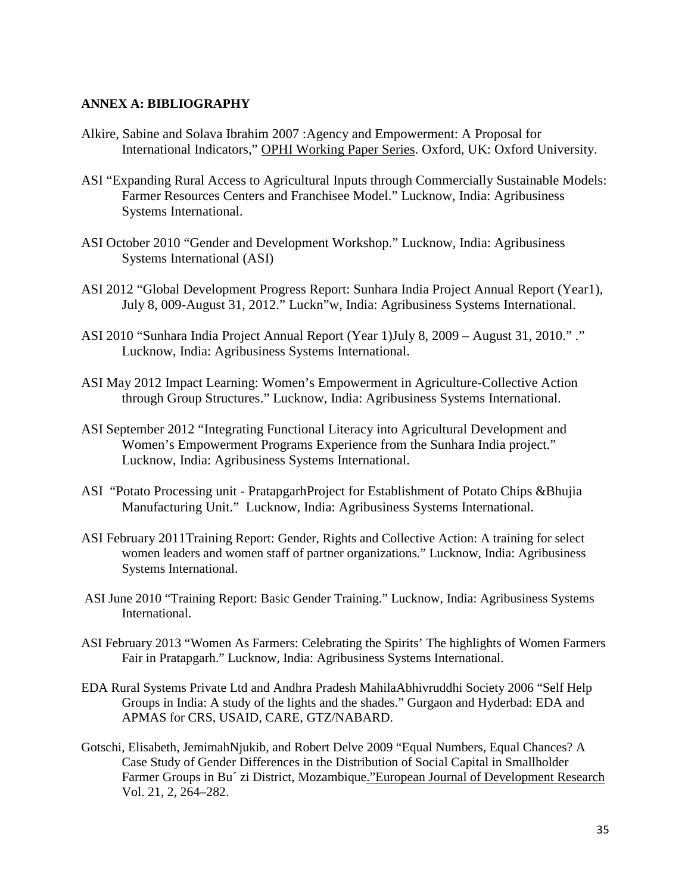#### <span id="page-45-0"></span>**ANNEX A: BIBLIOGRAPHY**

- Alkire, Sabine and Solava Ibrahim 2007 :Agency and Empowerment: A Proposal for International Indicators," OPHI Working Paper Series. Oxford, UK: Oxford University.
- ASI "Expanding Rural Access to Agricultural Inputs through Commercially Sustainable Models: Farmer Resources Centers and Franchisee Model." Lucknow, India: Agribusiness Systems International.
- ASI October 2010 "Gender and Development Workshop." Lucknow, India: Agribusiness Systems International (ASI)
- ASI 2012 "Global Development Progress Report: Sunhara India Project Annual Report (Year1), July 8, 009-August 31, 2012." Luckn"w, India: Agribusiness Systems International.
- ASI 2010 "Sunhara India Project Annual Report (Year 1)July 8, 2009 August 31, 2010." ." Lucknow, India: Agribusiness Systems International.
- ASI May 2012 Impact Learning: Women's Empowerment in Agriculture-Collective Action through Group Structures." Lucknow, India: Agribusiness Systems International.
- ASI September 2012 "Integrating Functional Literacy into Agricultural Development and Women's Empowerment Programs Experience from the Sunhara India project." Lucknow, India: Agribusiness Systems International.
- ASI "Potato Processing unit PratapgarhProject for Establishment of Potato Chips &Bhujia Manufacturing Unit." Lucknow, India: Agribusiness Systems International.
- ASI February 2011Training Report: Gender, Rights and Collective Action: A training for select women leaders and women staff of partner organizations." Lucknow, India: Agribusiness Systems International.
- ASI June 2010 "Training Report: Basic Gender Training." Lucknow, India: Agribusiness Systems International.
- ASI February 2013 "Women As Farmers: Celebrating the Spirits' The highlights of Women Farmers Fair in Pratapgarh." Lucknow, India: Agribusiness Systems International.
- EDA Rural Systems Private Ltd and Andhra Pradesh MahilaAbhivruddhi Society 2006 "Self Help Groups in India: A study of the lights and the shades." Gurgaon and Hyderbad: EDA and APMAS for CRS, USAID, CARE, GTZ/NABARD.
- Gotschi, Elisabeth, JemimahNjukib, and Robert Delve 2009 "Equal Numbers, Equal Chances? A Case Study of Gender Differences in the Distribution of Social Capital in Smallholder Farmer Groups in Bu´ zi District, Mozambique."European Journal of Development Research Vol. 21, 2, 264–282.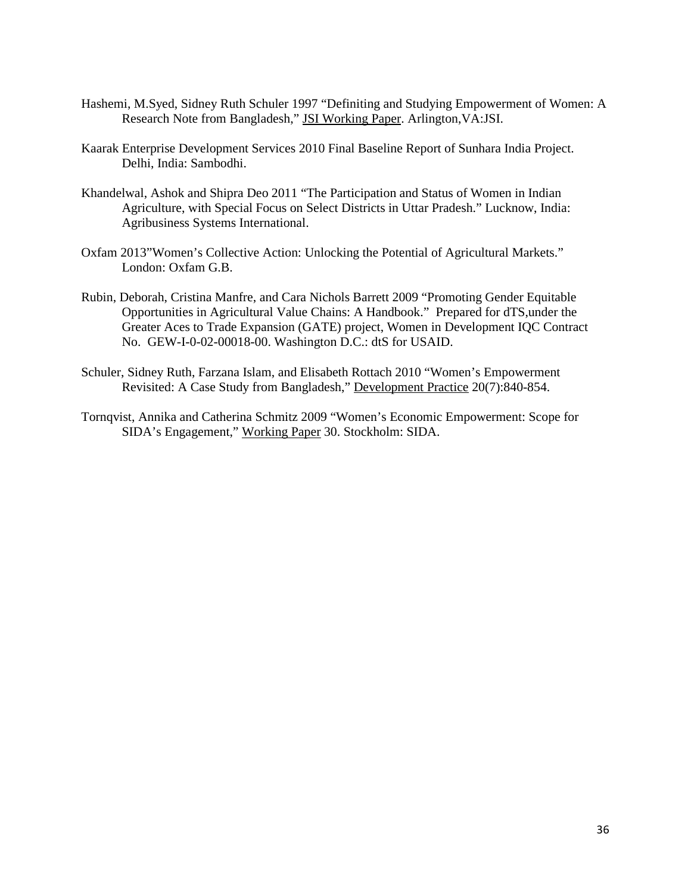- Hashemi, M.Syed, Sidney Ruth Schuler 1997 "Definiting and Studying Empowerment of Women: A Research Note from Bangladesh," JSI Working Paper. Arlington,VA:JSI.
- Kaarak Enterprise Development Services 2010 Final Baseline Report of Sunhara India Project. Delhi, India: Sambodhi.
- Khandelwal, Ashok and Shipra Deo 2011 "The Participation and Status of Women in Indian Agriculture, with Special Focus on Select Districts in Uttar Pradesh." Lucknow, India: Agribusiness Systems International.
- Oxfam 2013"Women's Collective Action: Unlocking the Potential of Agricultural Markets." London: Oxfam G.B.
- Rubin, Deborah, Cristina Manfre, and Cara Nichols Barrett 2009 "Promoting Gender Equitable Opportunities in Agricultural Value Chains: A Handbook." Prepared for dTS,under the Greater Aces to Trade Expansion (GATE) project, Women in Development IQC Contract No. GEW-I-0-02-00018-00. Washington D.C.: dtS for USAID.
- Schuler, Sidney Ruth, Farzana Islam, and Elisabeth Rottach 2010 "Women's Empowerment Revisited: A Case Study from Bangladesh," Development Practice 20(7):840-854.
- Tornqvist, Annika and Catherina Schmitz 2009 "Women's Economic Empowerment: Scope for SIDA's Engagement," Working Paper 30. Stockholm: SIDA.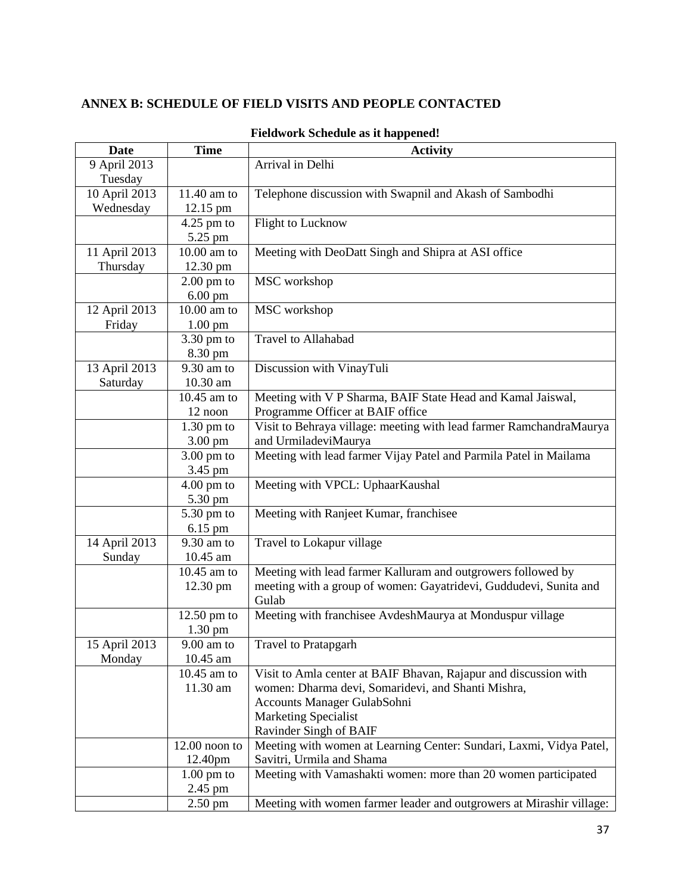# <span id="page-47-0"></span>**ANNEX B: SCHEDULE OF FIELD VISITS AND PEOPLE CONTACTED**

| <b>Date</b>   | <b>Time</b>     | <b>Activity</b>                                                      |
|---------------|-----------------|----------------------------------------------------------------------|
| 9 April 2013  |                 | Arrival in Delhi                                                     |
| Tuesday       |                 |                                                                      |
| 10 April 2013 | 11.40 am to     | Telephone discussion with Swapnil and Akash of Sambodhi              |
| Wednesday     | 12.15 pm        |                                                                      |
|               | $4.25$ pm to    | Flight to Lucknow                                                    |
|               | 5.25 pm         |                                                                      |
| 11 April 2013 | 10.00 am to     | Meeting with DeoDatt Singh and Shipra at ASI office                  |
| Thursday      | 12.30 pm        |                                                                      |
|               | $2.00$ pm to    | MSC workshop                                                         |
|               | $6.00$ pm       |                                                                      |
| 12 April 2013 | 10.00 am to     | MSC workshop                                                         |
| Friday        | 1.00 pm         |                                                                      |
|               | 3.30 pm to      | Travel to Allahabad                                                  |
|               | 8.30 pm         |                                                                      |
| 13 April 2013 | 9.30 am to      | Discussion with VinayTuli                                            |
| Saturday      | 10.30 am        |                                                                      |
|               | 10.45 am to     | Meeting with V P Sharma, BAIF State Head and Kamal Jaiswal,          |
|               | 12 noon         | Programme Officer at BAIF office                                     |
|               | $1.30$ pm to    | Visit to Behraya village: meeting with lead farmer RamchandraMaurya  |
|               | 3.00 pm         | and UrmiladeviMaurya                                                 |
|               | $3.00$ pm to    | Meeting with lead farmer Vijay Patel and Parmila Patel in Mailama    |
|               | 3.45 pm         |                                                                      |
|               | $4.00$ pm to    | Meeting with VPCL: UphaarKaushal                                     |
|               | 5.30 pm         |                                                                      |
|               | 5.30 pm to      | Meeting with Ranjeet Kumar, franchisee                               |
|               | 6.15 pm         |                                                                      |
| 14 April 2013 | 9.30 am to      | Travel to Lokapur village                                            |
| Sunday        | 10.45 am        |                                                                      |
|               | 10.45 am to     | Meeting with lead farmer Kalluram and outgrowers followed by         |
|               | 12.30 pm        | meeting with a group of women: Gayatridevi, Guddudevi, Sunita and    |
|               |                 | Gulab                                                                |
|               | $12.50$ pm to   | Meeting with franchisee AvdeshMaurya at Monduspur village            |
|               | 1.30 pm         |                                                                      |
| 15 April 2013 | $9.00$ am to    | Travel to Pratapgarh                                                 |
| Monday        | 10.45 am        |                                                                      |
|               | 10.45 am to     | Visit to Amla center at BAIF Bhavan, Rajapur and discussion with     |
|               | 11.30 am        | women: Dharma devi, Somaridevi, and Shanti Mishra,                   |
|               |                 | Accounts Manager GulabSohni                                          |
|               |                 | <b>Marketing Specialist</b>                                          |
|               |                 | Ravinder Singh of BAIF                                               |
|               | $12.00$ noon to | Meeting with women at Learning Center: Sundari, Laxmi, Vidya Patel,  |
|               | 12.40pm         | Savitri, Urmila and Shama                                            |
|               | $1.00$ pm to    | Meeting with Vamashakti women: more than 20 women participated       |
|               | 2.45 pm         |                                                                      |
|               | $2.50$ pm       | Meeting with women farmer leader and outgrowers at Mirashir village: |

## **Fieldwork Schedule as it happened!**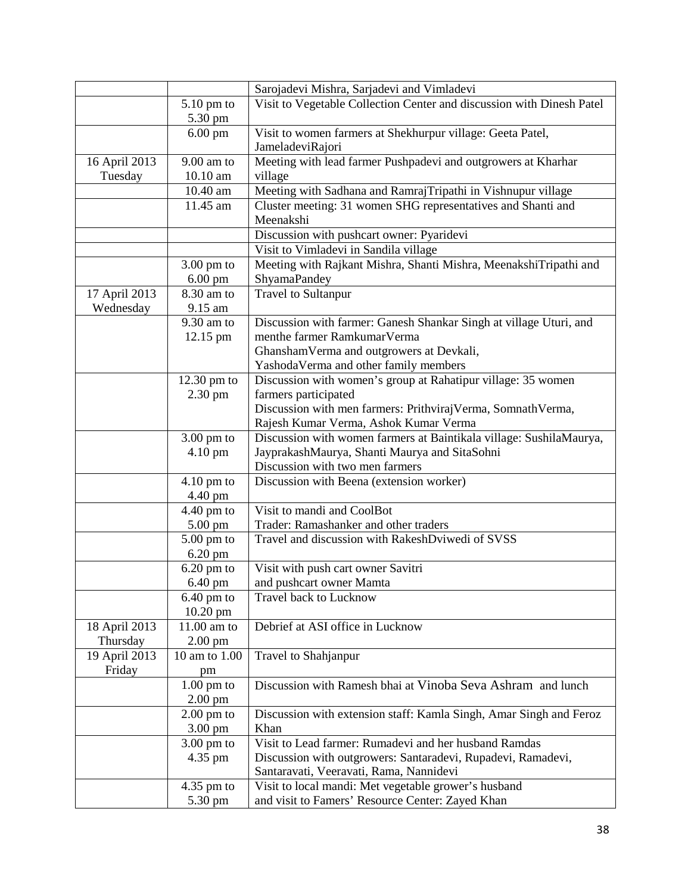|               |                      | Sarojadevi Mishra, Sarjadevi and Vimladevi                            |
|---------------|----------------------|-----------------------------------------------------------------------|
|               | $5.10$ pm to         | Visit to Vegetable Collection Center and discussion with Dinesh Patel |
|               | 5.30 pm              |                                                                       |
|               | $6.00$ pm            | Visit to women farmers at Shekhurpur village: Geeta Patel,            |
|               |                      | JameladeviRajori                                                      |
| 16 April 2013 | $9.00$ am to         | Meeting with lead farmer Pushpadevi and outgrowers at Kharhar         |
| Tuesday       | 10.10 am             | village                                                               |
|               | 10.40 am             | Meeting with Sadhana and RamrajTripathi in Vishnupur village          |
|               | 11.45 am             | Cluster meeting: 31 women SHG representatives and Shanti and          |
|               |                      | Meenakshi                                                             |
|               |                      | Discussion with pushcart owner: Pyaridevi                             |
|               |                      | Visit to Vimladevi in Sandila village                                 |
|               | $3.00$ pm to         | Meeting with Rajkant Mishra, Shanti Mishra, MeenakshiTripathi and     |
|               |                      |                                                                       |
|               | $6.00$ pm            | ShyamaPandey                                                          |
| 17 April 2013 | 8.30 am to           | <b>Travel to Sultanpur</b>                                            |
| Wednesday     | 9.15 am              |                                                                       |
|               | 9.30 am to           | Discussion with farmer: Ganesh Shankar Singh at village Uturi, and    |
|               | 12.15 pm             | menthe farmer RamkumarVerma                                           |
|               |                      | GhanshamVerma and outgrowers at Devkali,                              |
|               |                      | YashodaVerma and other family members                                 |
|               | $12.30$ pm to        | Discussion with women's group at Rahatipur village: 35 women          |
|               | 2.30 pm              | farmers participated                                                  |
|               |                      | Discussion with men farmers: PrithvirajVerma, SomnathVerma,           |
|               |                      | Rajesh Kumar Verma, Ashok Kumar Verma                                 |
|               | $3.00$ pm to         | Discussion with women farmers at Baintikala village: SushilaMaurya,   |
|               | 4.10 pm              | JayprakashMaurya, Shanti Maurya and SitaSohni                         |
|               |                      | Discussion with two men farmers                                       |
|               | $4.10$ pm to         | Discussion with Beena (extension worker)                              |
|               | 4.40 pm              |                                                                       |
|               | $4.40$ pm to         | Visit to mandi and CoolBot                                            |
|               | $5.00 \text{ pm}$    | Trader: Ramashanker and other traders                                 |
|               | $5.00$ pm to         | Travel and discussion with RakeshDviwedi of SVSS                      |
|               | 6.20 pm              |                                                                       |
|               | $6.20$ pm to         | Visit with push cart owner Savitri                                    |
|               | 6.40 pm              | and pushcart owner Mamta                                              |
|               | $6.40$ pm to         | Travel back to Lucknow                                                |
|               | $10.20$ pm           |                                                                       |
| 18 April 2013 | 11.00 am to          | Debrief at ASI office in Lucknow                                      |
| Thursday      | $2.00$ pm            |                                                                       |
| 19 April 2013 | 10 am to 1.00        | Travel to Shahjanpur                                                  |
| Friday        | pm                   |                                                                       |
|               | $1.00 \text{ pm}$ to | Discussion with Ramesh bhai at Vinoba Seva Ashram and lunch           |
|               | $2.00$ pm            |                                                                       |
|               | $2.00$ pm to         | Discussion with extension staff: Kamla Singh, Amar Singh and Feroz    |
|               | 3.00 pm              | Khan                                                                  |
|               |                      | Visit to Lead farmer: Rumadevi and her husband Ramdas                 |
|               | $3.00$ pm to         |                                                                       |
|               | 4.35 pm              | Discussion with outgrowers: Santaradevi, Rupadevi, Ramadevi,          |
|               |                      | Santaravati, Veeravati, Rama, Nannidevi                               |
|               | $4.35$ pm to         | Visit to local mandi: Met vegetable grower's husband                  |
|               | 5.30 pm              | and visit to Famers' Resource Center: Zayed Khan                      |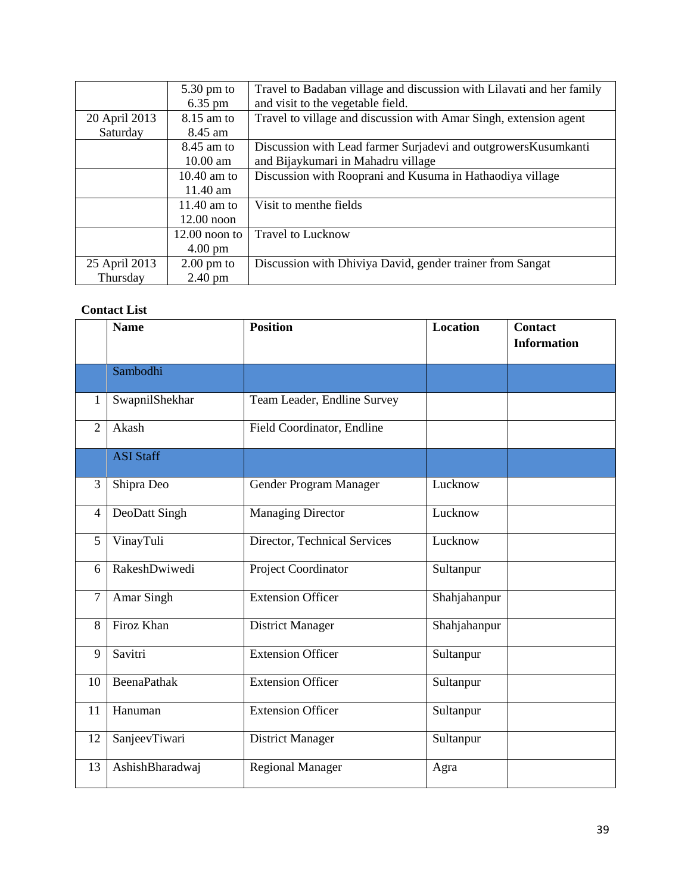|               | $5.30 \text{ pm}$ to<br>$6.35$ pm | Travel to Badaban village and discussion with Lilavati and her family<br>and visit to the vegetable field. |
|---------------|-----------------------------------|------------------------------------------------------------------------------------------------------------|
| 20 April 2013 | $8.15$ am to                      | Travel to village and discussion with Amar Singh, extension agent                                          |
| Saturday      | 8.45 am                           |                                                                                                            |
|               | $8.45$ am to                      | Discussion with Lead farmer Surjadevi and outgrowers Kusumkanti                                            |
|               | 10.00 am                          | and Bijaykumari in Mahadru village                                                                         |
|               | $10.40$ am to                     | Discussion with Rooprani and Kusuma in Hathaodiya village                                                  |
|               | 11.40 am                          |                                                                                                            |
|               | 11.40 am to                       | Visit to menthe fields                                                                                     |
|               | $12.00$ noon                      |                                                                                                            |
|               | $12.00$ noon to                   | <b>Travel to Lucknow</b>                                                                                   |
|               | $4.00 \text{ pm}$                 |                                                                                                            |
| 25 April 2013 | $2.00 \text{ pm}$ to              | Discussion with Dhiviya David, gender trainer from Sangat                                                  |
| Thursday      | $2.40 \text{ pm}$                 |                                                                                                            |

## **Contact List**

|                | <b>Name</b>        | <b>Position</b>              | <b>Location</b> | <b>Contact</b><br><b>Information</b> |
|----------------|--------------------|------------------------------|-----------------|--------------------------------------|
|                | Sambodhi           |                              |                 |                                      |
| 1              | SwapnilShekhar     | Team Leader, Endline Survey  |                 |                                      |
| $\overline{2}$ | Akash              | Field Coordinator, Endline   |                 |                                      |
|                | <b>ASI Staff</b>   |                              |                 |                                      |
| 3              | Shipra Deo         | Gender Program Manager       | Lucknow         |                                      |
| $\overline{4}$ | DeoDatt Singh      | <b>Managing Director</b>     | Lucknow         |                                      |
| 5              | VinayTuli          | Director, Technical Services | Lucknow         |                                      |
| 6              | RakeshDwiwedi      | Project Coordinator          | Sultanpur       |                                      |
| $\overline{7}$ | Amar Singh         | <b>Extension Officer</b>     | Shahjahanpur    |                                      |
| 8              | Firoz Khan         | <b>District Manager</b>      | Shahjahanpur    |                                      |
| 9              | Savitri            | <b>Extension Officer</b>     | Sultanpur       |                                      |
| 10             | <b>BeenaPathak</b> | <b>Extension Officer</b>     | Sultanpur       |                                      |
| 11             | Hanuman            | <b>Extension Officer</b>     | Sultanpur       |                                      |
| 12             | SanjeevTiwari      | <b>District Manager</b>      | Sultanpur       |                                      |
| 13             | AshishBharadwaj    | Regional Manager             | Agra            |                                      |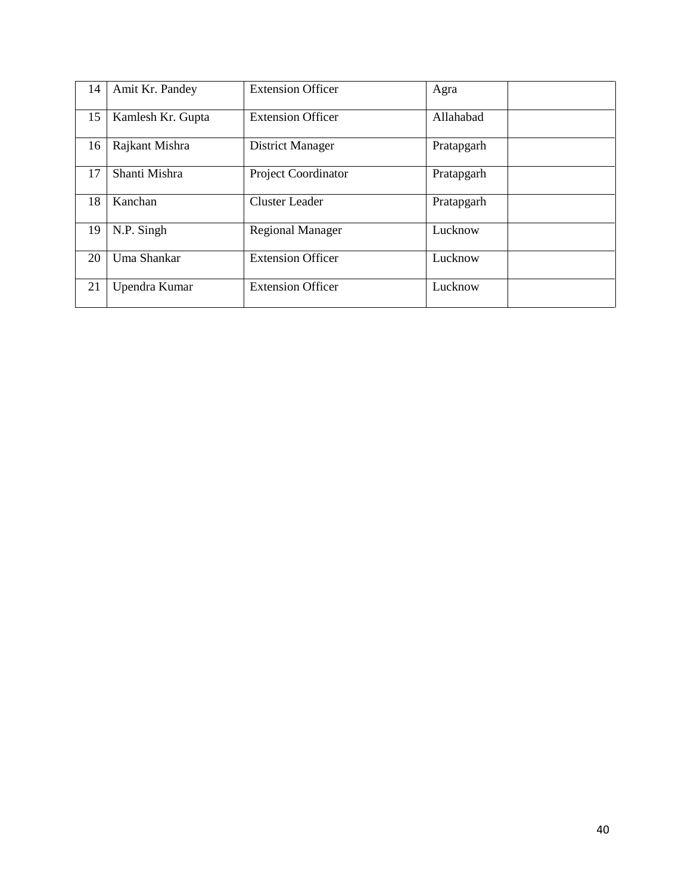| 14 | Amit Kr. Pandey   | <b>Extension Officer</b>   | Agra       |
|----|-------------------|----------------------------|------------|
| 15 | Kamlesh Kr. Gupta | <b>Extension Officer</b>   | Allahabad  |
| 16 | Rajkant Mishra    | District Manager           | Pratapgarh |
| 17 | Shanti Mishra     | <b>Project Coordinator</b> | Pratapgarh |
| 18 | Kanchan           | <b>Cluster Leader</b>      | Pratapgarh |
| 19 | N.P. Singh        | <b>Regional Manager</b>    | Lucknow    |
| 20 | Uma Shankar       | <b>Extension Officer</b>   | Lucknow    |
| 21 | Upendra Kumar     | <b>Extension Officer</b>   | Lucknow    |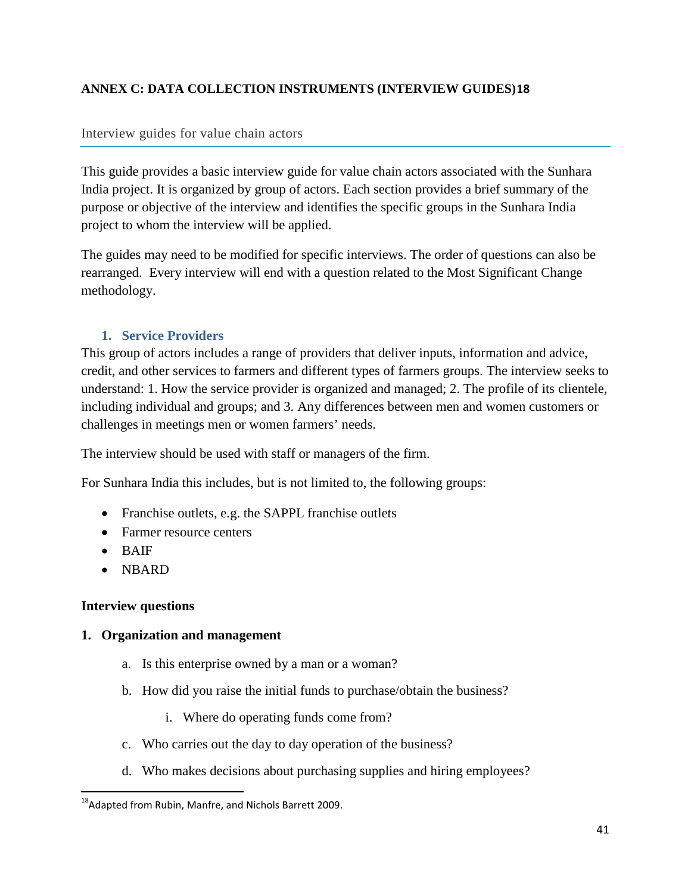# <span id="page-51-0"></span>**ANNEX C: DATA COLLECTION INSTRUMENTS (INTERVIEW GUIDES)[18](#page-51-1)**

# Interview guides for value chain actors

This guide provides a basic interview guide for value chain actors associated with the Sunhara India project. It is organized by group of actors. Each section provides a brief summary of the purpose or objective of the interview and identifies the specific groups in the Sunhara India project to whom the interview will be applied.

The guides may need to be modified for specific interviews. The order of questions can also be rearranged. Every interview will end with a question related to the Most Significant Change methodology.

# **1. Service Providers**

This group of actors includes a range of providers that deliver inputs, information and advice, credit, and other services to farmers and different types of farmers groups. The interview seeks to understand: 1. How the service provider is organized and managed; 2. The profile of its clientele, including individual and groups; and 3. Any differences between men and women customers or challenges in meetings men or women farmers' needs.

The interview should be used with staff or managers of the firm.

For Sunhara India this includes, but is not limited to, the following groups:

- Franchise outlets, e.g. the SAPPL franchise outlets
- Farmer resource centers
- BAIF
- NBARD

## **Interview questions**

## **1. Organization and management**

- a. Is this enterprise owned by a man or a woman?
- b. How did you raise the initial funds to purchase/obtain the business?
	- i. Where do operating funds come from?
- c. Who carries out the day to day operation of the business?
- d. Who makes decisions about purchasing supplies and hiring employees?

<span id="page-51-1"></span><sup>&</sup>lt;sup>18</sup>Adapted from Rubin, Manfre, and Nichols Barrett 2009.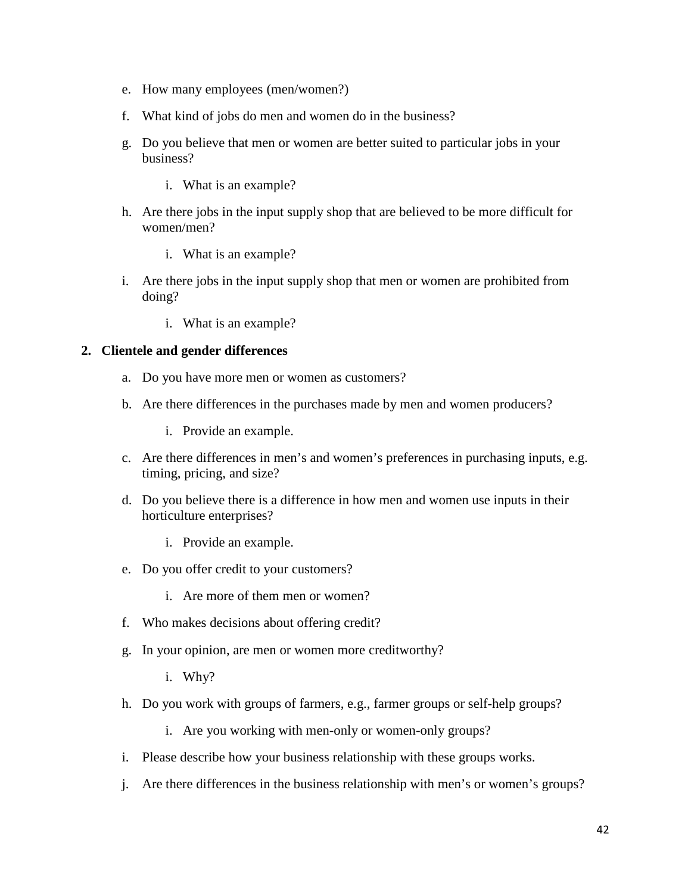- e. How many employees (men/women?)
- f. What kind of jobs do men and women do in the business?
- g. Do you believe that men or women are better suited to particular jobs in your business?
	- i. What is an example?
- h. Are there jobs in the input supply shop that are believed to be more difficult for women/men?
	- i. What is an example?
- i. Are there jobs in the input supply shop that men or women are prohibited from doing?
	- i. What is an example?

# **2. Clientele and gender differences**

- a. Do you have more men or women as customers?
- b. Are there differences in the purchases made by men and women producers?
	- i. Provide an example.
- c. Are there differences in men's and women's preferences in purchasing inputs, e.g. timing, pricing, and size?
- d. Do you believe there is a difference in how men and women use inputs in their horticulture enterprises?
	- i. Provide an example.
- e. Do you offer credit to your customers?
	- i. Are more of them men or women?
- f. Who makes decisions about offering credit?
- g. In your opinion, are men or women more creditworthy?
	- i. Why?
- h. Do you work with groups of farmers, e.g., farmer groups or self-help groups?
	- i. Are you working with men-only or women-only groups?
- i. Please describe how your business relationship with these groups works.
- j. Are there differences in the business relationship with men's or women's groups?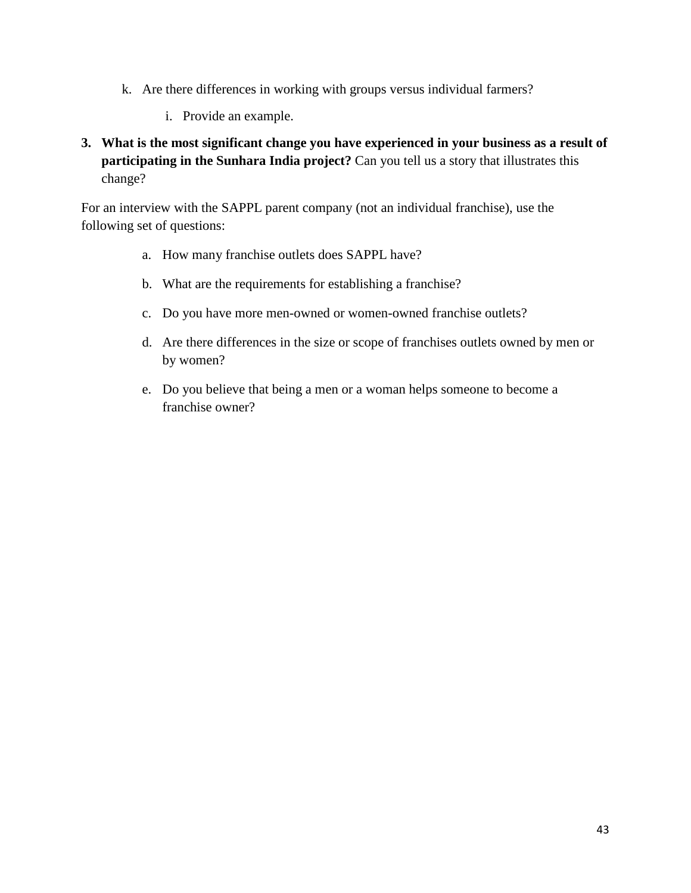- k. Are there differences in working with groups versus individual farmers?
	- i. Provide an example.
- **3. What is the most significant change you have experienced in your business as a result of participating in the Sunhara India project?** Can you tell us a story that illustrates this change?

For an interview with the SAPPL parent company (not an individual franchise), use the following set of questions:

- a. How many franchise outlets does SAPPL have?
- b. What are the requirements for establishing a franchise?
- c. Do you have more men-owned or women-owned franchise outlets?
- d. Are there differences in the size or scope of franchises outlets owned by men or by women?
- e. Do you believe that being a men or a woman helps someone to become a franchise owner?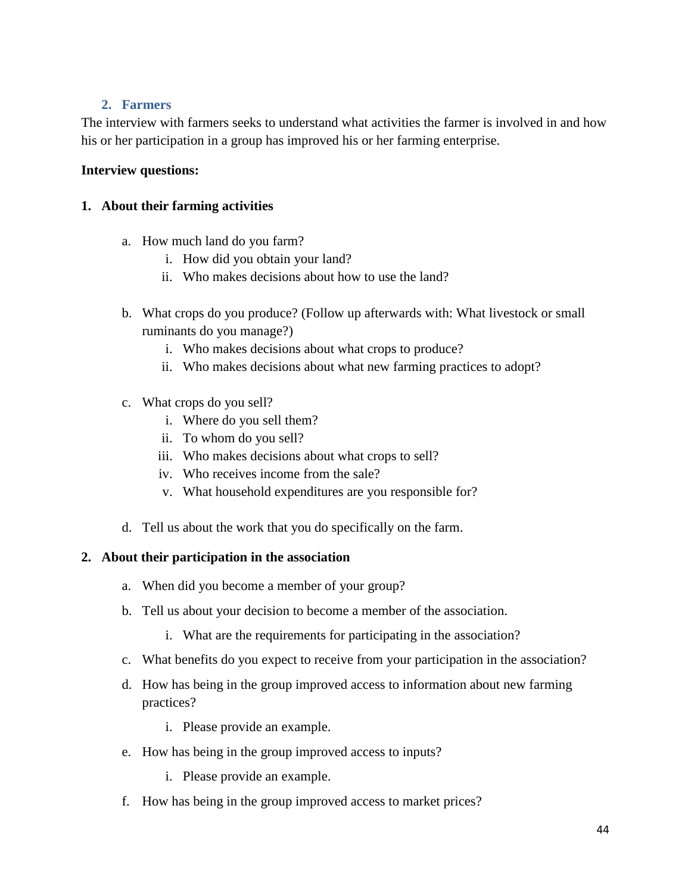# **2. Farmers**

The interview with farmers seeks to understand what activities the farmer is involved in and how his or her participation in a group has improved his or her farming enterprise.

# **Interview questions:**

# **1. About their farming activities**

- a. How much land do you farm?
	- i. How did you obtain your land?
	- ii. Who makes decisions about how to use the land?
- b. What crops do you produce? (Follow up afterwards with: What livestock or small ruminants do you manage?)
	- i. Who makes decisions about what crops to produce?
	- ii. Who makes decisions about what new farming practices to adopt?
- c. What crops do you sell?
	- i. Where do you sell them?
	- ii. To whom do you sell?
	- iii. Who makes decisions about what crops to sell?
	- iv. Who receives income from the sale?
	- v. What household expenditures are you responsible for?
- d. Tell us about the work that you do specifically on the farm.

## **2. About their participation in the association**

- a. When did you become a member of your group?
- b. Tell us about your decision to become a member of the association.
	- i. What are the requirements for participating in the association?
- c. What benefits do you expect to receive from your participation in the association?
- d. How has being in the group improved access to information about new farming practices?
	- i. Please provide an example.
- e. How has being in the group improved access to inputs?
	- i. Please provide an example.
- f. How has being in the group improved access to market prices?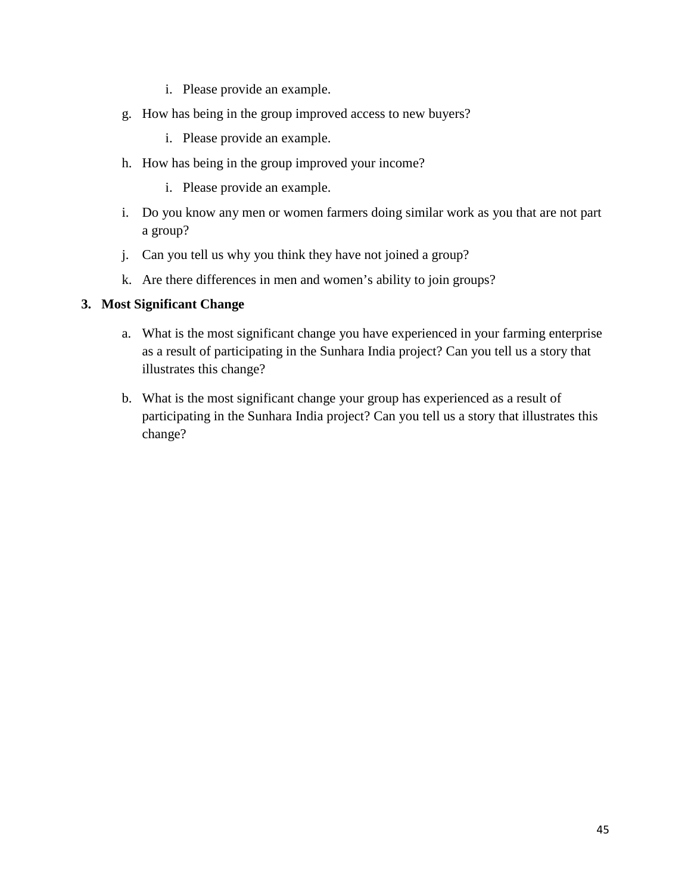- i. Please provide an example.
- g. How has being in the group improved access to new buyers?
	- i. Please provide an example.
- h. How has being in the group improved your income?
	- i. Please provide an example.
- i. Do you know any men or women farmers doing similar work as you that are not part a group?
- j. Can you tell us why you think they have not joined a group?
- k. Are there differences in men and women's ability to join groups?

# **3. Most Significant Change**

- a. What is the most significant change you have experienced in your farming enterprise as a result of participating in the Sunhara India project? Can you tell us a story that illustrates this change?
- b. What is the most significant change your group has experienced as a result of participating in the Sunhara India project? Can you tell us a story that illustrates this change?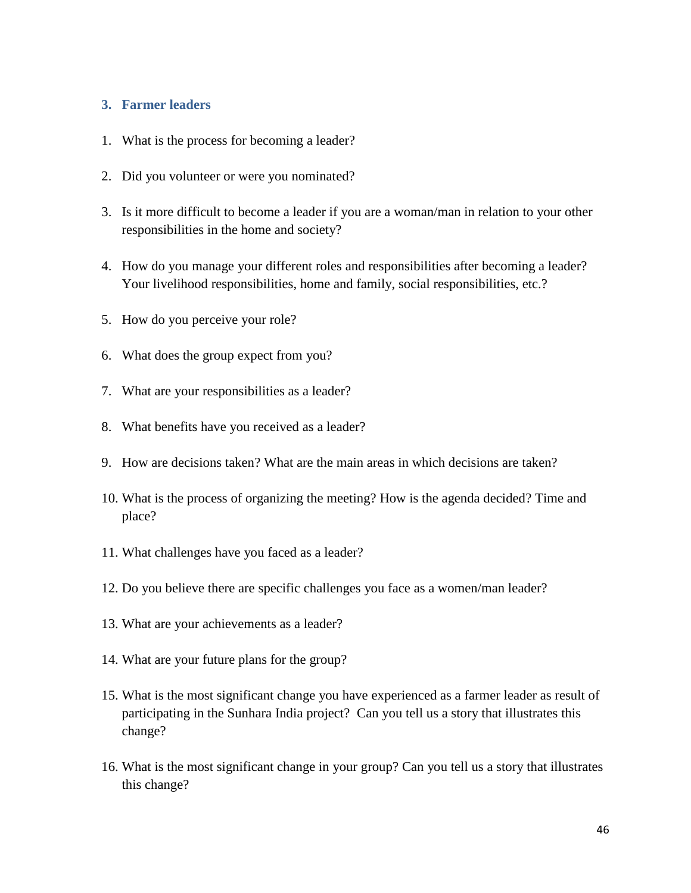#### **3. Farmer leaders**

- 1. What is the process for becoming a leader?
- 2. Did you volunteer or were you nominated?
- 3. Is it more difficult to become a leader if you are a woman/man in relation to your other responsibilities in the home and society?
- 4. How do you manage your different roles and responsibilities after becoming a leader? Your livelihood responsibilities, home and family, social responsibilities, etc.?
- 5. How do you perceive your role?
- 6. What does the group expect from you?
- 7. What are your responsibilities as a leader?
- 8. What benefits have you received as a leader?
- 9. How are decisions taken? What are the main areas in which decisions are taken?
- 10. What is the process of organizing the meeting? How is the agenda decided? Time and place?
- 11. What challenges have you faced as a leader?
- 12. Do you believe there are specific challenges you face as a women/man leader?
- 13. What are your achievements as a leader?
- 14. What are your future plans for the group?
- 15. What is the most significant change you have experienced as a farmer leader as result of participating in the Sunhara India project? Can you tell us a story that illustrates this change?
- 16. What is the most significant change in your group? Can you tell us a story that illustrates this change?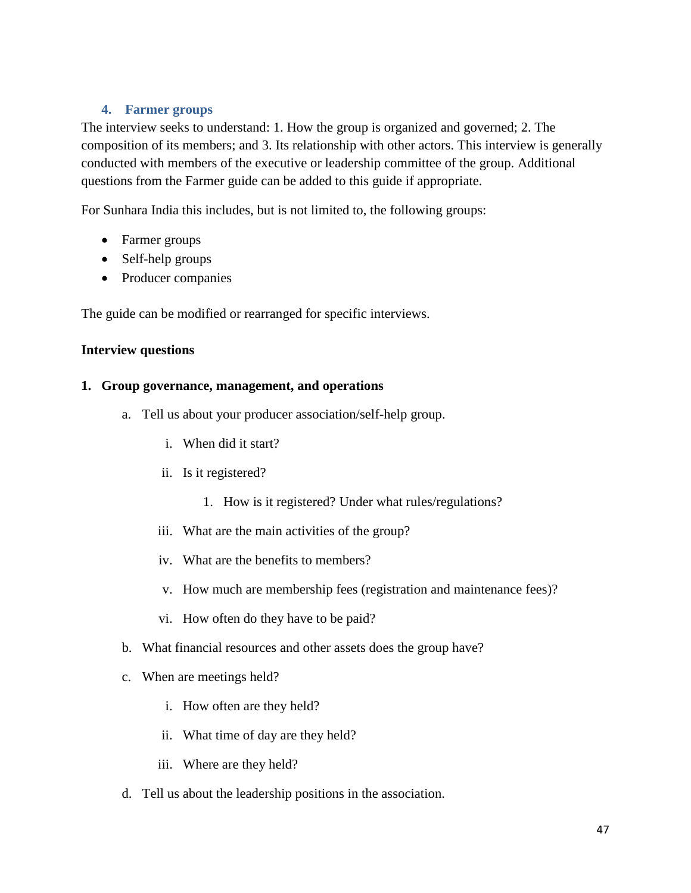# **4. Farmer groups**

The interview seeks to understand: 1. How the group is organized and governed; 2. The composition of its members; and 3. Its relationship with other actors. This interview is generally conducted with members of the executive or leadership committee of the group. Additional questions from the Farmer guide can be added to this guide if appropriate.

For Sunhara India this includes, but is not limited to, the following groups:

- Farmer groups
- Self-help groups
- Producer companies

The guide can be modified or rearranged for specific interviews.

# **Interview questions**

## **1. Group governance, management, and operations**

- a. Tell us about your producer association/self-help group.
	- i. When did it start?
	- ii. Is it registered?
		- 1. How is it registered? Under what rules/regulations?
	- iii. What are the main activities of the group?
	- iv. What are the benefits to members?
	- v. How much are membership fees (registration and maintenance fees)?
	- vi. How often do they have to be paid?
- b. What financial resources and other assets does the group have?
- c. When are meetings held?
	- i. How often are they held?
	- ii. What time of day are they held?
	- iii. Where are they held?
- d. Tell us about the leadership positions in the association.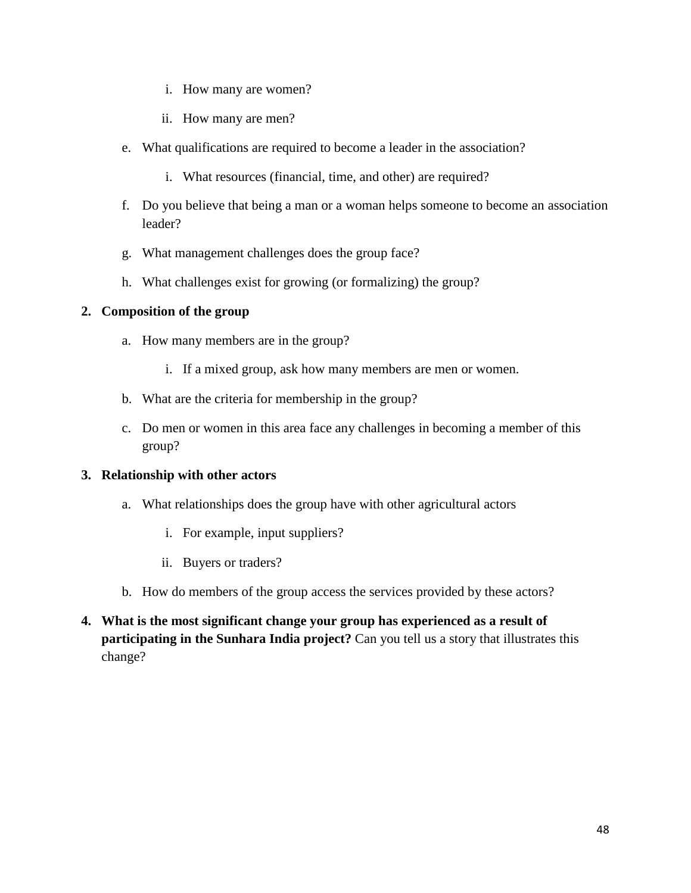- i. How many are women?
- ii. How many are men?
- e. What qualifications are required to become a leader in the association?
	- i. What resources (financial, time, and other) are required?
- f. Do you believe that being a man or a woman helps someone to become an association leader?
- g. What management challenges does the group face?
- h. What challenges exist for growing (or formalizing) the group?

# **2. Composition of the group**

- a. How many members are in the group?
	- i. If a mixed group, ask how many members are men or women.
- b. What are the criteria for membership in the group?
- c. Do men or women in this area face any challenges in becoming a member of this group?

# **3. Relationship with other actors**

- a. What relationships does the group have with other agricultural actors
	- i. For example, input suppliers?
	- ii. Buyers or traders?
- b. How do members of the group access the services provided by these actors?
- **4. What is the most significant change your group has experienced as a result of participating in the Sunhara India project?** Can you tell us a story that illustrates this change?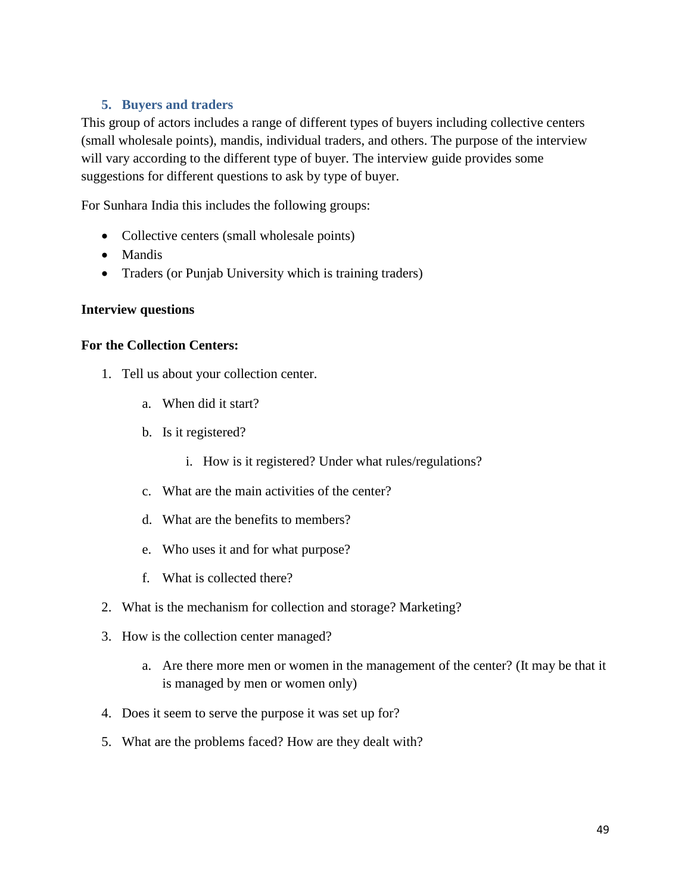# **5. Buyers and traders**

This group of actors includes a range of different types of buyers including collective centers (small wholesale points), mandis, individual traders, and others. The purpose of the interview will vary according to the different type of buyer. The interview guide provides some suggestions for different questions to ask by type of buyer.

For Sunhara India this includes the following groups:

- Collective centers (small wholesale points)
- Mandis
- Traders (or Punjab University which is training traders)

#### **Interview questions**

#### **For the Collection Centers:**

- 1. Tell us about your collection center.
	- a. When did it start?
	- b. Is it registered?
		- i. How is it registered? Under what rules/regulations?
	- c. What are the main activities of the center?
	- d. What are the benefits to members?
	- e. Who uses it and for what purpose?
	- f. What is collected there?
- 2. What is the mechanism for collection and storage? Marketing?
- 3. How is the collection center managed?
	- a. Are there more men or women in the management of the center? (It may be that it is managed by men or women only)
- 4. Does it seem to serve the purpose it was set up for?
- 5. What are the problems faced? How are they dealt with?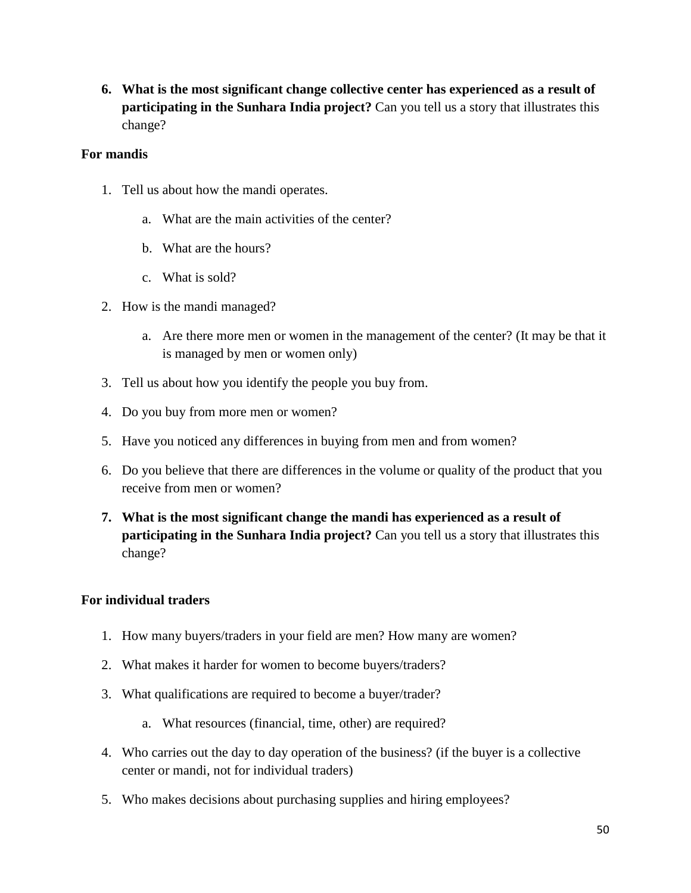**6. What is the most significant change collective center has experienced as a result of participating in the Sunhara India project?** Can you tell us a story that illustrates this change?

# **For mandis**

- 1. Tell us about how the mandi operates.
	- a. What are the main activities of the center?
	- b. What are the hours?
	- c. What is sold?
- 2. How is the mandi managed?
	- a. Are there more men or women in the management of the center? (It may be that it is managed by men or women only)
- 3. Tell us about how you identify the people you buy from.
- 4. Do you buy from more men or women?
- 5. Have you noticed any differences in buying from men and from women?
- 6. Do you believe that there are differences in the volume or quality of the product that you receive from men or women?
- **7. What is the most significant change the mandi has experienced as a result of participating in the Sunhara India project?** Can you tell us a story that illustrates this change?

# **For individual traders**

- 1. How many buyers/traders in your field are men? How many are women?
- 2. What makes it harder for women to become buyers/traders?
- 3. What qualifications are required to become a buyer/trader?
	- a. What resources (financial, time, other) are required?
- 4. Who carries out the day to day operation of the business? (if the buyer is a collective center or mandi, not for individual traders)
- 5. Who makes decisions about purchasing supplies and hiring employees?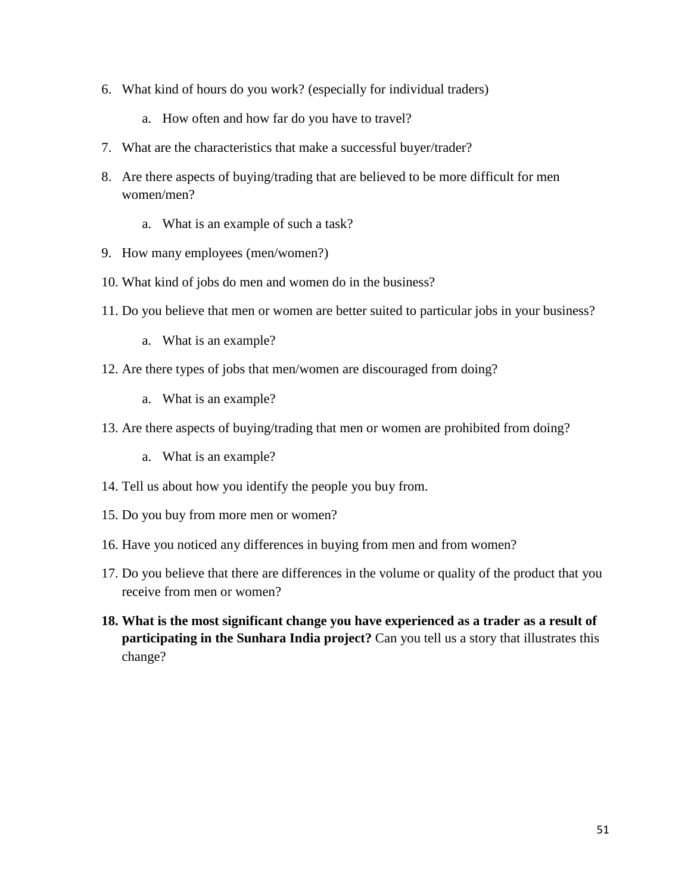- 6. What kind of hours do you work? (especially for individual traders)
	- a. How often and how far do you have to travel?
- 7. What are the characteristics that make a successful buyer/trader?
- 8. Are there aspects of buying/trading that are believed to be more difficult for men women/men?
	- a. What is an example of such a task?
- 9. How many employees (men/women?)
- 10. What kind of jobs do men and women do in the business?
- 11. Do you believe that men or women are better suited to particular jobs in your business?
	- a. What is an example?
- 12. Are there types of jobs that men/women are discouraged from doing?
	- a. What is an example?
- 13. Are there aspects of buying/trading that men or women are prohibited from doing?
	- a. What is an example?
- 14. Tell us about how you identify the people you buy from.
- 15. Do you buy from more men or women?
- 16. Have you noticed any differences in buying from men and from women?
- 17. Do you believe that there are differences in the volume or quality of the product that you receive from men or women?
- **18. What is the most significant change you have experienced as a trader as a result of participating in the Sunhara India project?** Can you tell us a story that illustrates this change?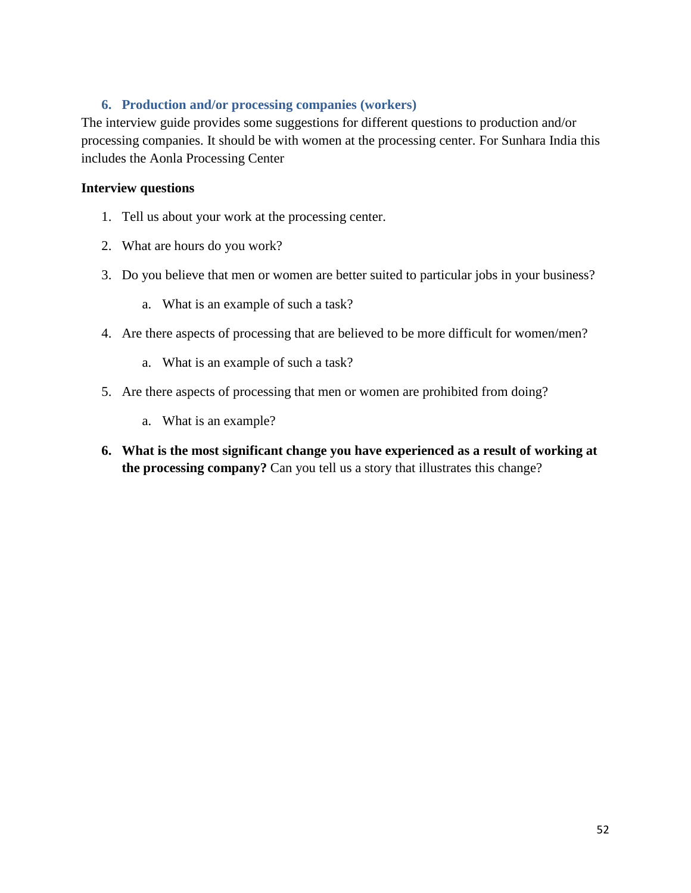# **6. Production and/or processing companies (workers)**

The interview guide provides some suggestions for different questions to production and/or processing companies. It should be with women at the processing center. For Sunhara India this includes the Aonla Processing Center

## **Interview questions**

- 1. Tell us about your work at the processing center.
- 2. What are hours do you work?
- 3. Do you believe that men or women are better suited to particular jobs in your business?
	- a. What is an example of such a task?
- 4. Are there aspects of processing that are believed to be more difficult for women/men?
	- a. What is an example of such a task?
- 5. Are there aspects of processing that men or women are prohibited from doing?
	- a. What is an example?
- **6. What is the most significant change you have experienced as a result of working at the processing company?** Can you tell us a story that illustrates this change?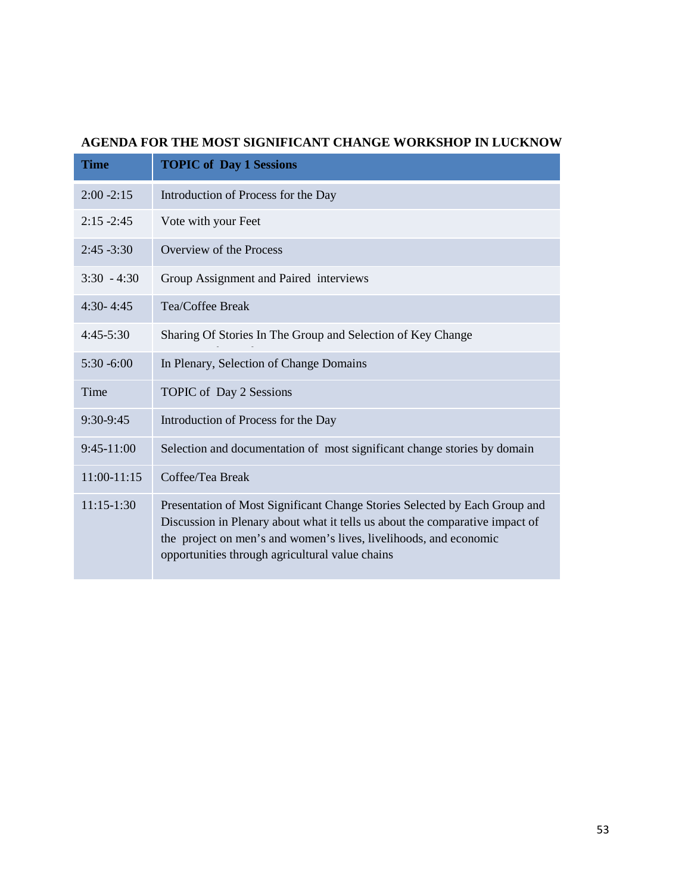# **AGENDA FOR THE MOST SIGNIFICANT CHANGE WORKSHOP IN LUCKNOW**

| <b>Time</b>   | <b>TOPIC of Day 1 Sessions</b>                                                                                                                                                                                                                                                     |  |  |
|---------------|------------------------------------------------------------------------------------------------------------------------------------------------------------------------------------------------------------------------------------------------------------------------------------|--|--|
| $2:00 - 2:15$ | Introduction of Process for the Day                                                                                                                                                                                                                                                |  |  |
| $2:15 - 2:45$ | Vote with your Feet                                                                                                                                                                                                                                                                |  |  |
| $2:45 - 3:30$ | Overview of the Process                                                                                                                                                                                                                                                            |  |  |
| $3:30 - 4:30$ | Group Assignment and Paired interviews                                                                                                                                                                                                                                             |  |  |
| $4:30 - 4:45$ | Tea/Coffee Break                                                                                                                                                                                                                                                                   |  |  |
| $4:45-5:30$   | Sharing Of Stories In The Group and Selection of Key Change                                                                                                                                                                                                                        |  |  |
| $5:30 - 6:00$ | In Plenary, Selection of Change Domains                                                                                                                                                                                                                                            |  |  |
| Time          | TOPIC of Day 2 Sessions                                                                                                                                                                                                                                                            |  |  |
| 9:30-9:45     | Introduction of Process for the Day                                                                                                                                                                                                                                                |  |  |
| $9:45-11:00$  | Selection and documentation of most significant change stories by domain                                                                                                                                                                                                           |  |  |
| $11:00-11:15$ | Coffee/Tea Break                                                                                                                                                                                                                                                                   |  |  |
| $11:15-1:30$  | Presentation of Most Significant Change Stories Selected by Each Group and<br>Discussion in Plenary about what it tells us about the comparative impact of<br>the project on men's and women's lives, livelihoods, and economic<br>opportunities through agricultural value chains |  |  |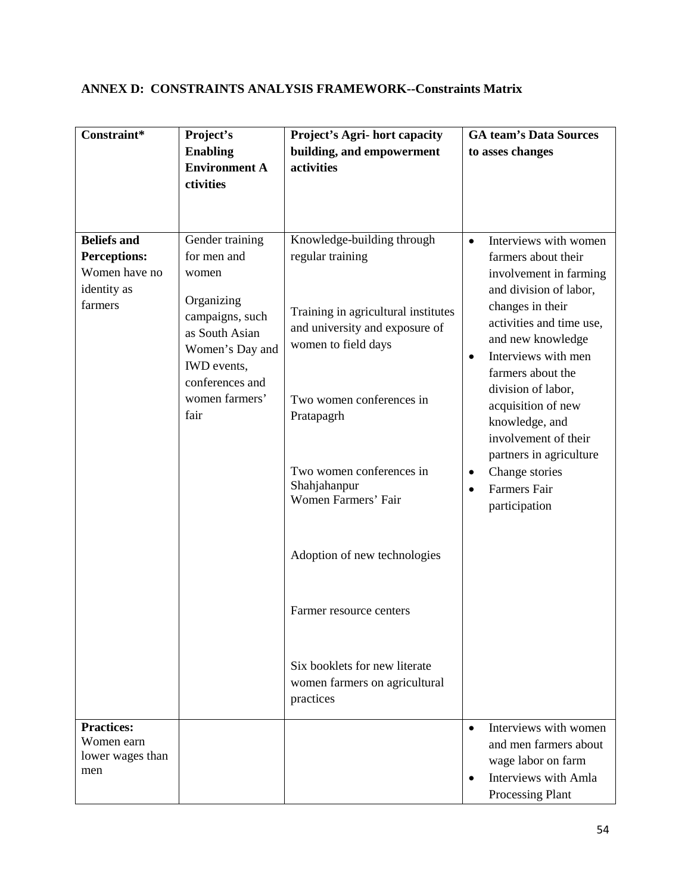# <span id="page-64-0"></span>**ANNEX D: CONSTRAINTS ANALYSIS FRAMEWORK--Constraints Matrix**

| Constraint*                                                | Project's                                                                         | <b>Project's Agri- hort capacity</b>                                                         | <b>GA team's Data Sources</b>                                                                                                                     |
|------------------------------------------------------------|-----------------------------------------------------------------------------------|----------------------------------------------------------------------------------------------|---------------------------------------------------------------------------------------------------------------------------------------------------|
|                                                            | <b>Enabling</b>                                                                   | building, and empowerment                                                                    | to asses changes                                                                                                                                  |
|                                                            | <b>Environment A</b>                                                              | activities                                                                                   |                                                                                                                                                   |
|                                                            | ctivities                                                                         |                                                                                              |                                                                                                                                                   |
|                                                            |                                                                                   |                                                                                              |                                                                                                                                                   |
|                                                            |                                                                                   |                                                                                              |                                                                                                                                                   |
| <b>Beliefs and</b><br><b>Perceptions:</b><br>Women have no | Gender training<br>for men and                                                    | Knowledge-building through<br>regular training                                               | Interviews with women<br>$\bullet$<br>farmers about their                                                                                         |
| identity as                                                | women                                                                             |                                                                                              | involvement in farming<br>and division of labor,                                                                                                  |
| farmers                                                    | Organizing<br>campaigns, such<br>as South Asian<br>Women's Day and<br>IWD events, | Training in agricultural institutes<br>and university and exposure of<br>women to field days | changes in their<br>activities and time use,<br>and new knowledge<br>Interviews with men<br>$\bullet$<br>farmers about the                        |
|                                                            | conferences and<br>women farmers'<br>fair                                         | Two women conferences in<br>Pratapagrh                                                       | division of labor,<br>acquisition of new<br>knowledge, and<br>involvement of their<br>partners in agriculture                                     |
|                                                            |                                                                                   | Two women conferences in<br>Shahjahanpur<br>Women Farmers' Fair                              | Change stories<br>٠<br><b>Farmers Fair</b><br>$\bullet$<br>participation                                                                          |
|                                                            |                                                                                   | Adoption of new technologies                                                                 |                                                                                                                                                   |
|                                                            |                                                                                   | Farmer resource centers                                                                      |                                                                                                                                                   |
|                                                            |                                                                                   | Six booklets for new literate<br>women farmers on agricultural<br>practices                  |                                                                                                                                                   |
| <b>Practices:</b><br>Women earn<br>lower wages than<br>men |                                                                                   |                                                                                              | Interviews with women<br>$\bullet$<br>and men farmers about<br>wage labor on farm<br>Interviews with Amla<br>$\bullet$<br><b>Processing Plant</b> |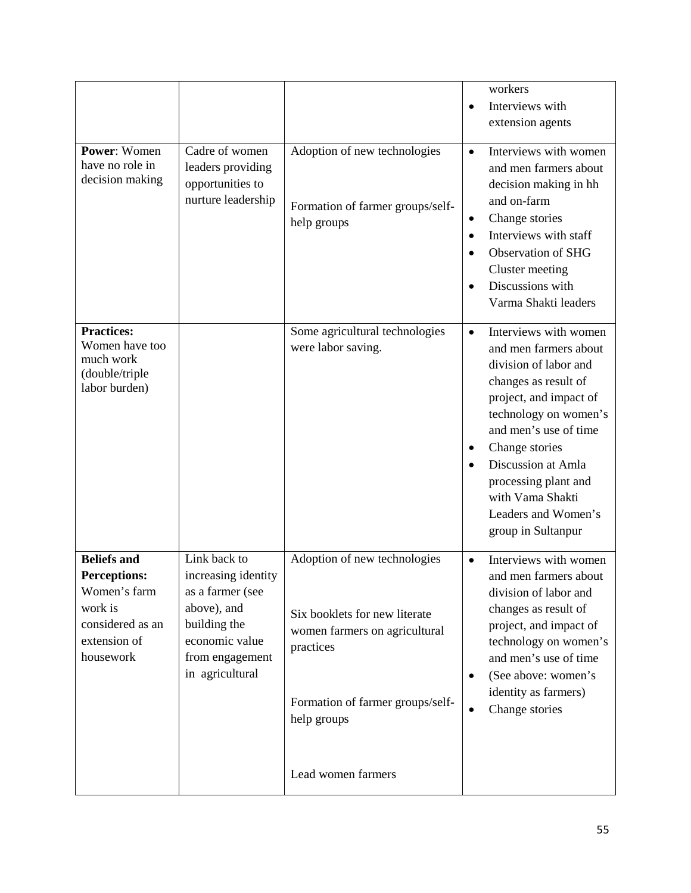|                                                                                                                       |                                                                                                                                                |                                                                                                                                                                                      | workers<br>Interviews with<br>$\bullet$<br>extension agents                                                                                                                                                                                                                                                                                         |
|-----------------------------------------------------------------------------------------------------------------------|------------------------------------------------------------------------------------------------------------------------------------------------|--------------------------------------------------------------------------------------------------------------------------------------------------------------------------------------|-----------------------------------------------------------------------------------------------------------------------------------------------------------------------------------------------------------------------------------------------------------------------------------------------------------------------------------------------------|
| <b>Power: Women</b><br>have no role in<br>decision making                                                             | Cadre of women<br>leaders providing<br>opportunities to<br>nurture leadership                                                                  | Adoption of new technologies<br>Formation of farmer groups/self-<br>help groups                                                                                                      | Interviews with women<br>$\bullet$<br>and men farmers about<br>decision making in hh<br>and on-farm<br>Change stories<br>٠<br>Interviews with staff<br>$\bullet$<br>Observation of SHG<br>Cluster meeting<br>Discussions with<br>$\bullet$<br>Varma Shakti leaders                                                                                  |
| <b>Practices:</b><br>Women have too<br>much work<br>(double/triple<br>labor burden)                                   |                                                                                                                                                | Some agricultural technologies<br>were labor saving.                                                                                                                                 | Interviews with women<br>$\bullet$<br>and men farmers about<br>division of labor and<br>changes as result of<br>project, and impact of<br>technology on women's<br>and men's use of time<br>Change stories<br>$\bullet$<br>Discussion at Amla<br>$\bullet$<br>processing plant and<br>with Vama Shakti<br>Leaders and Women's<br>group in Sultanpur |
| <b>Beliefs and</b><br><b>Perceptions:</b><br>Women's farm<br>work is<br>considered as an<br>extension of<br>housework | Link back to<br>increasing identity<br>as a farmer (see<br>above), and<br>building the<br>economic value<br>from engagement<br>in agricultural | Adoption of new technologies<br>Six booklets for new literate<br>women farmers on agricultural<br>practices<br>Formation of farmer groups/self-<br>help groups<br>Lead women farmers | Interviews with women<br>$\bullet$<br>and men farmers about<br>division of labor and<br>changes as result of<br>project, and impact of<br>technology on women's<br>and men's use of time<br>(See above: women's<br>$\bullet$<br>identity as farmers)<br>Change stories<br>$\bullet$                                                                 |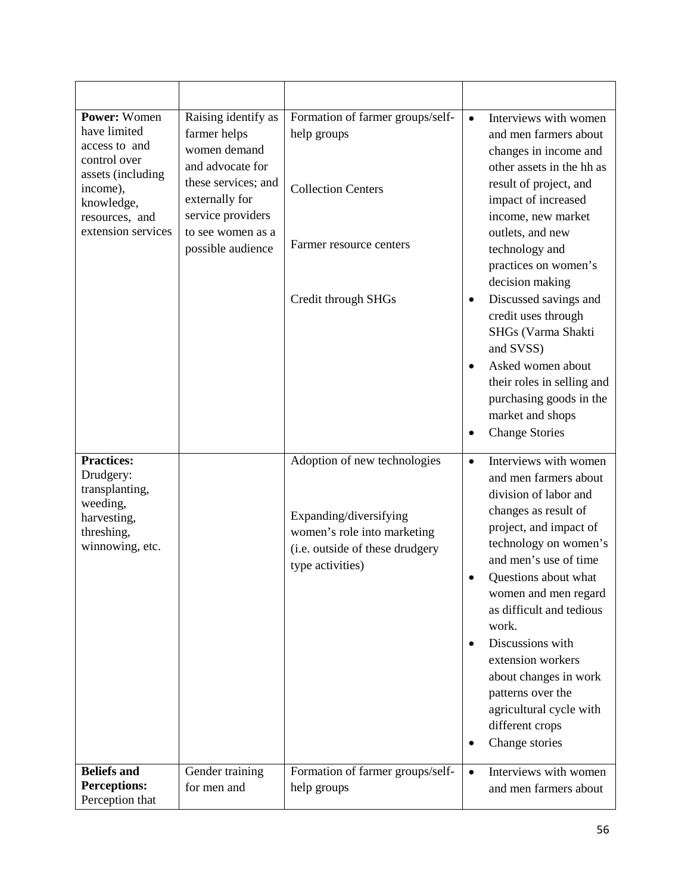| <b>Power: Women</b><br>have limited<br>access to and<br>control over<br>assets (including<br>income),<br>knowledge,<br>resources, and<br>extension services | Raising identify as<br>farmer helps<br>women demand<br>and advocate for<br>these services; and<br>externally for<br>service providers<br>to see women as a<br>possible audience | Formation of farmer groups/self-<br>help groups<br><b>Collection Centers</b><br>Farmer resource centers<br>Credit through SHGs               | $\bullet$<br>$\bullet$<br>$\bullet$<br>$\bullet$ | Interviews with women<br>and men farmers about<br>changes in income and<br>other assets in the hh as<br>result of project, and<br>impact of increased<br>income, new market<br>outlets, and new<br>technology and<br>practices on women's<br>decision making<br>Discussed savings and<br>credit uses through<br>SHGs (Varma Shakti<br>and SVSS)<br>Asked women about<br>their roles in selling and<br>purchasing goods in the<br>market and shops<br><b>Change Stories</b> |
|-------------------------------------------------------------------------------------------------------------------------------------------------------------|---------------------------------------------------------------------------------------------------------------------------------------------------------------------------------|----------------------------------------------------------------------------------------------------------------------------------------------|--------------------------------------------------|----------------------------------------------------------------------------------------------------------------------------------------------------------------------------------------------------------------------------------------------------------------------------------------------------------------------------------------------------------------------------------------------------------------------------------------------------------------------------|
| <b>Practices:</b><br>Drudgery:<br>transplanting,<br>weeding,<br>harvesting,<br>threshing,<br>winnowing, etc.                                                |                                                                                                                                                                                 | Adoption of new technologies<br>Expanding/diversifying<br>women's role into marketing<br>(i.e. outside of these drudgery<br>type activities) | $\bullet$<br>$\bullet$<br>$\bullet$<br>٠         | Interviews with women<br>and men farmers about<br>division of labor and<br>changes as result of<br>project, and impact of<br>technology on women's<br>and men's use of time<br>Questions about what<br>women and men regard<br>as difficult and tedious<br>work.<br>Discussions with<br>extension workers<br>about changes in work<br>patterns over the<br>agricultural cycle with<br>different crops<br>Change stories                                                    |
| <b>Beliefs and</b><br><b>Perceptions:</b>                                                                                                                   | Gender training<br>for men and                                                                                                                                                  | Formation of farmer groups/self-<br>help groups                                                                                              | $\bullet$                                        | Interviews with women<br>and men farmers about                                                                                                                                                                                                                                                                                                                                                                                                                             |
| Perception that                                                                                                                                             |                                                                                                                                                                                 |                                                                                                                                              |                                                  |                                                                                                                                                                                                                                                                                                                                                                                                                                                                            |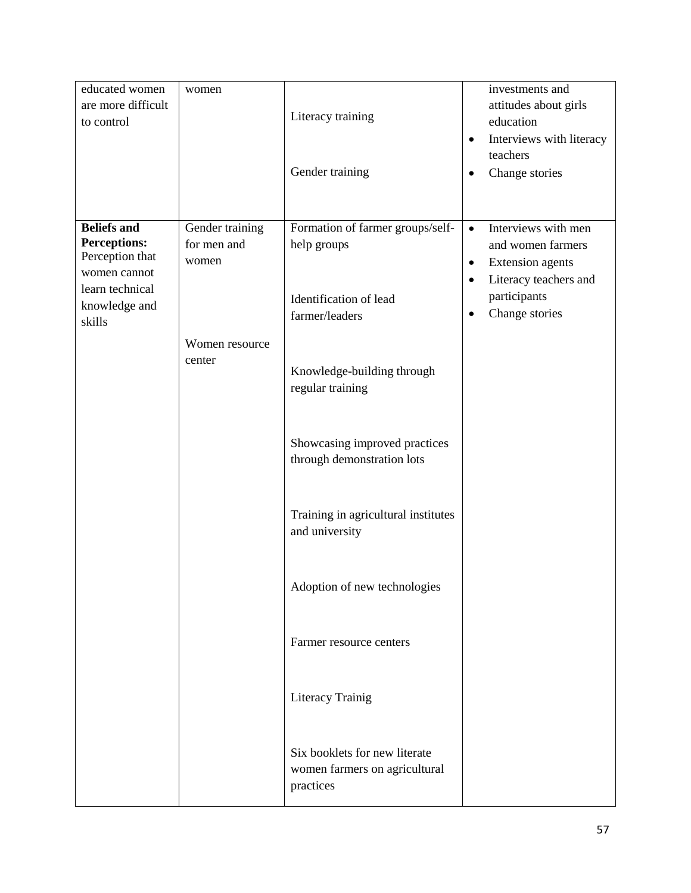| educated women<br>are more difficult<br>to control                                                                         | women                                   | Literacy training<br>Gender training                                                        | investments and<br>attitudes about girls<br>education<br>Interviews with literacy<br>$\bullet$<br>teachers<br>Change stories<br>$\bullet$                                          |
|----------------------------------------------------------------------------------------------------------------------------|-----------------------------------------|---------------------------------------------------------------------------------------------|------------------------------------------------------------------------------------------------------------------------------------------------------------------------------------|
| <b>Beliefs and</b><br><b>Perceptions:</b><br>Perception that<br>women cannot<br>learn technical<br>knowledge and<br>skills | Gender training<br>for men and<br>women | Formation of farmer groups/self-<br>help groups<br>Identification of lead<br>farmer/leaders | Interviews with men<br>$\bullet$<br>and women farmers<br><b>Extension</b> agents<br>$\bullet$<br>Literacy teachers and<br>$\bullet$<br>participants<br>Change stories<br>$\bullet$ |
|                                                                                                                            | Women resource<br>center                | Knowledge-building through<br>regular training                                              |                                                                                                                                                                                    |
|                                                                                                                            |                                         | Showcasing improved practices<br>through demonstration lots                                 |                                                                                                                                                                                    |
|                                                                                                                            |                                         | Training in agricultural institutes<br>and university                                       |                                                                                                                                                                                    |
|                                                                                                                            |                                         | Adoption of new technologies                                                                |                                                                                                                                                                                    |
|                                                                                                                            |                                         | Farmer resource centers                                                                     |                                                                                                                                                                                    |
|                                                                                                                            |                                         | Literacy Trainig                                                                            |                                                                                                                                                                                    |
|                                                                                                                            |                                         | Six booklets for new literate<br>women farmers on agricultural<br>practices                 |                                                                                                                                                                                    |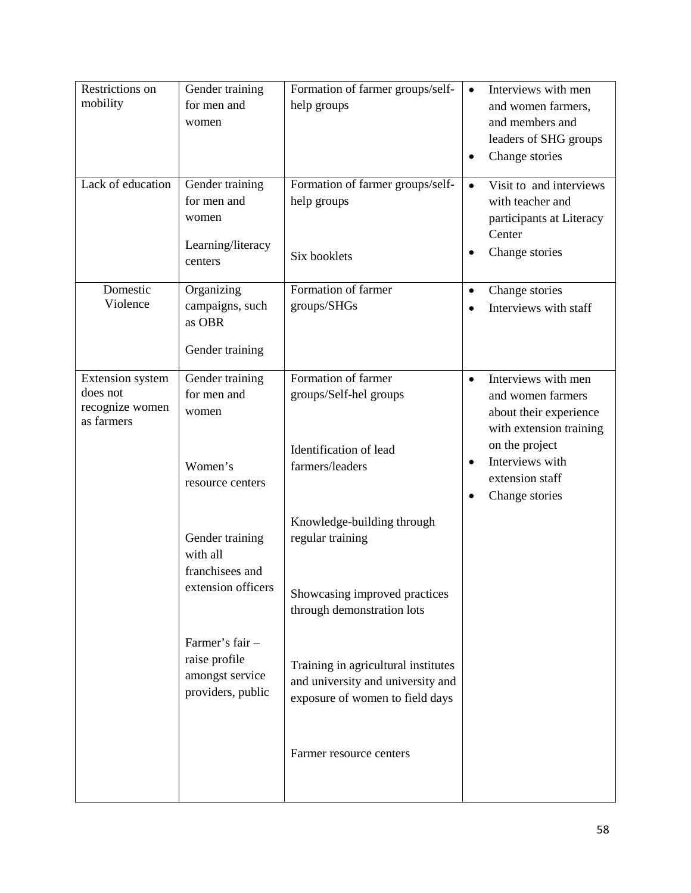| Restrictions on<br>mobility<br>Lack of education                     | Gender training<br>for men and<br>women<br>Gender training               | Formation of farmer groups/self-<br>help groups<br>Formation of farmer groups/self-                           | Interviews with men<br>$\bullet$<br>and women farmers,<br>and members and<br>leaders of SHG groups<br>Change stories<br>٠<br>Visit to and interviews<br>$\bullet$               |
|----------------------------------------------------------------------|--------------------------------------------------------------------------|---------------------------------------------------------------------------------------------------------------|---------------------------------------------------------------------------------------------------------------------------------------------------------------------------------|
|                                                                      | for men and<br>women<br>Learning/literacy<br>centers                     | help groups<br>Six booklets                                                                                   | with teacher and<br>participants at Literacy<br>Center<br>Change stories                                                                                                        |
| Domestic<br>Violence                                                 | Organizing<br>campaigns, such<br>as OBR<br>Gender training               | Formation of farmer<br>groups/SHGs                                                                            | Change stories<br>$\bullet$<br>Interviews with staff                                                                                                                            |
| <b>Extension</b> system<br>does not<br>recognize women<br>as farmers | Gender training<br>for men and<br>women<br>Women's<br>resource centers   | Formation of farmer<br>groups/Self-hel groups<br>Identification of lead<br>farmers/leaders                    | Interviews with men<br>$\bullet$<br>and women farmers<br>about their experience<br>with extension training<br>on the project<br>Interviews with<br>$\bullet$<br>extension staff |
|                                                                      | Gender training<br>with all<br>franchisees and<br>extension officers     | Knowledge-building through<br>regular training<br>Showcasing improved practices<br>through demonstration lots | Change stories<br>$\bullet$                                                                                                                                                     |
|                                                                      | Farmer's fair -<br>raise profile<br>amongst service<br>providers, public | Training in agricultural institutes<br>and university and university and<br>exposure of women to field days   |                                                                                                                                                                                 |
|                                                                      |                                                                          | Farmer resource centers                                                                                       |                                                                                                                                                                                 |